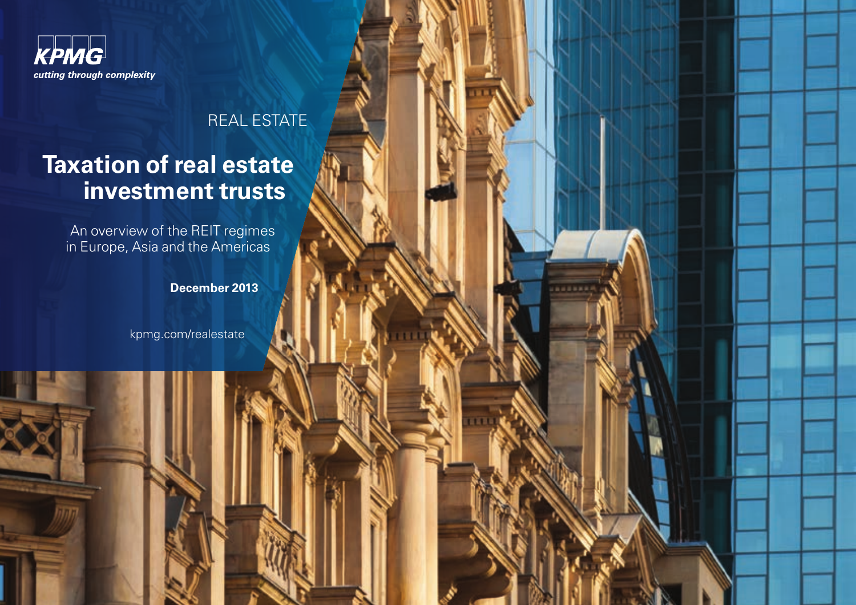

#### REAL ESTATE

# **Taxation of real estate investment trusts**

An overview of the REIT regimes in Europe, Asia and the Americas

**December 2013**

[kpmg.com/realestate](http://www.kpmg.com/realestate)

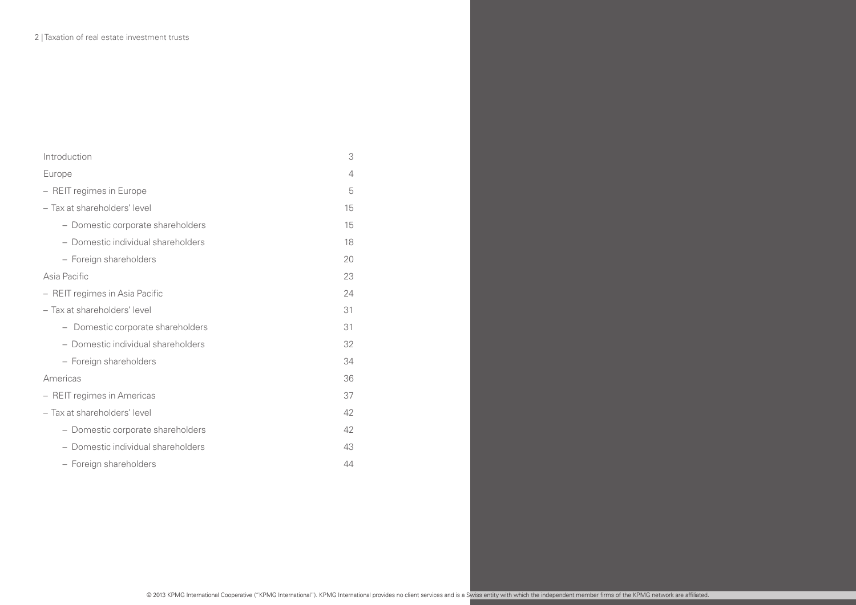| Introduction                       | 3              |
|------------------------------------|----------------|
| Europe                             | $\overline{4}$ |
| - REIT regimes in Europe           | 5              |
| - Tax at shareholders' level       | 15             |
| - Domestic corporate shareholders  | 15             |
| - Domestic individual shareholders | 18             |
| - Foreign shareholders             | 20             |
| Asia Pacific                       | 23             |
| - REIT regimes in Asia Pacific     | 24             |
| - Tax at shareholders' level       | 31             |
| - Domestic corporate shareholders  | 31             |
| - Domestic individual shareholders | 32             |
| - Foreign shareholders             | 34             |
| Americas                           | 36             |
| - REIT regimes in Americas         | 37             |
| - Tax at shareholders' level       | 42             |
| - Domestic corporate shareholders  | 42             |
| - Domestic individual shareholders | 43             |
| - Foreign shareholders             | 44             |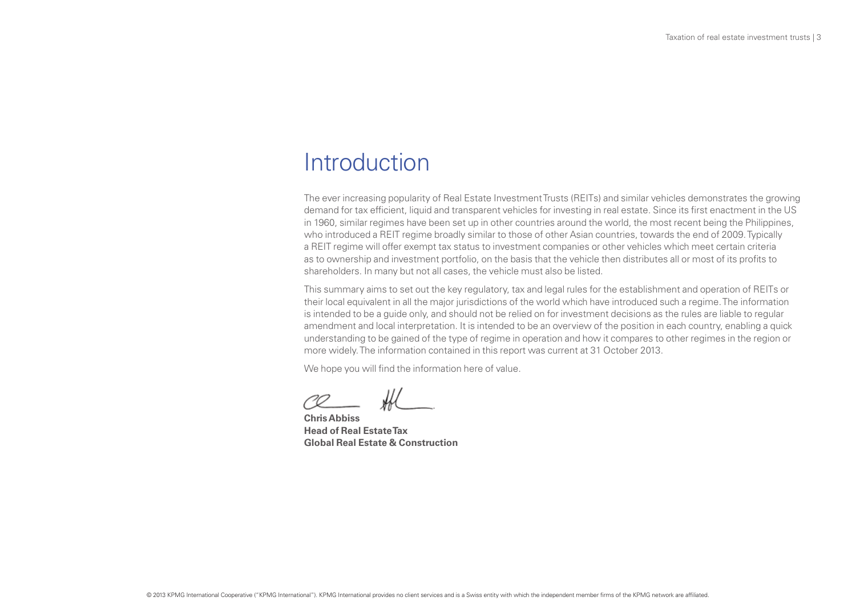### Introduction

The ever increasing popularity of Real Estate Investment Trusts (REITs) and similar vehicles demonstrates the growing demand for tax efficient, liquid and transparent vehicles for investing in real estate. Since its first enactment in the US in 1960, similar regimes have been set up in other countries around the world, the most recent being the Philippines, who introduced a REIT regime broadly similar to those of other Asian countries, towards the end of 2009. Typically a REIT regime will offer exempt tax status to investment companies or other vehicles which meet certain criteria as to ownership and investment portfolio, on the basis that the vehicle then distributes all or most of its profits to shareholders. In many but not all cases, the vehicle must also be listed.

This summary aims to set out the key regulatory, tax and legal rules for the establishment and operation of REITs or their local equivalent in all the major jurisdictions of the world which have introduced such a regime. The information is intended to be a guide only, and should not be relied on for investment decisions as the rules are liable to regular amendment and local interpretation. It is intended to be an overview of the position in each country, enabling a quick understanding to be gained of the type of regime in operation and how it compares to other regimes in the region or more widely. The information contained in this report was current at 31 October 2013.

We hope you will find the information here of value.

**Chris Abbiss Head of Real Estate Tax Global Real Estate & Construction**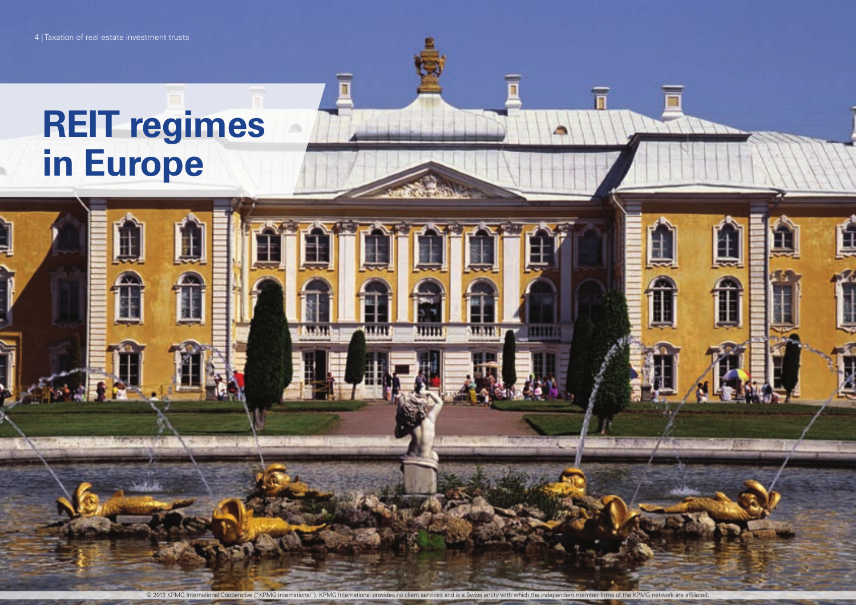© 2013 KPMG International Cooperative ("KPMG International"). KPMG International provides no client services and is a Swiss entity with which the independent member firms of the KPMG network are affiliated.

ш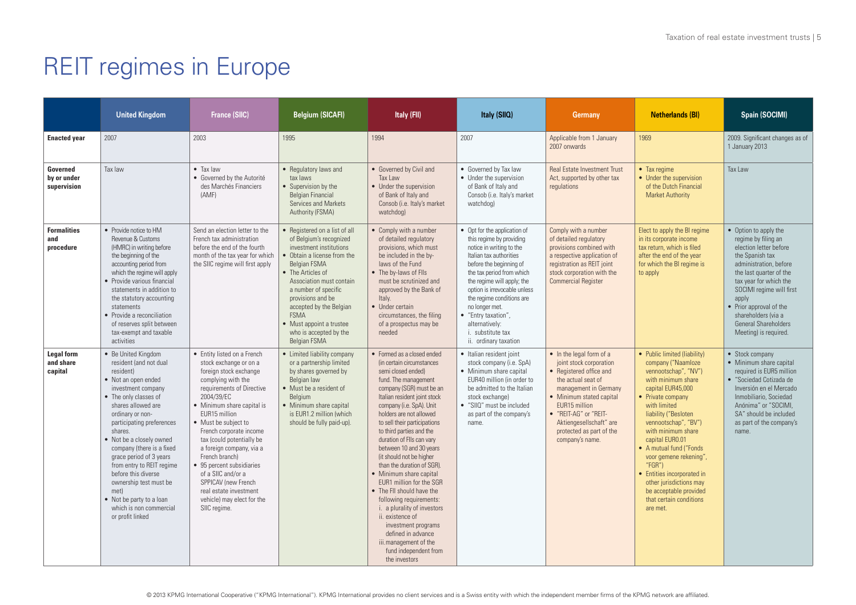|                                           | <b>United Kingdom</b>                                                                                                                                                                                                                                                                                                                                                                                                                                                   | <b>France (SIIC)</b>                                                                                                                                                                                                                                                                                                                                                                                                                                                            | Belgium (SICAFI)                                                                                                                                                                                                                                                                                                                                               | Italy (FII)                                                                                                                                                                                                                                                                                                                                                                                                                                                                                                                                                                                                                                                                              | Italy (SIIQ)                                                                                                                                                                                                                                                                                                                                                                       | <b>Germany</b>                                                                                                                                                                                                                                                                | <b>Netherlands (BI)</b>                                                                                                                                                                                                                                                                                                                                                                                                                          | Spain (SOCIMI)                                                                                                                                                                                                                                                                                                          |
|-------------------------------------------|-------------------------------------------------------------------------------------------------------------------------------------------------------------------------------------------------------------------------------------------------------------------------------------------------------------------------------------------------------------------------------------------------------------------------------------------------------------------------|---------------------------------------------------------------------------------------------------------------------------------------------------------------------------------------------------------------------------------------------------------------------------------------------------------------------------------------------------------------------------------------------------------------------------------------------------------------------------------|----------------------------------------------------------------------------------------------------------------------------------------------------------------------------------------------------------------------------------------------------------------------------------------------------------------------------------------------------------------|------------------------------------------------------------------------------------------------------------------------------------------------------------------------------------------------------------------------------------------------------------------------------------------------------------------------------------------------------------------------------------------------------------------------------------------------------------------------------------------------------------------------------------------------------------------------------------------------------------------------------------------------------------------------------------------|------------------------------------------------------------------------------------------------------------------------------------------------------------------------------------------------------------------------------------------------------------------------------------------------------------------------------------------------------------------------------------|-------------------------------------------------------------------------------------------------------------------------------------------------------------------------------------------------------------------------------------------------------------------------------|--------------------------------------------------------------------------------------------------------------------------------------------------------------------------------------------------------------------------------------------------------------------------------------------------------------------------------------------------------------------------------------------------------------------------------------------------|-------------------------------------------------------------------------------------------------------------------------------------------------------------------------------------------------------------------------------------------------------------------------------------------------------------------------|
| <b>Enacted year</b>                       | 2007                                                                                                                                                                                                                                                                                                                                                                                                                                                                    | 2003                                                                                                                                                                                                                                                                                                                                                                                                                                                                            | 1995                                                                                                                                                                                                                                                                                                                                                           | 1994                                                                                                                                                                                                                                                                                                                                                                                                                                                                                                                                                                                                                                                                                     | 2007                                                                                                                                                                                                                                                                                                                                                                               | Applicable from 1 January<br>2007 onwards                                                                                                                                                                                                                                     | 1969                                                                                                                                                                                                                                                                                                                                                                                                                                             | 2009. Significant changes as of<br>1 January 2013                                                                                                                                                                                                                                                                       |
| Governed<br>by or under<br>supervision    | Tax law                                                                                                                                                                                                                                                                                                                                                                                                                                                                 | $\bullet$ Tax law<br>• Governed by the Autorité<br>des Marchés Financiers<br>(AMF)                                                                                                                                                                                                                                                                                                                                                                                              | • Regulatory laws and<br>tax laws<br>• Supervision by the<br><b>Belgian Financial</b><br>Services and Markets<br>Authority (FSMA)                                                                                                                                                                                                                              | • Governed by Civil and<br>Tax Law<br>• Under the supervision<br>of Bank of Italy and<br>Consob (i.e. Italy's market<br>watchdog)                                                                                                                                                                                                                                                                                                                                                                                                                                                                                                                                                        | • Governed by Tax law<br>• Under the supervision<br>of Bank of Italy and<br>Consob (i.e. Italy's market<br>watchdog)                                                                                                                                                                                                                                                               | <b>Real Estate Investment Trust</b><br>Act, supported by other tax<br>regulations                                                                                                                                                                                             | • Tax regime<br>• Under the supervision<br>of the Dutch Financial<br><b>Market Authority</b>                                                                                                                                                                                                                                                                                                                                                     | Tax Law                                                                                                                                                                                                                                                                                                                 |
| <b>Formalities</b><br>and<br>procedure    | • Provide notice to HM<br>Revenue & Customs<br>(HMRC) in writing before<br>the beginning of the<br>accounting period from<br>which the regime will apply<br>• Provide various financial<br>statements in addition to<br>the statutory accounting<br>statements<br>• Provide a reconciliation<br>of reserves split between<br>tax-exempt and taxable<br>activities                                                                                                       | Send an election letter to the<br>French tax administration<br>before the end of the fourth<br>month of the tax year for which<br>the SIIC regime will first apply                                                                                                                                                                                                                                                                                                              | • Registered on a list of all<br>of Belgium's recognized<br>investment institutions<br>• Obtain a license from the<br><b>Belgian FSMA</b><br>• The Articles of<br>Association must contain<br>a number of specific<br>provisions and be<br>accepted by the Belgian<br><b>FSMA</b><br>• Must appoint a trustee<br>who is accepted by the<br><b>Belgian FSMA</b> | • Comply with a number<br>of detailed regulatory<br>provisions, which must<br>be included in the by-<br>laws of the Fund<br>• The by-laws of Flls<br>must be scrutinized and<br>approved by the Bank of<br>Italy.<br>• Under certain<br>circumstances, the filing<br>of a prospectus may be<br>needed                                                                                                                                                                                                                                                                                                                                                                                    | • Opt for the application of<br>this regime by providing<br>notice in writing to the<br>Italian tax authorities<br>before the beginning of<br>the tax period from which<br>the regime will apply; the<br>option is irrevocable unless<br>the regime conditions are<br>no longer met.<br>• "Entry taxation".<br>alternatively:<br><i>i.</i> substitute tax<br>ii. ordinary taxation | Comply with a number<br>of detailed regulatory<br>provisions combined with<br>a respective application of<br>registration as REIT joint<br>stock corporation with the<br><b>Commercial Register</b>                                                                           | Elect to apply the BI regime<br>in its corporate income<br>tax return, which is filed<br>after the end of the year<br>for which the BI regime is<br>to apply                                                                                                                                                                                                                                                                                     | • Option to apply the<br>regime by filing an<br>election letter before<br>the Spanish tax<br>administration, before<br>the last quarter of the<br>tax year for which the<br>SOCIMI regime will first<br>apply<br>• Prior approval of the<br>shareholders (via a<br><b>General Shareholders</b><br>Meeting) is required. |
| <b>Legal form</b><br>and share<br>capital | • Be United Kingdom<br>resident (and not dual<br>resident)<br>• Not an open ended<br>investment company<br>• The only classes of<br>shares allowed are<br>ordinary or non-<br>participating preferences<br>shares.<br>• Not be a closely owned<br>company (there is a fixed<br>grace period of 3 years<br>from entry to REIT regime<br>before this diverse<br>ownership test must be<br>met)<br>• Not be party to a loan<br>which is non commercial<br>or profit linked | • Entity listed on a French<br>stock exchange or on a<br>foreign stock exchange<br>complying with the<br>requirements of Directive<br>2004/39/EC<br>• Minimum share capital is<br>EUR15 million<br>• Must be subject to<br>French corporate income<br>tax (could potentially be<br>a foreign company, via a<br>French branch)<br>• 95 percent subsidiaries<br>of a SIIC and/or a<br>SPPICAV (new French<br>real estate investment<br>vehicle) may elect for the<br>SIIC regime. | • Limited liability company<br>or a partnership limited<br>by shares governed by<br>Belgian law<br>• Must be a resident of<br>Belgium<br>• Minimum share capital<br>is EUR1.2 million (which<br>should be fully paid-up).                                                                                                                                      | • Formed as a closed ended<br>(in certain circumstances<br>semi closed ended)<br>fund. The management<br>company (SGR) must be an<br>Italian resident joint stock<br>company (i.e. SpA). Unit<br>holders are not allowed<br>to sell their participations<br>to third parties and the<br>duration of Flls can vary<br>between 10 and 30 years<br>(it should not be higher<br>than the duration of SGR).<br>• Minimum share capital<br>EUR1 million for the SGR<br>• The FII should have the<br>following requirements:<br>i. a plurality of investors<br>ii. existence of<br>investment programs<br>defined in advance<br>iii.management of the<br>fund independent from<br>the investors | • Italian resident joint<br>stock company (i.e. SpA)<br>• Minimum share capital<br>EUR40 million (in order to<br>be admitted to the Italian<br>stock exchange)<br>· "SIIQ" must be included<br>as part of the company's<br>name.                                                                                                                                                   | • In the legal form of a<br>joint stock corporation<br>• Registered office and<br>the actual seat of<br>management in Germany<br>• Minimum stated capital<br>EUR15 million<br>• "REIT-AG" or "REIT-<br>Aktiengesellschaft" are<br>protected as part of the<br>company's name. | • Public limited (liability)<br>company ("Naamloze<br>vennootschap", "NV")<br>with minimum share<br>capital EUR45,000<br>• Private company<br>with limited<br>liability ("Besloten<br>vennootschap", "BV")<br>with minimum share<br>capital EUR0.01<br>• A mutual fund ("Fonds<br>voor gemene rekening",<br>" $FGR$ ")<br>• Entities incorporated in<br>other jurisdictions may<br>be acceptable provided<br>that certain conditions<br>are met. | • Stock company<br>• Minimum share capital<br>required is EUR5 million<br>• "Sociedad Cotizada de<br>Inversión en el Mercado<br>Inmobiliario, Sociedad<br>Anónima" or "SOCIMI.<br>SA" should be included<br>as part of the company's<br>name.                                                                           |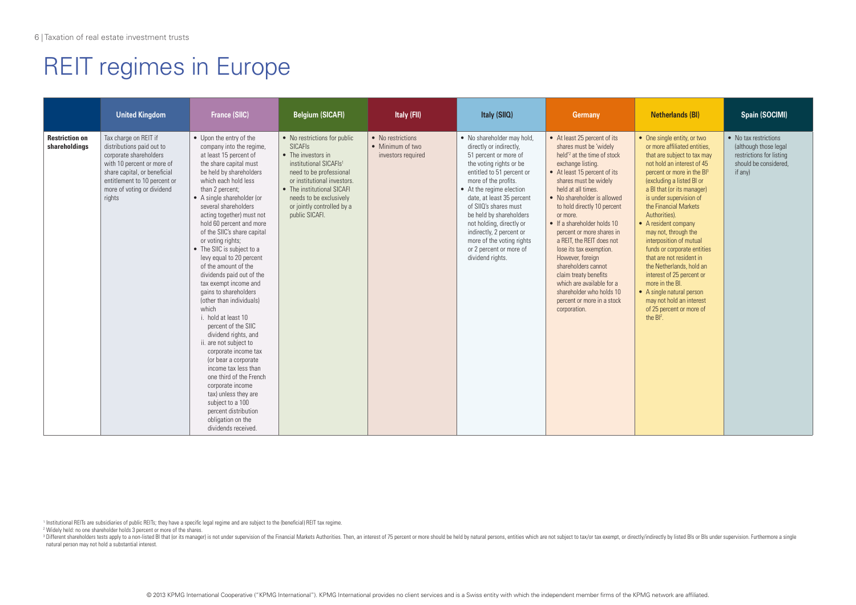|                                        | <b>United Kingdom</b>                                                                                                                                                                                              | <b>France (SIIC)</b>                                                                                                                                                                                                                                                                                                                                                                                                                                                                                                                                                                                                                                                                                                                                                                                                                                                                          | <b>Belgium (SICAFI)</b>                                                                                                                                                                                                                                           | Italy (FII)                                                 | Italy (SIIQ)                                                                                                                                                                                                                                                                                                                                                                                                    | Germany                                                                                                                                                                                                                                                                                                                                                                                                                                                                                                                                                                                | <b>Netherlands (BI)</b>                                                                                                                                                                                                                                                                                                                                                                                                                                                                                                                                                                                                | Spain (SOCIMI)                                                                                                 |
|----------------------------------------|--------------------------------------------------------------------------------------------------------------------------------------------------------------------------------------------------------------------|-----------------------------------------------------------------------------------------------------------------------------------------------------------------------------------------------------------------------------------------------------------------------------------------------------------------------------------------------------------------------------------------------------------------------------------------------------------------------------------------------------------------------------------------------------------------------------------------------------------------------------------------------------------------------------------------------------------------------------------------------------------------------------------------------------------------------------------------------------------------------------------------------|-------------------------------------------------------------------------------------------------------------------------------------------------------------------------------------------------------------------------------------------------------------------|-------------------------------------------------------------|-----------------------------------------------------------------------------------------------------------------------------------------------------------------------------------------------------------------------------------------------------------------------------------------------------------------------------------------------------------------------------------------------------------------|----------------------------------------------------------------------------------------------------------------------------------------------------------------------------------------------------------------------------------------------------------------------------------------------------------------------------------------------------------------------------------------------------------------------------------------------------------------------------------------------------------------------------------------------------------------------------------------|------------------------------------------------------------------------------------------------------------------------------------------------------------------------------------------------------------------------------------------------------------------------------------------------------------------------------------------------------------------------------------------------------------------------------------------------------------------------------------------------------------------------------------------------------------------------------------------------------------------------|----------------------------------------------------------------------------------------------------------------|
| <b>Restriction on</b><br>shareholdings | Tax charge on REIT if<br>distributions paid out to<br>corporate shareholders<br>with 10 percent or more of<br>share capital, or beneficial<br>entitlement to 10 percent or<br>more of voting or dividend<br>rights | • Upon the entry of the<br>company into the regime,<br>at least 15 percent of<br>the share capital must<br>be held by shareholders<br>which each hold less<br>than 2 percent;<br>• A single shareholder (or<br>several shareholders<br>acting together) must not<br>hold 60 percent and more<br>of the SIIC's share capital<br>or voting rights;<br>• The SIIC is subject to a<br>levy equal to 20 percent<br>of the amount of the<br>dividends paid out of the<br>tax exempt income and<br>gains to shareholders<br>(other than individuals)<br>which<br>i. hold at least 10<br>percent of the SIIC<br>dividend rights, and<br>ii. are not subject to<br>corporate income tax<br>(or bear a corporate<br>income tax less than<br>one third of the French<br>corporate income<br>tax) unless they are<br>subject to a 100<br>percent distribution<br>obligation on the<br>dividends received. | • No restrictions for public<br><b>SICAFIS</b><br>• The investors in<br>institutional SICAFIs1<br>need to be professional<br>or institutional investors.<br>• The institutional SICAFI<br>needs to be exclusively<br>or jointly controlled by a<br>public SICAFI. | • No restrictions<br>• Minimum of two<br>investors required | • No shareholder may hold,<br>directly or indirectly,<br>51 percent or more of<br>the voting rights or be<br>entitled to 51 percent or<br>more of the profits.<br>• At the regime election<br>date, at least 35 percent<br>of SIIO's shares must<br>be held by shareholders<br>not holding, directly or<br>indirectly, 2 percent or<br>more of the voting rights<br>or 2 percent or more of<br>dividend rights. | • At least 25 percent of its<br>shares must be 'widely<br>held <sup>'2</sup> at the time of stock<br>exchange listing.<br>• At least 15 percent of its<br>shares must be widely<br>held at all times.<br>• No shareholder is allowed<br>to hold directly 10 percent<br>or more.<br>$\bullet$ If a shareholder holds 10<br>percent or more shares in<br>a REIT, the REIT does not<br>lose its tax exemption.<br>However, foreign<br>shareholders cannot<br>claim treaty benefits<br>which are available for a<br>shareholder who holds 10<br>percent or more in a stock<br>corporation. | • One single entity, or two<br>or more affiliated entities.<br>that are subject to tax may<br>not hold an interest of 45<br>percent or more in the Bl3<br>(excluding a listed BI or<br>a BI that (or its manager)<br>is under supervision of<br>the Financial Markets<br>Authorities).<br>• A resident company<br>may not, through the<br>interposition of mutual<br>funds or corporate entities<br>that are not resident in<br>the Netherlands, hold an<br>interest of 25 percent or<br>more in the BI.<br>• A single natural person<br>may not hold an interest<br>of 25 percent or more of<br>the BI <sup>2</sup> . | • No tax restrictions<br>(although those legal<br>restrictions for listing<br>should be considered.<br>if any) |

1 Institutional REITs are subsidiaries of public REITs; they have a specific legal regime and are subject to the (beneficial) REIT tax regime.

2 Widely held: no one shareholder holds 3 percent or more of the shares.

<sup>3</sup> Different shareholders tests apply to a non-listed BI that (or its manager) is not under supervision of the Financial Markets Authorities. Then, an interest of 75 percent or more should be held by natural persons, enti natural person may not hold a substantial interest.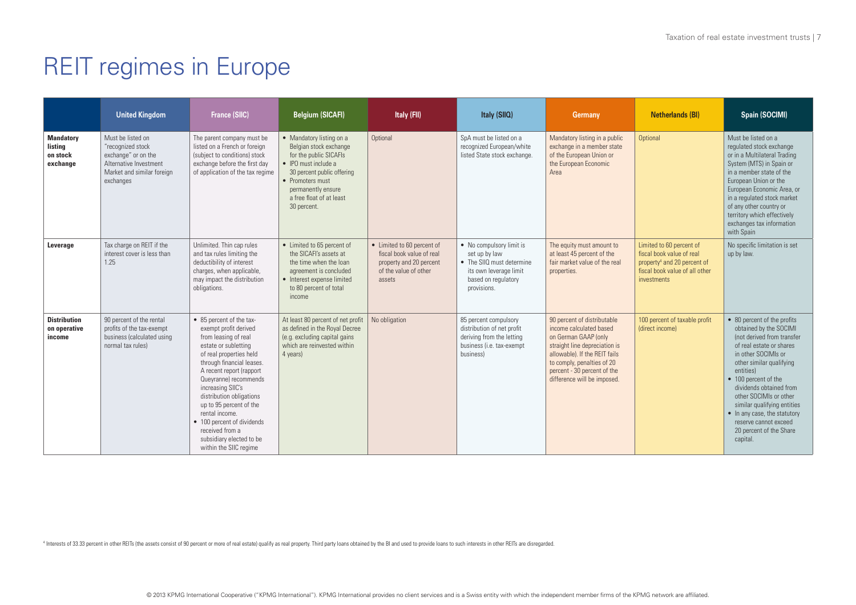|                                                     | <b>United Kingdom</b>                                                                                                              | <b>France (SIIC)</b>                                                                                                                                                                                                                                                                                                                                                                                                | <b>Belgium (SICAFI)</b>                                                                                                                                                                                                         | Italy (FII)                                                                                                           | Italy (SIIQ)                                                                                                                           | <b>Germany</b>                                                                                                                                                                                                                               | <b>Netherlands (BI)</b>                                                                                                                           | Spain (SOCIMI)                                                                                                                                                                                                                                                                                                                                                                              |
|-----------------------------------------------------|------------------------------------------------------------------------------------------------------------------------------------|---------------------------------------------------------------------------------------------------------------------------------------------------------------------------------------------------------------------------------------------------------------------------------------------------------------------------------------------------------------------------------------------------------------------|---------------------------------------------------------------------------------------------------------------------------------------------------------------------------------------------------------------------------------|-----------------------------------------------------------------------------------------------------------------------|----------------------------------------------------------------------------------------------------------------------------------------|----------------------------------------------------------------------------------------------------------------------------------------------------------------------------------------------------------------------------------------------|---------------------------------------------------------------------------------------------------------------------------------------------------|---------------------------------------------------------------------------------------------------------------------------------------------------------------------------------------------------------------------------------------------------------------------------------------------------------------------------------------------------------------------------------------------|
| <b>Mandatory</b><br>listing<br>on stock<br>exchange | Must be listed on<br>"recognized stock<br>exchange" or on the<br>Alternative Investment<br>Market and similar foreign<br>exchanges | The parent company must be<br>listed on a French or foreign<br>(subject to conditions) stock<br>exchange before the first day<br>of application of the tax regime                                                                                                                                                                                                                                                   | • Mandatory listing on a<br>Belgian stock exchange<br>for the public SICAFIs<br>$\bullet$ IPO must include a<br>30 percent public offering<br>• Promoters must<br>permanently ensure<br>a free float of at least<br>30 percent. | Optional                                                                                                              | SpA must be listed on a<br>recognized European/white<br>listed State stock exchange.                                                   | Mandatory listing in a public<br>exchange in a member state<br>of the European Union or<br>the European Economic<br>Area                                                                                                                     | Optional                                                                                                                                          | Must be listed on a<br>requlated stock exchange<br>or in a Multilateral Trading<br>System (MTS) in Spain or<br>in a member state of the<br>European Union or the<br>European Economic Area, or<br>in a regulated stock market<br>of any other country or<br>territory which effectively<br>exchanges tax information<br>with Spain                                                          |
| Leverage                                            | Tax charge on REIT if the<br>interest cover is less than<br>1.25                                                                   | Unlimited. Thin cap rules<br>and tax rules limiting the<br>deductibility of interest<br>charges, when applicable,<br>may impact the distribution<br>obligations.                                                                                                                                                                                                                                                    | • Limited to 65 percent of<br>the SICAFI's assets at<br>the time when the loan<br>agreement is concluded<br>• Interest expense limited<br>to 80 percent of total<br>income                                                      | • Limited to 60 percent of<br>fiscal book value of real<br>property and 20 percent<br>of the value of other<br>assets | • No compulsory limit is<br>set up by law<br>• The SIIO must determine<br>its own leverage limit<br>based on regulatory<br>provisions. | The equity must amount to<br>at least 45 percent of the<br>fair market value of the real<br>properties.                                                                                                                                      | Limited to 60 percent of<br>fiscal book value of real<br>property <sup>4</sup> and 20 percent of<br>fiscal book value of all other<br>investments | No specific limitation is set<br>up by law.                                                                                                                                                                                                                                                                                                                                                 |
| <b>Distribution</b><br>on operative<br>income       | 90 percent of the rental<br>profits of the tax-exempt<br>business (calculated using<br>normal tax rules)                           | • 85 percent of the tax-<br>exempt profit derived<br>from leasing of real<br>estate or subletting<br>of real properties held<br>through financial leases.<br>A recent report (rapport<br>Queyranne) recommends<br>increasing SIIC's<br>distribution obligations<br>up to 95 percent of the<br>rental income.<br>• 100 percent of dividends<br>received from a<br>subsidiary elected to be<br>within the SIIC regime | At least 80 percent of net profit<br>as defined in the Royal Decree<br>(e.g. excluding capital gains<br>which are reinvested within<br>4 years)                                                                                 | No obligation                                                                                                         | 85 percent compulsory<br>distribution of net profit<br>deriving from the letting<br>business (i.e. tax-exempt<br>business)             | 90 percent of distributable<br>income calculated based<br>on German GAAP (only<br>straight line depreciation is<br>allowable). If the REIT fails<br>to comply, penalties of 20<br>percent - 30 percent of the<br>difference will be imposed. | 100 percent of taxable profit<br>(direct income)                                                                                                  | • 80 percent of the profits<br>obtained by the SOCIMI<br>Inot derived from transfer<br>of real estate or shares<br>in other SOCIMIs or<br>other similar qualifying<br>entities)<br>• 100 percent of the<br>dividends obtained from<br>other SOCIMIs or other<br>similar qualifying entities<br>• In any case, the statutory<br>reserve cannot exceed<br>20 percent of the Share<br>capital. |

Interests of 33.33 percent in other REITs (the assets consist of 90 percent or more of real estate) qualify as real property. Third party loans obtained by the BI and used to provide loans to such interests in other REITs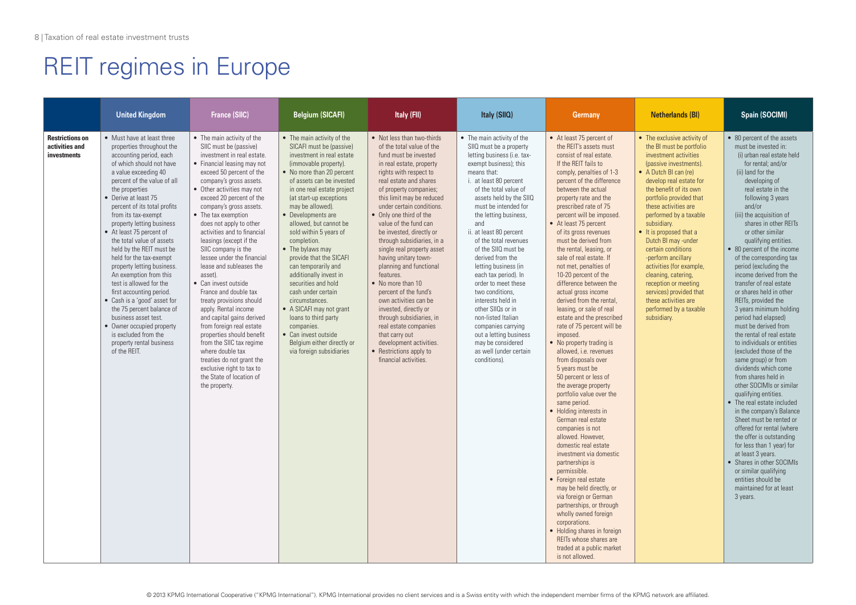|                                                                | <b>United Kingdom</b>                                                                                                                                                                                                                                                                                                                                                                                                                                                                                                                                                                                                                                                                                                    | <b>France (SIIC)</b>                                                                                                                                                                                                                                                                                                                                                                                                                                                                                                                                                                                                                                                                                                                                                                                                   | <b>Belgium (SICAFI)</b>                                                                                                                                                                                                                                                                                                                                                                                                                                                                                                                                                                                                                                          | Italy (FII)                                                                                                                                                                                                                                                                                                                                                                                                                                                                                                                                                                                                                                                                                                            | Italy (SIIQ)                                                                                                                                                                                                                                                                                                                                                                                                                                                                                                                                                                                                                                | <b>Germany</b>                                                                                                                                                                                                                                                                                                                                                                                                                                                                                                                                                                                                                                                                                                                                                                                                                                                                                                                                                                                                                                                                                                                                                                                                                                                              | <b>Netherlands (BI)</b>                                                                                                                                                                                                                                                                                                                                                                                                                                                                                                                                   | Spain (SOCIMI)                                                                                                                                                                                                                                                                                                                                                                                                                                                                                                                                                                                                                                                                                                                                                                                                                                                                                                                                                                                                                                                                                            |
|----------------------------------------------------------------|--------------------------------------------------------------------------------------------------------------------------------------------------------------------------------------------------------------------------------------------------------------------------------------------------------------------------------------------------------------------------------------------------------------------------------------------------------------------------------------------------------------------------------------------------------------------------------------------------------------------------------------------------------------------------------------------------------------------------|------------------------------------------------------------------------------------------------------------------------------------------------------------------------------------------------------------------------------------------------------------------------------------------------------------------------------------------------------------------------------------------------------------------------------------------------------------------------------------------------------------------------------------------------------------------------------------------------------------------------------------------------------------------------------------------------------------------------------------------------------------------------------------------------------------------------|------------------------------------------------------------------------------------------------------------------------------------------------------------------------------------------------------------------------------------------------------------------------------------------------------------------------------------------------------------------------------------------------------------------------------------------------------------------------------------------------------------------------------------------------------------------------------------------------------------------------------------------------------------------|------------------------------------------------------------------------------------------------------------------------------------------------------------------------------------------------------------------------------------------------------------------------------------------------------------------------------------------------------------------------------------------------------------------------------------------------------------------------------------------------------------------------------------------------------------------------------------------------------------------------------------------------------------------------------------------------------------------------|---------------------------------------------------------------------------------------------------------------------------------------------------------------------------------------------------------------------------------------------------------------------------------------------------------------------------------------------------------------------------------------------------------------------------------------------------------------------------------------------------------------------------------------------------------------------------------------------------------------------------------------------|-----------------------------------------------------------------------------------------------------------------------------------------------------------------------------------------------------------------------------------------------------------------------------------------------------------------------------------------------------------------------------------------------------------------------------------------------------------------------------------------------------------------------------------------------------------------------------------------------------------------------------------------------------------------------------------------------------------------------------------------------------------------------------------------------------------------------------------------------------------------------------------------------------------------------------------------------------------------------------------------------------------------------------------------------------------------------------------------------------------------------------------------------------------------------------------------------------------------------------------------------------------------------------|-----------------------------------------------------------------------------------------------------------------------------------------------------------------------------------------------------------------------------------------------------------------------------------------------------------------------------------------------------------------------------------------------------------------------------------------------------------------------------------------------------------------------------------------------------------|-----------------------------------------------------------------------------------------------------------------------------------------------------------------------------------------------------------------------------------------------------------------------------------------------------------------------------------------------------------------------------------------------------------------------------------------------------------------------------------------------------------------------------------------------------------------------------------------------------------------------------------------------------------------------------------------------------------------------------------------------------------------------------------------------------------------------------------------------------------------------------------------------------------------------------------------------------------------------------------------------------------------------------------------------------------------------------------------------------------|
| <b>Restrictions on</b><br>activities and<br><b>investments</b> | • Must have at least three<br>properties throughout the<br>accounting period, each<br>of which should not have<br>a value exceeding 40<br>percent of the value of all<br>the properties<br>• Derive at least 75<br>percent of its total profits<br>from its tax-exempt<br>property letting business<br>• At least 75 percent of<br>the total value of assets<br>held by the REIT must be<br>held for the tax-exempt<br>property letting business.<br>An exemption from this<br>test is allowed for the<br>first accounting period.<br>• Cash is a 'good' asset for<br>the 75 percent balance of<br>business asset test.<br>• Owner occupied property<br>is excluded from the<br>property rental business<br>of the REIT. | • The main activity of the<br>SIIC must be (passive)<br>investment in real estate.<br>• Financial leasing may not<br>exceed 50 percent of the<br>company's gross assets.<br>• Other activities may not<br>exceed 20 percent of the<br>company's gross assets.<br>• The tax exemption<br>does not apply to other<br>activities and to financial<br>leasings (except if the<br>SIIC company is the<br>lessee under the financial<br>lease and subleases the<br>asset).<br>• Can invest outside<br>France and double tax<br>treaty provisions should<br>apply. Rental income<br>and capital gains derived<br>from foreign real estate<br>properties should benefit<br>from the SIIC tax regime<br>where double tax<br>treaties do not grant the<br>exclusive right to tax to<br>the State of location of<br>the property. | • The main activity of the<br>SICAFI must be (passive)<br>investment in real estate<br>(immovable property).<br>• No more than 20 percent<br>of assets can be invested<br>in one real estate project<br>(at start-up exceptions)<br>may be allowed).<br>• Developments are<br>allowed, but cannot be<br>sold within 5 years of<br>completion.<br>• The bylaws may<br>provide that the SICAFI<br>can temporarily and<br>additionally invest in<br>securities and hold<br>cash under certain<br>circumstances.<br>• A SICAFI may not grant<br>loans to third party<br>companies.<br>• Can invest outside<br>Belgium either directly or<br>via foreign subsidiaries | • Not less than two-thirds<br>of the total value of the<br>fund must be invested<br>in real estate, property<br>rights with respect to<br>real estate and shares<br>of property companies;<br>this limit may be reduced<br>under certain conditions.<br>• Only one third of the<br>value of the fund can<br>be invested, directly or<br>through subsidiaries, in a<br>single real property asset<br>having unitary town-<br>planning and functional<br>features.<br>• No more than 10<br>percent of the fund's<br>own activities can be<br>invested, directly or<br>through subsidiaries, in<br>real estate companies<br>that carry out<br>development activities.<br>• Restrictions apply to<br>financial activities. | • The main activity of the<br>SIIQ must be a property<br>letting business (i.e. tax-<br>exempt business); this<br>means that:<br>i. at least 80 percent<br>of the total value of<br>assets held by the SIIQ<br>must be intended for<br>the letting business,<br>and<br>ii. at least 80 percent<br>of the total revenues<br>of the SIIQ must be<br>derived from the<br>letting business (in<br>each tax period). In<br>order to meet these<br>two conditions.<br>interests held in<br>other SIIQs or in<br>non-listed Italian<br>companies carrying<br>out a letting business<br>may be considered<br>as well (under certain<br>conditions). | • At least 75 percent of<br>the REIT's assets must<br>consist of real estate.<br>If the RFIT fails to<br>comply, penalties of 1-3<br>percent of the difference<br>between the actual<br>property rate and the<br>prescribed rate of 75<br>percent will be imposed.<br>• At least 75 percent<br>of its gross revenues<br>must be derived from<br>the rental, leasing, or<br>sale of real estate. If<br>not met, penalties of<br>10-20 percent of the<br>difference between the<br>actual gross income<br>derived from the rental.<br>leasing, or sale of real<br>estate and the prescribed<br>rate of 75 percent will be<br>imposed.<br>• No property trading is<br>allowed, i.e. revenues<br>from disposals over<br>5 years must be<br>50 percent or less of<br>the average property<br>portfolio value over the<br>same period.<br>• Holding interests in<br>German real estate<br>companies is not<br>allowed. However.<br>domestic real estate<br>investment via domestic<br>partnerships is<br>permissible.<br>• Foreign real estate<br>may be held directly, or<br>via foreign or German<br>partnerships, or through<br>wholly owned foreign<br>corporations.<br>• Holding shares in foreign<br>REITs whose shares are<br>traded at a public market<br>is not allowed. | • The exclusive activity of<br>the BI must be portfolio<br>investment activities<br>(passive investments).<br>• A Dutch BI can (re)<br>develop real estate for<br>the benefit of its own<br>portfolio provided that<br>these activities are<br>performed by a taxable<br>subsidiary.<br>• It is proposed that a<br>Dutch BI may -under<br>certain conditions<br>-perform ancillary<br>activities (for example,<br>cleaning, catering,<br>reception or meeting<br>services) provided that<br>these activities are<br>performed by a taxable<br>subsidiary. | • 80 percent of the assets<br>must be invested in:<br>(i) urban real estate held<br>for rental: and/or<br>(ii) land for the<br>developing of<br>real estate in the<br>following 3 years<br>and/or<br>(iii) the acquisition of<br>shares in other REITs<br>or other similar<br>qualifying entities.<br>• 80 percent of the income<br>of the corresponding tax<br>period (excluding the<br>income derived from the<br>transfer of real estate<br>or shares held in other<br>REITs, provided the<br>3 years minimum holding<br>period had elapsed)<br>must be derived from<br>the rental of real estate<br>to individuals or entities<br>(excluded those of the<br>same group) or from<br>dividends which come<br>from shares held in<br>other SOCIMIs or similar<br>qualifying entities.<br>• The real estate included<br>in the company's Balance<br>Sheet must be rented or<br>offered for rental (where<br>the offer is outstanding<br>for less than 1 year) for<br>at least 3 years.<br>• Shares in other SOCIMIs<br>or similar qualifying<br>entities should be<br>maintained for at least<br>3 years. |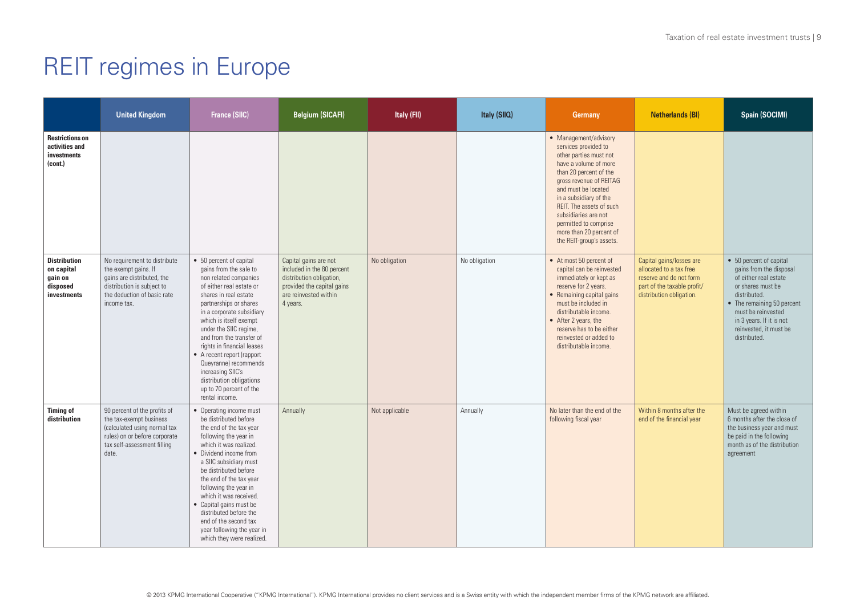|                                                                         | <b>United Kingdom</b>                                                                                                                                            | <b>France (SIIC)</b>                                                                                                                                                                                                                                                                                                                                                                                                                                      | <b>Belgium (SICAFI)</b>                                                                                                                            | Italy (FII)    | Italy (SIIQ)  | Germany                                                                                                                                                                                                                                                                                                                                    | <b>Netherlands (BI)</b>                                                                                                                   | Spain (SOCIMI)                                                                                                                                                                                                                             |
|-------------------------------------------------------------------------|------------------------------------------------------------------------------------------------------------------------------------------------------------------|-----------------------------------------------------------------------------------------------------------------------------------------------------------------------------------------------------------------------------------------------------------------------------------------------------------------------------------------------------------------------------------------------------------------------------------------------------------|----------------------------------------------------------------------------------------------------------------------------------------------------|----------------|---------------|--------------------------------------------------------------------------------------------------------------------------------------------------------------------------------------------------------------------------------------------------------------------------------------------------------------------------------------------|-------------------------------------------------------------------------------------------------------------------------------------------|--------------------------------------------------------------------------------------------------------------------------------------------------------------------------------------------------------------------------------------------|
| <b>Restrictions on</b><br>activities and<br>investments<br>(cont.)      |                                                                                                                                                                  |                                                                                                                                                                                                                                                                                                                                                                                                                                                           |                                                                                                                                                    |                |               | • Management/advisory<br>services provided to<br>other parties must not<br>have a volume of more<br>than 20 percent of the<br>gross revenue of REITAG<br>and must be located<br>in a subsidiary of the<br>REIT. The assets of such<br>subsidiaries are not<br>permitted to comprise<br>more than 20 percent of<br>the REIT-group's assets. |                                                                                                                                           |                                                                                                                                                                                                                                            |
| <b>Distribution</b><br>on capital<br>gain on<br>disposed<br>investments | No requirement to distribute<br>the exempt gains. If<br>gains are distributed, the<br>distribution is subject to<br>the deduction of basic rate<br>income tax.   | • 50 percent of capital<br>gains from the sale to<br>non related companies<br>of either real estate or<br>shares in real estate<br>partnerships or shares<br>in a corporate subsidiary<br>which is itself exempt<br>under the SIIC regime,<br>and from the transfer of<br>rights in financial leases<br>• A recent report (rapport<br>Queyranne) recommends<br>increasing SIIC's<br>distribution obligations<br>up to 70 percent of the<br>rental income. | Capital gains are not<br>included in the 80 percent<br>distribution obligation,<br>provided the capital gains<br>are reinvested within<br>4 years. | No obligation  | No obligation | • At most 50 percent of<br>capital can be reinvested<br>immediately or kept as<br>reserve for 2 years.<br>• Remaining capital gains<br>must be included in<br>distributable income.<br>• After 2 years, the<br>reserve has to be either<br>reinvested or added to<br>distributable income.                                                 | Capital gains/losses are<br>allocated to a tax free<br>reserve and do not form<br>part of the taxable profit/<br>distribution obligation. | • 50 percent of capital<br>gains from the disposal<br>of either real estate<br>or shares must be<br>distributed.<br>• The remaining 50 percent<br>must be reinvested<br>in 3 years. If it is not<br>reinvested, it must be<br>distributed. |
| <b>Timing of</b><br>distribution                                        | 90 percent of the profits of<br>the tax-exempt business<br>(calculated using normal tax<br>rules) on or before corporate<br>tax self-assessment filling<br>date. | • Operating income must<br>be distributed before<br>the end of the tax year<br>following the year in<br>which it was realized.<br>• Dividend income from<br>a SIIC subsidiary must<br>be distributed before<br>the end of the tax year<br>following the year in<br>which it was received.<br>• Capital gains must be<br>distributed before the<br>end of the second tax<br>year following the year in<br>which they were realized.                        | Annually                                                                                                                                           | Not applicable | Annually      | No later than the end of the<br>following fiscal year                                                                                                                                                                                                                                                                                      | Within 8 months after the<br>end of the financial year                                                                                    | Must be agreed within<br>6 months after the close of<br>the business year and must<br>be paid in the following<br>month as of the distribution<br>agreement                                                                                |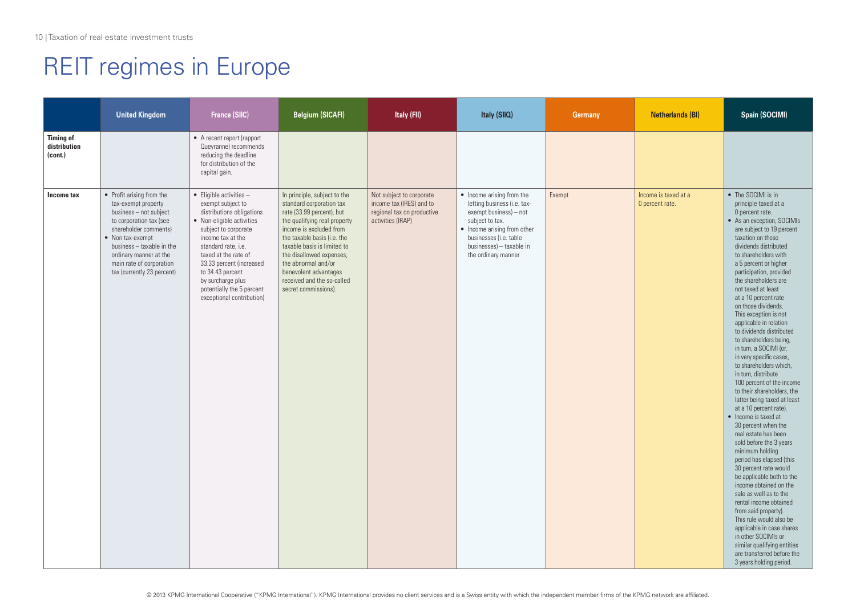|                                             | <b>United Kingdom</b>                                                                                                                                                                                                                                               | <b>France (SIIC)</b>                                                                                                                                                                                                                                                                                                                      | <b>Belgium (SICAFI)</b>                                                                                                                                                                                                                                                                                                                          | Italy (FII)                                                                                             | Italy (SIIQ)                                                                                                                                                                                                      | Germany | <b>Netherlands (BI)</b>                 | <b>Spain (SOCIMI)</b>                                                                                                                                                                                                                                                                                                                                                                                                                                                                                                                                                                                                                                                                                                                                                                                                                                                                                                                                                                                                                                                                                                                                                  |
|---------------------------------------------|---------------------------------------------------------------------------------------------------------------------------------------------------------------------------------------------------------------------------------------------------------------------|-------------------------------------------------------------------------------------------------------------------------------------------------------------------------------------------------------------------------------------------------------------------------------------------------------------------------------------------|--------------------------------------------------------------------------------------------------------------------------------------------------------------------------------------------------------------------------------------------------------------------------------------------------------------------------------------------------|---------------------------------------------------------------------------------------------------------|-------------------------------------------------------------------------------------------------------------------------------------------------------------------------------------------------------------------|---------|-----------------------------------------|------------------------------------------------------------------------------------------------------------------------------------------------------------------------------------------------------------------------------------------------------------------------------------------------------------------------------------------------------------------------------------------------------------------------------------------------------------------------------------------------------------------------------------------------------------------------------------------------------------------------------------------------------------------------------------------------------------------------------------------------------------------------------------------------------------------------------------------------------------------------------------------------------------------------------------------------------------------------------------------------------------------------------------------------------------------------------------------------------------------------------------------------------------------------|
| <b>Timing of</b><br>distribution<br>(cont.) |                                                                                                                                                                                                                                                                     | • A recent report (rapport<br>Queyranne) recommends<br>reducing the deadline<br>for distribution of the<br>capital gain.                                                                                                                                                                                                                  |                                                                                                                                                                                                                                                                                                                                                  |                                                                                                         |                                                                                                                                                                                                                   |         |                                         |                                                                                                                                                                                                                                                                                                                                                                                                                                                                                                                                                                                                                                                                                                                                                                                                                                                                                                                                                                                                                                                                                                                                                                        |
| Income tax                                  | • Profit arising from the<br>tax-exempt property<br>business - not subject<br>to corporation tax (see<br>shareholder comments)<br>• Non tax-exempt<br>business - taxable in the<br>ordinary manner at the<br>main rate of corporation<br>tax (currently 23 percent) | $\bullet$ Eligible activities -<br>exempt subject to<br>distributions obligations<br>• Non-eligible activities<br>subject to corporate<br>income tax at the<br>standard rate, i.e.<br>taxed at the rate of<br>33.33 percent (increased<br>to 34.43 percent<br>by surcharge plus<br>potentially the 5 percent<br>exceptional contribution) | In principle, subject to the<br>standard corporation tax<br>rate (33.99 percent), but<br>the qualifying real property<br>income is excluded from<br>the taxable basis (i.e. the<br>taxable basis is limited to<br>the disallowed expenses,<br>the abnormal and/or<br>benevolent advantages<br>received and the so-called<br>secret commissions). | Not subject to corporate<br>income tax (IRES) and to<br>regional tax on productive<br>activities (IRAP) | • Income arising from the<br>letting business (i.e. tax-<br>exempt business) - not<br>subject to tax.<br>• Income arising from other<br>businesses (i.e. table<br>businesses) - taxable in<br>the ordinary manner | Exempt  | Income is taxed at a<br>0 percent rate. | • The SOCIMI is in<br>principle taxed at a<br>0 percent rate.<br>• As an exception, SOCIMIs<br>are subject to 19 percent<br>taxation on those<br>dividends distributed<br>to shareholders with<br>a 5 percent or higher<br>participation, provided<br>the shareholders are<br>not taxed at least<br>at a 10 percent rate<br>on those dividends.<br>This exception is not<br>applicable in relation<br>to dividends distributed<br>to shareholders being,<br>in turn, a SOCIMI (or,<br>in very specific cases,<br>to shareholders which,<br>in turn, distribute<br>100 percent of the income<br>to their shareholders, the<br>latter being taxed at least<br>at a 10 percent rate).<br>• Income is taxed at<br>30 percent when the<br>real estate has been<br>sold before the 3 years<br>minimum holding<br>period has elapsed (this<br>30 percent rate would<br>be applicable both to the<br>income obtained on the<br>sale as well as to the<br>rental income obtained<br>from said property).<br>This rule would also be<br>applicable in case shares<br>in other SOCIMIs or<br>similar qualifying entities<br>are transferred before the<br>3 years holding period. |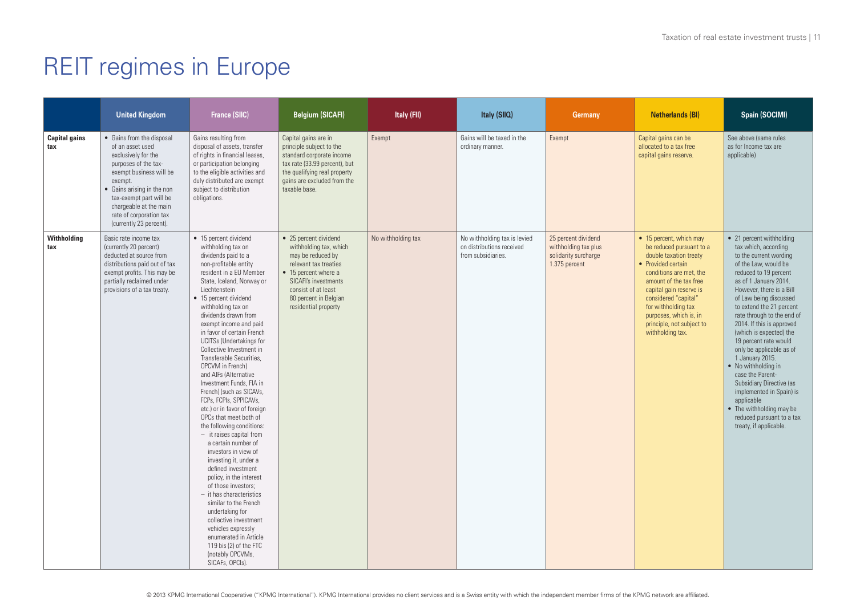|                             | <b>United Kingdom</b>                                                                                                                                                                                                                                                       | <b>France (SIIC)</b>                                                                                                                                                                                                                                                                                                                                                                                                                                                                                                                                                                                                                                                                                                                                                                                                                                                                                                                                                                                                  | <b>Belgium (SICAFI)</b>                                                                                                                                                                                               | Italy (FII)        | Italy (SIIQ)                                                                    | <b>Germany</b>                                                                       | <b>Netherlands (BI)</b>                                                                                                                                                                                                                                                                                       | Spain (SOCIMI)                                                                                                                                                                                                                                                                                                                                                                                                                                                                                                                                                                                           |
|-----------------------------|-----------------------------------------------------------------------------------------------------------------------------------------------------------------------------------------------------------------------------------------------------------------------------|-----------------------------------------------------------------------------------------------------------------------------------------------------------------------------------------------------------------------------------------------------------------------------------------------------------------------------------------------------------------------------------------------------------------------------------------------------------------------------------------------------------------------------------------------------------------------------------------------------------------------------------------------------------------------------------------------------------------------------------------------------------------------------------------------------------------------------------------------------------------------------------------------------------------------------------------------------------------------------------------------------------------------|-----------------------------------------------------------------------------------------------------------------------------------------------------------------------------------------------------------------------|--------------------|---------------------------------------------------------------------------------|--------------------------------------------------------------------------------------|---------------------------------------------------------------------------------------------------------------------------------------------------------------------------------------------------------------------------------------------------------------------------------------------------------------|----------------------------------------------------------------------------------------------------------------------------------------------------------------------------------------------------------------------------------------------------------------------------------------------------------------------------------------------------------------------------------------------------------------------------------------------------------------------------------------------------------------------------------------------------------------------------------------------------------|
| <b>Capital gains</b><br>tax | • Gains from the disposal<br>of an asset used<br>exclusively for the<br>purposes of the tax-<br>exempt business will be<br>exempt.<br>• Gains arising in the non<br>tax-exempt part will be<br>chargeable at the main<br>rate of corporation tax<br>(currently 23 percent). | Gains resulting from<br>disposal of assets, transfer<br>of rights in financial leases,<br>or participation belonging<br>to the eligible activities and<br>duly distributed are exempt<br>subject to distribution<br>obligations.                                                                                                                                                                                                                                                                                                                                                                                                                                                                                                                                                                                                                                                                                                                                                                                      | Capital gains are in<br>principle subject to the<br>standard corporate income<br>tax rate (33.99 percent), but<br>the qualifying real property<br>gains are excluded from the<br>taxable base.                        | Exempt             | Gains will be taxed in the<br>ordinary manner.                                  | Exempt                                                                               | Capital gains can be<br>allocated to a tax free<br>capital gains reserve.                                                                                                                                                                                                                                     | See above (same rules<br>as for Income tax are<br>applicable)                                                                                                                                                                                                                                                                                                                                                                                                                                                                                                                                            |
| Withholding<br>tax          | Basic rate income tax<br>(currently 20 percent)<br>deducted at source from<br>distributions paid out of tax<br>exempt profits. This may be<br>partially reclaimed under<br>provisions of a tax treaty.                                                                      | • 15 percent dividend<br>withholding tax on<br>dividends paid to a<br>non-profitable entity<br>resident in a EU Member<br>State, Iceland, Norway or<br>Liechtenstein<br>• 15 percent dividend<br>withholding tax on<br>dividends drawn from<br>exempt income and paid<br>in favor of certain French<br><b>UCITSs (Undertakings for</b><br>Collective Investment in<br>Transferable Securities,<br>OPCVM in French)<br>and AIFs (Alternative<br>Investment Funds, FIA in<br>French) (such as SICAVs,<br>FCPs, FCPIs, SPPICAVs,<br>etc.) or in favor of foreign<br>OPCs that meet both of<br>the following conditions:<br>$-$ it raises capital from<br>a certain number of<br>investors in view of<br>investing it, under a<br>defined investment<br>policy, in the interest<br>of those investors:<br>$-$ it has characteristics<br>similar to the French<br>undertaking for<br>collective investment<br>vehicles expressly<br>enumerated in Article<br>119 bis (2) of the FTC<br>(notably OPCVMs,<br>SICAFs, OPCIs). | • 25 percent dividend<br>withholding tax, which<br>may be reduced by<br>relevant tax treaties<br>• 15 percent where a<br>SICAFI's investments<br>consist of at least<br>80 percent in Belgian<br>residential property | No withholding tax | No withholding tax is levied<br>on distributions received<br>from subsidiaries. | 25 percent dividend<br>withholding tax plus<br>solidarity surcharge<br>1.375 percent | • 15 percent, which may<br>be reduced pursuant to a<br>double taxation treaty<br>• Provided certain<br>conditions are met, the<br>amount of the tax free<br>capital gain reserve is<br>considered "capital"<br>for withholding tax<br>purposes, which is, in<br>principle, not subject to<br>withholding tax. | • 21 percent withholding<br>tax which, according<br>to the current wording<br>of the Law, would be<br>reduced to 19 percent<br>as of 1 January 2014.<br>However, there is a Bill<br>of Law being discussed<br>to extend the 21 percent<br>rate through to the end of<br>2014. If this is approved<br>(which is expected) the<br>19 percent rate would<br>only be applicable as of<br>1 January 2015.<br>• No withholding in<br>case the Parent-<br>Subsidiary Directive (as<br>implemented in Spain) is<br>applicable<br>• The withholding may be<br>reduced pursuant to a tax<br>treaty, if applicable. |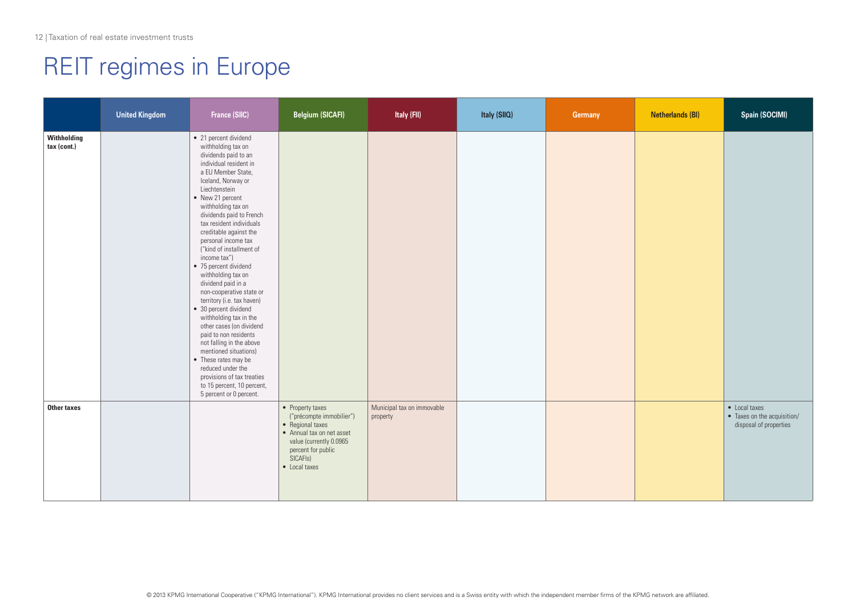|                            | <b>United Kingdom</b> | France (SILC)                                                                                                                                                                                                                                                                                                                                                                                                                                                                                                                                                                                                                                                                                                                                                                             | <b>Belgium (SICAFI)</b>                                                                                                                                                                  | Italy (FII)                            | Italy (SIIQ) | Germany | <b>Netherlands (BI)</b> | <b>Spain (SOCIMI)</b>                                                  |
|----------------------------|-----------------------|-------------------------------------------------------------------------------------------------------------------------------------------------------------------------------------------------------------------------------------------------------------------------------------------------------------------------------------------------------------------------------------------------------------------------------------------------------------------------------------------------------------------------------------------------------------------------------------------------------------------------------------------------------------------------------------------------------------------------------------------------------------------------------------------|------------------------------------------------------------------------------------------------------------------------------------------------------------------------------------------|----------------------------------------|--------------|---------|-------------------------|------------------------------------------------------------------------|
| Withholding<br>tax (cont.) |                       | • 21 percent dividend<br>withholding tax on<br>dividends paid to an<br>individual resident in<br>a EU Member State,<br>Iceland, Norway or<br>Liechtenstein<br>• New 21 percent<br>withholding tax on<br>dividends paid to French<br>tax resident individuals<br>creditable against the<br>personal income tax<br>("kind of installment of<br>income tax")<br>• 75 percent dividend<br>withholding tax on<br>dividend paid in a<br>non-cooperative state or<br>territory (i.e. tax haven)<br>• 30 percent dividend<br>withholding tax in the<br>other cases (on dividend<br>paid to non residents<br>not falling in the above<br>mentioned situations)<br>• These rates may be<br>reduced under the<br>provisions of tax treaties<br>to 15 percent, 10 percent,<br>5 percent or 0 percent. |                                                                                                                                                                                          |                                        |              |         |                         |                                                                        |
| Other taxes                |                       |                                                                                                                                                                                                                                                                                                                                                                                                                                                                                                                                                                                                                                                                                                                                                                                           | • Property taxes<br>("précompte immobilier")<br>• Regional taxes<br>• Annual tax on net asset<br>value (currently 0.0965<br>percent for public<br>SICAFI <sub>s</sub> )<br>• Local taxes | Municipal tax on immovable<br>property |              |         |                         | • Local taxes<br>• Taxes on the acquisition/<br>disposal of properties |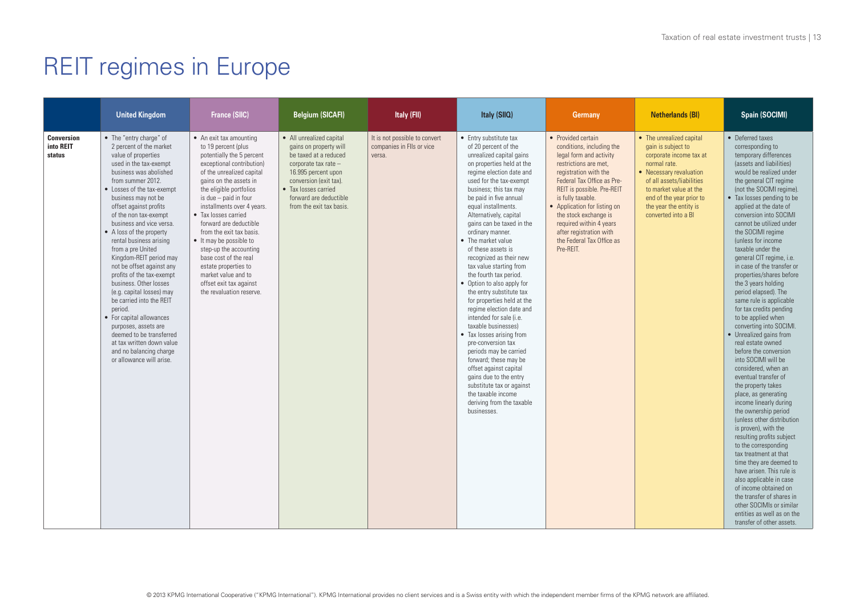|                                          | <b>United Kingdom</b>                                                                                                                                                                                                                                                                                                                                                                                                                                                                                                                                                                                                                                                                                                     | <b>France (SIIC)</b>                                                                                                                                                                                                                                                                                                                                                                                                                                                                                                  | <b>Belgium (SICAFI)</b>                                                                                                                                                                                                            | Italy (FII)                                                          | Italy (SIIQ)                                                                                                                                                                                                                                                                                                                                                                                                                                                                                                                                                                                                                                                                                                                                                                                                                                                                    | <b>Germany</b>                                                                                                                                                                                                                                                                                                                                                         | <b>Netherlands (BI)</b>                                                                                                                                                                                                                                  | Spain (SOCIMI)                                                                                                                                                                                                                                                                                                                                                                                                                                                                                                                                                                                                                                                                                                                                                                                                                                                                                                                                                                                                                                                                                                                                                                                                           |
|------------------------------------------|---------------------------------------------------------------------------------------------------------------------------------------------------------------------------------------------------------------------------------------------------------------------------------------------------------------------------------------------------------------------------------------------------------------------------------------------------------------------------------------------------------------------------------------------------------------------------------------------------------------------------------------------------------------------------------------------------------------------------|-----------------------------------------------------------------------------------------------------------------------------------------------------------------------------------------------------------------------------------------------------------------------------------------------------------------------------------------------------------------------------------------------------------------------------------------------------------------------------------------------------------------------|------------------------------------------------------------------------------------------------------------------------------------------------------------------------------------------------------------------------------------|----------------------------------------------------------------------|---------------------------------------------------------------------------------------------------------------------------------------------------------------------------------------------------------------------------------------------------------------------------------------------------------------------------------------------------------------------------------------------------------------------------------------------------------------------------------------------------------------------------------------------------------------------------------------------------------------------------------------------------------------------------------------------------------------------------------------------------------------------------------------------------------------------------------------------------------------------------------|------------------------------------------------------------------------------------------------------------------------------------------------------------------------------------------------------------------------------------------------------------------------------------------------------------------------------------------------------------------------|----------------------------------------------------------------------------------------------------------------------------------------------------------------------------------------------------------------------------------------------------------|--------------------------------------------------------------------------------------------------------------------------------------------------------------------------------------------------------------------------------------------------------------------------------------------------------------------------------------------------------------------------------------------------------------------------------------------------------------------------------------------------------------------------------------------------------------------------------------------------------------------------------------------------------------------------------------------------------------------------------------------------------------------------------------------------------------------------------------------------------------------------------------------------------------------------------------------------------------------------------------------------------------------------------------------------------------------------------------------------------------------------------------------------------------------------------------------------------------------------|
| <b>Conversion</b><br>into REIT<br>status | • The "entry charge" of<br>2 percent of the market<br>value of properties<br>used in the tax-exempt<br>business was abolished<br>from summer 2012.<br>• Losses of the tax-exempt<br>business may not be<br>offset against profits<br>of the non tax-exempt<br>business and vice versa.<br>• A loss of the property<br>rental business arising<br>from a pre United<br>Kingdom-REIT period may<br>not be offset against any<br>profits of the tax-exempt<br>business. Other losses<br>(e.g. capital losses) may<br>be carried into the REIT<br>period.<br>• For capital allowances<br>purposes, assets are<br>deemed to be transferred<br>at tax written down value<br>and no balancing charge<br>or allowance will arise. | • An exit tax amounting<br>to 19 percent (plus<br>potentially the 5 percent<br>exceptional contribution)<br>of the unrealized capital<br>gains on the assets in<br>the eligible portfolios<br>is due $-$ paid in four<br>installments over 4 years.<br>• Tax losses carried<br>forward are deductible<br>from the exit tax basis.<br>• It may be possible to<br>step-up the accounting<br>base cost of the real<br>estate properties to<br>market value and to<br>offset exit tax against<br>the revaluation reserve. | • All unrealized capital<br>gains on property will<br>be taxed at a reduced<br>corporate tax rate -<br>16.995 percent upon<br>conversion (exit tax).<br>• Tax losses carried<br>forward are deductible<br>from the exit tax basis. | It is not possible to convert<br>companies in Flls or vice<br>versa. | • Entry substitute tax<br>of 20 percent of the<br>unrealized capital gains<br>on properties held at the<br>regime election date and<br>used for the tax-exempt<br>business; this tax may<br>be paid in five annual<br>equal installments.<br>Alternatively, capital<br>gains can be taxed in the<br>ordinary manner.<br>• The market value<br>of these assets is<br>recognized as their new<br>tax value starting from<br>the fourth tax period.<br>• Option to also apply for<br>the entry substitute tax<br>for properties held at the<br>regime election date and<br>intended for sale (i.e.<br>taxable businesses)<br>• Tax losses arising from<br>pre-conversion tax<br>periods may be carried<br>forward; these may be<br>offset against capital<br>gains due to the entry<br>substitute tax or against<br>the taxable income<br>deriving from the taxable<br>businesses. | • Provided certain<br>conditions, including the<br>legal form and activity<br>restrictions are met,<br>registration with the<br>Federal Tax Office as Pre-<br>REIT is possible. Pre-REIT<br>is fully taxable.<br>• Application for listing on<br>the stock exchange is<br>required within 4 years<br>after registration with<br>the Federal Tax Office as<br>Pre-RFIT. | • The unrealized capital<br>gain is subject to<br>corporate income tax at<br>normal rate.<br>• Necessary revaluation<br>of all assets/liabilities<br>to market value at the<br>end of the year prior to<br>the year the entity is<br>converted into a BI | • Deferred taxes<br>corresponding to<br>temporary differences<br>(assets and liabilities)<br>would be realized under<br>the general CIT regime<br>(not the SOCIMI regime).<br>• Tax losses pending to be<br>applied at the date of<br>conversion into SOCIMI<br>cannot be utilized under<br>the SOCIMI regime<br>(unless for income<br>taxable under the<br>general CIT regime, i.e.<br>in case of the transfer or<br>properties/shares before<br>the 3 years holding<br>period elapsed). The<br>same rule is applicable<br>for tax credits pending<br>to be applied when<br>converting into SOCIMI.<br>• Unrealized gains from<br>real estate owned<br>before the conversion<br>into SOCIMI will be<br>considered, when an<br>eventual transfer of<br>the property takes<br>place, as generating<br>income linearly during<br>the ownership period<br>(unless other distribution)<br>is proven), with the<br>resulting profits subject<br>to the corresponding<br>tax treatment at that<br>time they are deemed to<br>have arisen. This rule is<br>also applicable in case<br>of income obtained on<br>the transfer of shares in<br>other SOCIMIs or similar<br>entities as well as on the<br>transfer of other assets. |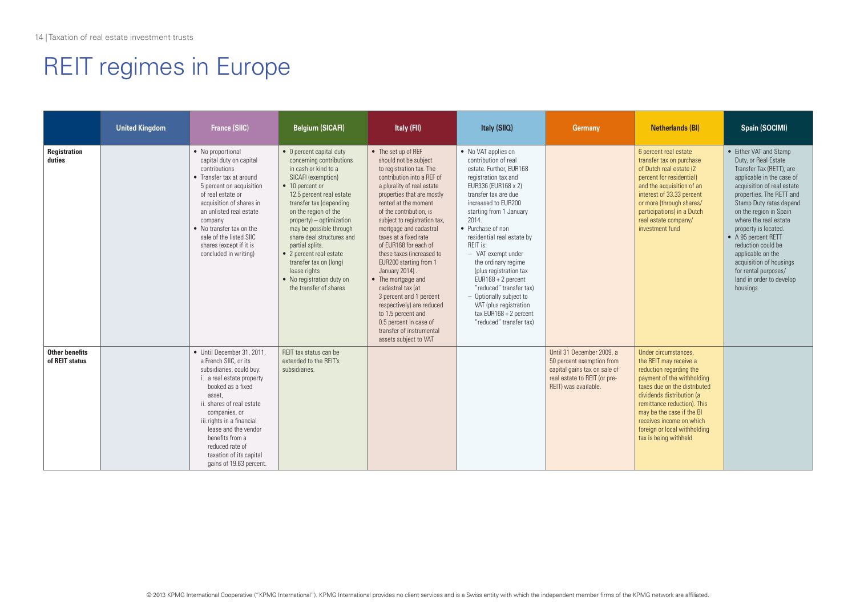|                                         | <b>United Kingdom</b> | <b>France (SIIC)</b>                                                                                                                                                                                                                                                                                                                       | <b>Belgium (SICAFI)</b>                                                                                                                                                                                                                                                                                                                                                                                                                    | Italy (FII)                                                                                                                                                                                                                                                                                                                                                                                                                                                                                                                                                                                                        | Italy (SIIQ)                                                                                                                                                                                                                                                                                                                                                                                                                                                                                                  | <b>Germany</b>                                                                                                                                 | Netherlands (BI)                                                                                                                                                                                                                                                                                                       | Spain (SOCIMI)                                                                                                                                                                                                                                                                                                                                                                                                                        |
|-----------------------------------------|-----------------------|--------------------------------------------------------------------------------------------------------------------------------------------------------------------------------------------------------------------------------------------------------------------------------------------------------------------------------------------|--------------------------------------------------------------------------------------------------------------------------------------------------------------------------------------------------------------------------------------------------------------------------------------------------------------------------------------------------------------------------------------------------------------------------------------------|--------------------------------------------------------------------------------------------------------------------------------------------------------------------------------------------------------------------------------------------------------------------------------------------------------------------------------------------------------------------------------------------------------------------------------------------------------------------------------------------------------------------------------------------------------------------------------------------------------------------|---------------------------------------------------------------------------------------------------------------------------------------------------------------------------------------------------------------------------------------------------------------------------------------------------------------------------------------------------------------------------------------------------------------------------------------------------------------------------------------------------------------|------------------------------------------------------------------------------------------------------------------------------------------------|------------------------------------------------------------------------------------------------------------------------------------------------------------------------------------------------------------------------------------------------------------------------------------------------------------------------|---------------------------------------------------------------------------------------------------------------------------------------------------------------------------------------------------------------------------------------------------------------------------------------------------------------------------------------------------------------------------------------------------------------------------------------|
| Registration<br>duties                  |                       | • No proportional<br>capital duty on capital<br>contributions<br>• Transfer tax at around<br>5 percent on acquisition<br>of real estate or<br>acquisition of shares in<br>an unlisted real estate<br>company<br>• No transfer tax on the<br>sale of the listed SIIC<br>shares (except if it is<br>concluded in writing)                    | • 0 percent capital duty<br>concerning contributions<br>in cash or kind to a<br>SICAFI (exemption)<br>• 10 percent or<br>12.5 percent real estate<br>transfer tax (depending<br>on the region of the<br>$property$ ) – optimization<br>may be possible through<br>share deal structures and<br>partial splits.<br>• 2 percent real estate<br>transfer tax on (long)<br>lease rights<br>• No registration duty on<br>the transfer of shares | • The set up of REF<br>should not be subject<br>to registration tax. The<br>contribution into a REF of<br>a plurality of real estate<br>properties that are mostly<br>rented at the moment<br>of the contribution, is<br>subject to registration tax,<br>mortgage and cadastral<br>taxes at a fixed rate<br>of EUR168 for each of<br>these taxes (increased to<br>EUR200 starting from 1<br>January 2014).<br>• The mortgage and<br>cadastral tax lat<br>3 percent and 1 percent<br>respectively) are reduced<br>to 1.5 percent and<br>0.5 percent in case of<br>transfer of instrumental<br>assets subject to VAT | • No VAT applies on<br>contribution of real<br>estate. Further, EUR168<br>registration tax and<br>EUR336 (EUR168 x 2)<br>transfer tax are due<br>increased to FUR200<br>starting from 1 January<br>2014.<br>• Purchase of non<br>residential real estate by<br>RFIT is:<br>- VAT exempt under<br>the ordinary regime<br>(plus registration tax<br>$EUR168 + 2$ percent<br>"reduced" transfer tax)<br>- Optionally subject to<br>VAT (plus registration<br>$tax$ EUR168 + 2 percent<br>"reduced" transfer tax) |                                                                                                                                                | 6 percent real estate<br>transfer tax on purchase<br>of Dutch real estate (2<br>percent for residential)<br>and the acquisition of an<br>interest of 33.33 percent<br>or more (through shares/<br>participations) in a Dutch<br>real estate company/<br>investment fund                                                | • Either VAT and Stamp<br>Duty, or Real Estate<br>Transfer Tax (RETT), are<br>applicable in the case of<br>acquisition of real estate<br>properties. The RETT and<br>Stamp Duty rates depend<br>on the region in Spain<br>where the real estate<br>property is located.<br>• A 95 percent RETT<br>reduction could be<br>applicable on the<br>acquisition of housings<br>for rental purposes/<br>land in order to develop<br>housings. |
| <b>Other benefits</b><br>of REIT status |                       | • Until December 31, 2011.<br>a French SIIC, or its<br>subsidiaries, could buy:<br>i. a real estate property<br>booked as a fixed<br>asset.<br>ii. shares of real estate<br>companies, or<br>iii.rights in a financial<br>lease and the vendor<br>benefits from a<br>reduced rate of<br>taxation of its capital<br>gains of 19.63 percent. | REIT tax status can be<br>extended to the REIT's<br>subsidiaries.                                                                                                                                                                                                                                                                                                                                                                          |                                                                                                                                                                                                                                                                                                                                                                                                                                                                                                                                                                                                                    |                                                                                                                                                                                                                                                                                                                                                                                                                                                                                                               | Until 31 December 2009, a<br>50 percent exemption from<br>capital gains tax on sale of<br>real estate to REIT (or pre-<br>REIT) was available. | Under circumstances.<br>the REIT may receive a<br>reduction regarding the<br>payment of the withholding<br>taxes due on the distributed<br>dividends distribution (a<br>remittance reduction). This<br>may be the case if the BI<br>receives income on which<br>foreign or local withholding<br>tax is being withheld. |                                                                                                                                                                                                                                                                                                                                                                                                                                       |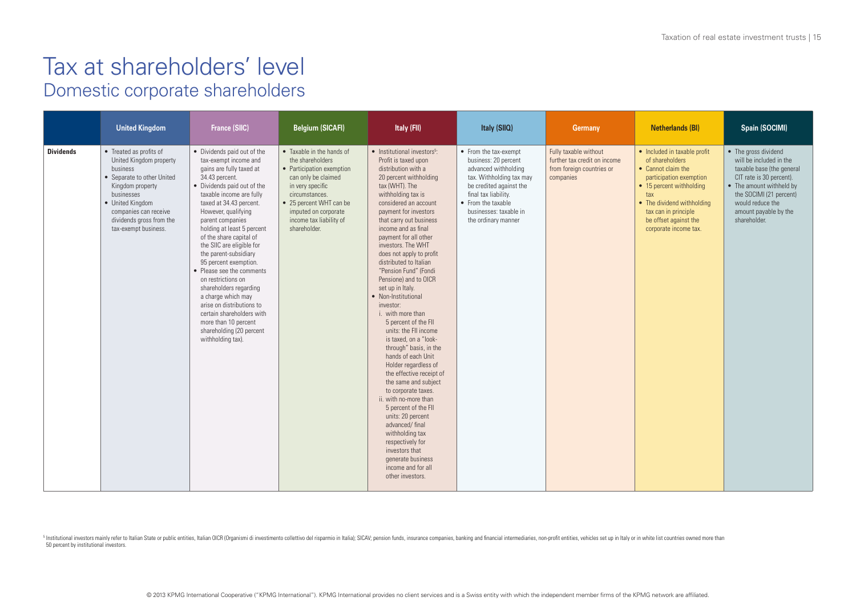|                  | <b>United Kingdom</b>                                                                                                                                                                                                           | <b>France (SIIC)</b>                                                                                                                                                                                                                                                                                                                                                                                                                                                                                                                                                                                              | <b>Belgium (SICAFI)</b>                                                                                                                                                                                                               | Italy (FII)                                                                                                                                                                                                                                                                                                                                                                                                                                                                                                                                                                                                                                                                                                                                                                                                                                                                                                                                    | Italy (SIIQ)                                                                                                                                                                                                                | <b>Germany</b>                                                                                  | Netherlands (BI)                                                                                                                                                                                                                            | <b>Spain (SOCIMI)</b>                                                                                                                                                                                                        |
|------------------|---------------------------------------------------------------------------------------------------------------------------------------------------------------------------------------------------------------------------------|-------------------------------------------------------------------------------------------------------------------------------------------------------------------------------------------------------------------------------------------------------------------------------------------------------------------------------------------------------------------------------------------------------------------------------------------------------------------------------------------------------------------------------------------------------------------------------------------------------------------|---------------------------------------------------------------------------------------------------------------------------------------------------------------------------------------------------------------------------------------|------------------------------------------------------------------------------------------------------------------------------------------------------------------------------------------------------------------------------------------------------------------------------------------------------------------------------------------------------------------------------------------------------------------------------------------------------------------------------------------------------------------------------------------------------------------------------------------------------------------------------------------------------------------------------------------------------------------------------------------------------------------------------------------------------------------------------------------------------------------------------------------------------------------------------------------------|-----------------------------------------------------------------------------------------------------------------------------------------------------------------------------------------------------------------------------|-------------------------------------------------------------------------------------------------|---------------------------------------------------------------------------------------------------------------------------------------------------------------------------------------------------------------------------------------------|------------------------------------------------------------------------------------------------------------------------------------------------------------------------------------------------------------------------------|
| <b>Dividends</b> | • Treated as profits of<br>United Kingdom property<br>business<br>• Separate to other United<br>Kingdom property<br>businesses<br>• United Kingdom<br>companies can receive<br>dividends gross from the<br>tax-exempt business. | • Dividends paid out of the<br>tax-exempt income and<br>gains are fully taxed at<br>34.43 percent.<br>• Dividends paid out of the<br>taxable income are fully<br>taxed at 34.43 percent.<br>However, qualifying<br>parent companies<br>holding at least 5 percent<br>of the share capital of<br>the SIIC are eligible for<br>the parent-subsidiary<br>95 percent exemption.<br>• Please see the comments<br>on restrictions on<br>shareholders regarding<br>a charge which may<br>arise on distributions to<br>certain shareholders with<br>more than 10 percent<br>shareholding (20 percent<br>withholding tax). | • Taxable in the hands of<br>the shareholders<br>• Participation exemption<br>can only be claimed<br>in very specific<br>circumstances.<br>• 25 percent WHT can be<br>imputed on corporate<br>income tax liability of<br>shareholder. | • Institutional investors <sup>5</sup> :<br>Profit is taxed upon<br>distribution with a<br>20 percent withholding<br>tax (WHT). The<br>withholding tax is<br>considered an account<br>payment for investors<br>that carry out business<br>income and as final<br>payment for all other<br>investors. The WHT<br>does not apply to profit<br>distributed to Italian<br>"Pension Fund" (Fondi<br>Pensione) and to OICR<br>set up in Italy.<br>• Non-Institutional<br>investor:<br>i. with more than<br>5 percent of the FII<br>units: the FII income<br>is taxed, on a "look-<br>through" basis, in the<br>hands of each Unit<br>Holder regardless of<br>the effective receipt of<br>the same and subject<br>to corporate taxes.<br>ii. with no-more than<br>5 percent of the FII<br>units: 20 percent<br>advanced/final<br>withholding tax<br>respectively for<br>investors that<br>generate business<br>income and for all<br>other investors. | • From the tax-exempt<br>business: 20 percent<br>advanced withholding<br>tax. Withholding tax may<br>be credited against the<br>final tax liability.<br>• From the taxable<br>businesses: taxable in<br>the ordinary manner | Fully taxable without<br>further tax credit on income<br>from foreign countries or<br>companies | • Included in taxable profit<br>of shareholders<br>• Cannot claim the<br>participation exemption<br>• 15 percent withholding<br>tax<br>• The dividend withholding<br>tax can in principle<br>be offset against the<br>corporate income tax. | • The gross dividend<br>will be included in the<br>taxable base (the general<br>CIT rate is 30 percent).<br>• The amount withheld by<br>the SOCIMI (21 percent)<br>would reduce the<br>amount payable by the<br>shareholder. |

5 Institutional investors mainly refer to Italian State or public entities, Italian OICR (Organismi di investimento collettivo del risparmio in Italia); SICAV; pension funds, insurance companies, banking and financial inte 50 percent by institutional investors.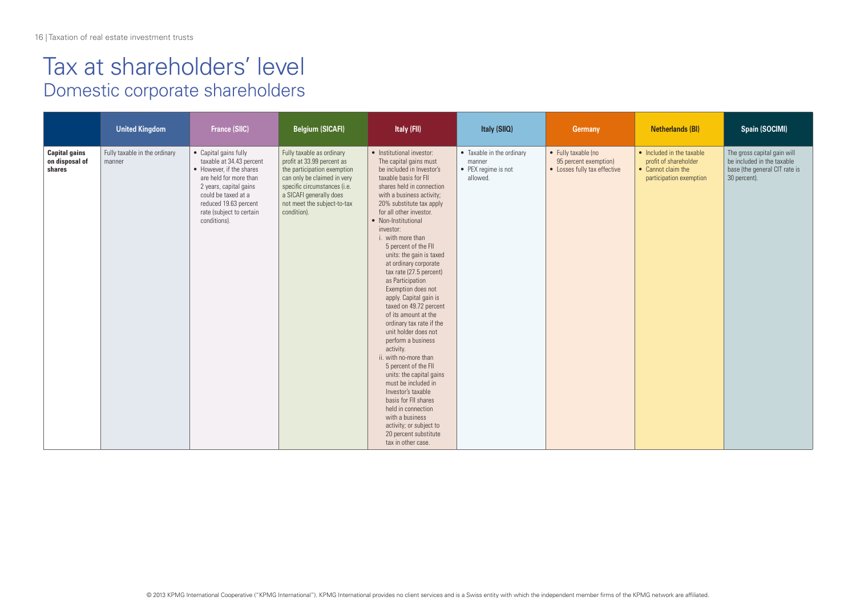|                                                  | <b>United Kingdom</b>                   | <b>France (SIIC)</b>                                                                                                                                                                                                          | <b>Belgium (SICAFI)</b>                                                                                                                                                                                                        | Italy (FII)                                                                                                                                                                                                                                                                                                                                                                                                                                                                                                                                                                                                                                                                                                                                                                                                                                                                   | Italy (SIIQ)                                                           | Germany                                                                      | <b>Netherlands (BI)</b>                                                                             | Spain (SOCIMI)                                                                                             |
|--------------------------------------------------|-----------------------------------------|-------------------------------------------------------------------------------------------------------------------------------------------------------------------------------------------------------------------------------|--------------------------------------------------------------------------------------------------------------------------------------------------------------------------------------------------------------------------------|-------------------------------------------------------------------------------------------------------------------------------------------------------------------------------------------------------------------------------------------------------------------------------------------------------------------------------------------------------------------------------------------------------------------------------------------------------------------------------------------------------------------------------------------------------------------------------------------------------------------------------------------------------------------------------------------------------------------------------------------------------------------------------------------------------------------------------------------------------------------------------|------------------------------------------------------------------------|------------------------------------------------------------------------------|-----------------------------------------------------------------------------------------------------|------------------------------------------------------------------------------------------------------------|
| <b>Capital gains</b><br>on disposal of<br>shares | Fully taxable in the ordinary<br>manner | • Capital gains fully<br>taxable at 34.43 percent<br>• However, if the shares<br>are held for more than<br>2 years, capital gains<br>could be taxed at a<br>reduced 19.63 percent<br>rate (subject to certain<br>conditions). | Fully taxable as ordinary<br>profit at 33.99 percent as<br>the participation exemption<br>can only be claimed in very<br>specific circumstances (i.e.<br>a SICAFI generally does<br>not meet the subject-to-tax<br>condition). | • Institutional investor:<br>The capital gains must<br>be included in Investor's<br>taxable basis for FIL<br>shares held in connection<br>with a business activity;<br>20% substitute tax apply<br>for all other investor.<br>• Non-Institutional<br>investor:<br>i. with more than<br>5 percent of the FII<br>units: the gain is taxed<br>at ordinary corporate<br>tax rate (27.5 percent)<br>as Participation<br>Exemption does not<br>apply. Capital gain is<br>taxed on 49.72 percent<br>of its amount at the<br>ordinary tax rate if the<br>unit holder does not<br>perform a business<br>activity.<br>ii. with no-more than<br>5 percent of the FII<br>units: the capital gains<br>must be included in<br>Investor's taxable<br>basis for FII shares<br>held in connection<br>with a business<br>activity; or subject to<br>20 percent substitute<br>tax in other case. | • Taxable in the ordinary<br>manner<br>• PEX regime is not<br>allowed. | • Fully taxable (no<br>95 percent exemption)<br>• Losses fully tax effective | • Included in the taxable<br>profit of shareholder<br>• Cannot claim the<br>participation exemption | The gross capital gain will<br>be included in the taxable<br>base (the general CIT rate is<br>30 percent). |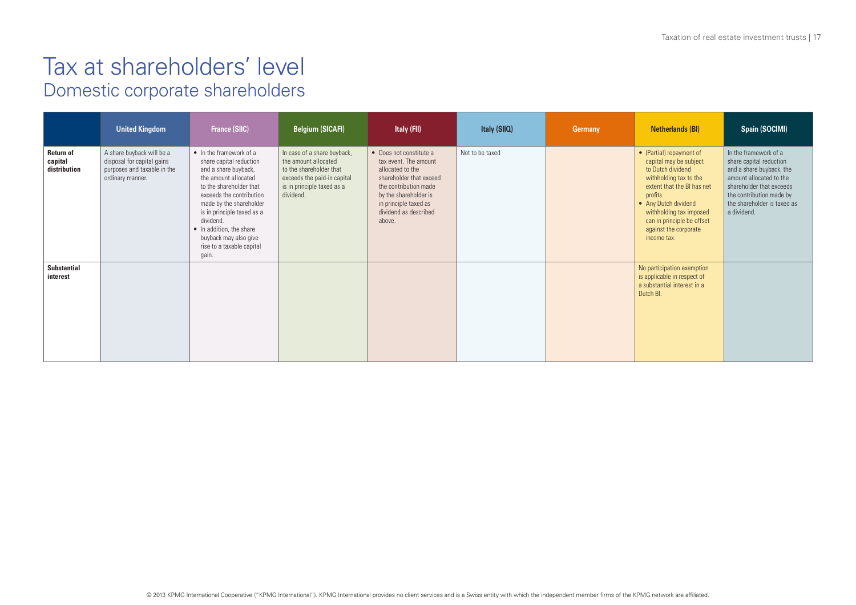|                                             | <b>United Kingdom</b>                                                                                      | <b>France (SIIC)</b>                                                                                                                                                                                                                                                                                                       | <b>Belgium (SICAFI)</b>                                                                                                                                  | Italy (FII)                                                                                                                                                                                                   | Italy (SIIQ)    | Germany | Netherlands (BI)                                                                                                                                                                                                                                                     | Spain (SOCIMI)                                                                                                                                                                                                |
|---------------------------------------------|------------------------------------------------------------------------------------------------------------|----------------------------------------------------------------------------------------------------------------------------------------------------------------------------------------------------------------------------------------------------------------------------------------------------------------------------|----------------------------------------------------------------------------------------------------------------------------------------------------------|---------------------------------------------------------------------------------------------------------------------------------------------------------------------------------------------------------------|-----------------|---------|----------------------------------------------------------------------------------------------------------------------------------------------------------------------------------------------------------------------------------------------------------------------|---------------------------------------------------------------------------------------------------------------------------------------------------------------------------------------------------------------|
| <b>Return of</b><br>capital<br>distribution | A share buyback will be a<br>disposal for capital gains<br>purposes and taxable in the<br>ordinary manner. | • In the framework of a<br>share capital reduction<br>and a share buyback,<br>the amount allocated<br>to the shareholder that<br>exceeds the contribution<br>made by the shareholder<br>is in principle taxed as a<br>dividend.<br>• In addition, the share<br>buyback may also give<br>rise to a taxable capital<br>gain. | In case of a share buyback,<br>the amount allocated<br>to the shareholder that<br>exceeds the paid-in capital<br>is in principle taxed as a<br>dividend. | • Does not constitute a<br>tax event. The amount<br>allocated to the<br>shareholder that exceed<br>the contribution made<br>by the shareholder is<br>in principle taxed as<br>dividend as described<br>above. | Not to be taxed |         | • (Partial) repayment of<br>capital may be subject<br>to Dutch dividend<br>withholding tax to the<br>extent that the BI has net<br>profits.<br>• Any Dutch dividend<br>withholding tax imposed<br>can in principle be offset<br>against the corporate<br>income tax. | In the framework of a<br>share capital reduction<br>and a share buyback, the<br>amount allocated to the<br>shareholder that exceeds<br>the contribution made by<br>the shareholder is taxed as<br>a dividend. |
| <b>Substantial</b><br>interest              |                                                                                                            |                                                                                                                                                                                                                                                                                                                            |                                                                                                                                                          |                                                                                                                                                                                                               |                 |         | No participation exemption<br>is applicable in respect of<br>a substantial interest in a<br>Dutch BI.                                                                                                                                                                |                                                                                                                                                                                                               |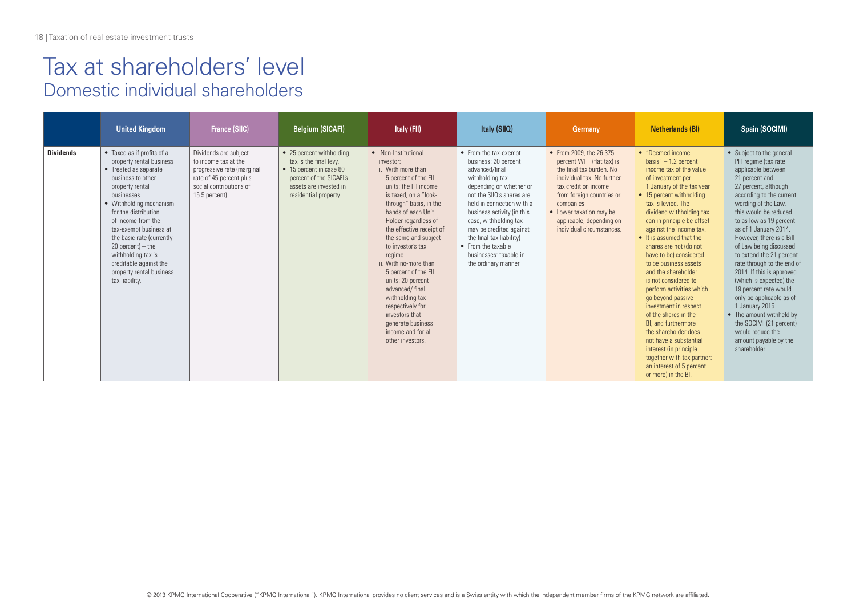#### Tax at shareholders' level Domestic individual shareholders

|                  | <b>United Kingdom</b>                                                                                                                                                                                                                                                                                                                                                                      | <b>France (SIIC)</b>                                                                                                                                | <b>Belgium (SICAFI)</b>                                                                                                                                     | Italy (FII)                                                                                                                                                                                                                                                                                                                                                                                                                                                                                                 | Italy (SIIQ)                                                                                                                                                                                                                                                                                                                                                 | Germany                                                                                                                                                                                                                                                              | Netherlands (BI)                                                                                                                                                                                                                                                                                                                                                                                                                                                                                                                                                                                                                                                                                           | Spain (SOCIMI)                                                                                                                                                                                                                                                                                                                                                                                                                                                                                                                                                                                                       |
|------------------|--------------------------------------------------------------------------------------------------------------------------------------------------------------------------------------------------------------------------------------------------------------------------------------------------------------------------------------------------------------------------------------------|-----------------------------------------------------------------------------------------------------------------------------------------------------|-------------------------------------------------------------------------------------------------------------------------------------------------------------|-------------------------------------------------------------------------------------------------------------------------------------------------------------------------------------------------------------------------------------------------------------------------------------------------------------------------------------------------------------------------------------------------------------------------------------------------------------------------------------------------------------|--------------------------------------------------------------------------------------------------------------------------------------------------------------------------------------------------------------------------------------------------------------------------------------------------------------------------------------------------------------|----------------------------------------------------------------------------------------------------------------------------------------------------------------------------------------------------------------------------------------------------------------------|------------------------------------------------------------------------------------------------------------------------------------------------------------------------------------------------------------------------------------------------------------------------------------------------------------------------------------------------------------------------------------------------------------------------------------------------------------------------------------------------------------------------------------------------------------------------------------------------------------------------------------------------------------------------------------------------------------|----------------------------------------------------------------------------------------------------------------------------------------------------------------------------------------------------------------------------------------------------------------------------------------------------------------------------------------------------------------------------------------------------------------------------------------------------------------------------------------------------------------------------------------------------------------------------------------------------------------------|
| <b>Dividends</b> | • Taxed as if profits of a<br>property rental business<br>• Treated as separate<br>business to other<br>property rental<br>businesses<br>• Withholding mechanism<br>for the distribution<br>of income from the<br>tax-exempt business at<br>the basic rate (currently<br>$20$ percent) – the<br>withholding tax is<br>creditable against the<br>property rental business<br>tax liability. | Dividends are subject<br>to income tax at the<br>progressive rate (marginal<br>rate of 45 percent plus<br>social contributions of<br>15.5 percent). | • 25 percent withholding<br>tax is the final levy.<br>• 15 percent in case 80<br>percent of the SICAFI's<br>assets are invested in<br>residential property. | • Non-Institutional<br>investor:<br>i. With more than<br>5 percent of the FII<br>units: the FII income<br>is taxed, on a "look-<br>through" basis, in the<br>hands of each Unit<br>Holder regardless of<br>the effective receipt of<br>the same and subject<br>to investor's tax<br>regime.<br>ii. With no-more than<br>5 percent of the FII<br>units: 20 percent<br>advanced/final<br>withholding tax<br>respectively for<br>investors that<br>generate business<br>income and for all<br>other investors. | • From the tax-exempt<br>business: 20 percent<br>advanced/final<br>withholding tax<br>depending on whether or<br>not the SIIO's shares are<br>held in connection with a<br>business activity (in this<br>case, withholding tax<br>may be credited against<br>the final tax liability)<br>• From the taxable<br>businesses: taxable in<br>the ordinary manner | • From 2009, the 26,375<br>percent WHT (flat tax) is<br>the final tax burden. No<br>individual tax. No further<br>tax credit on income<br>from foreign countries or<br>companies<br>• Lower taxation may be<br>applicable, depending on<br>individual circumstances. | • "Deemed income<br>basis" $-1.2$ percent<br>income tax of the value<br>of investment per<br>1 January of the tax year<br>• 15 percent withholding<br>tax is levied. The<br>dividend withholding tax<br>can in principle be offset<br>against the income tax.<br>• It is assumed that the<br>shares are not (do not<br>have to be) considered<br>to be business assets<br>and the shareholder<br>is not considered to<br>perform activities which<br>go beyond passive<br>investment in respect<br>of the shares in the<br>BL and furthermore<br>the shareholder does<br>not have a substantial<br>interest (in principle<br>together with tax partner:<br>an interest of 5 percent<br>or more) in the BI. | • Subject to the general<br>PIT regime (tax rate<br>applicable between<br>21 percent and<br>27 percent, although<br>according to the current<br>wording of the Law.<br>this would be reduced<br>to as low as 19 percent<br>as of 1 January 2014.<br>However, there is a Bill<br>of Law being discussed<br>to extend the 21 percent<br>rate through to the end of<br>2014. If this is approved<br>(which is expected) the<br>19 percent rate would<br>only be applicable as of<br>1 January 2015.<br>• The amount withheld by<br>the SOCIMI (21 percent)<br>would reduce the<br>amount payable by the<br>shareholder. |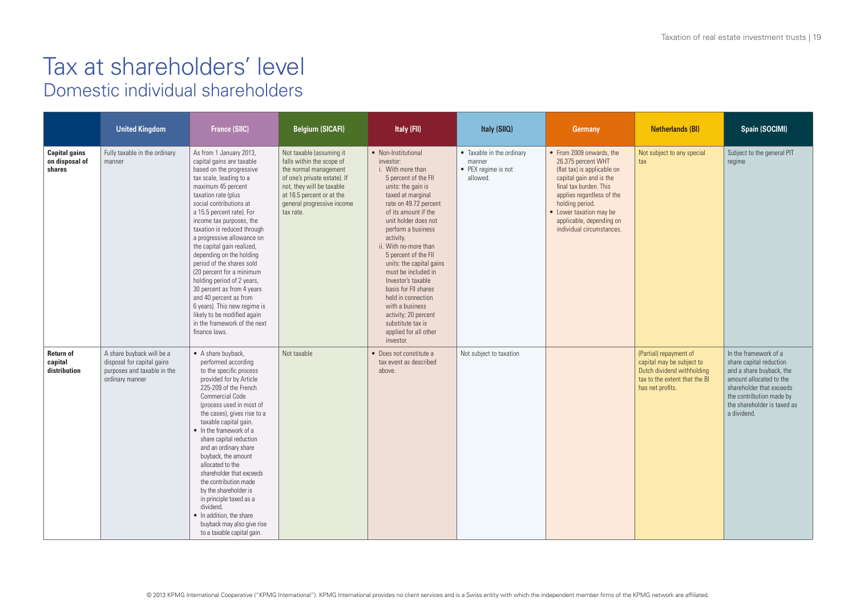#### Tax at shareholders' level Domestic individual shareholders

|                                                  | <b>United Kingdom</b>                                                                                     | <b>France (SIIC)</b>                                                                                                                                                                                                                                                                                                                                                                                                                                                                                                                                                                                                                | <b>Belgium (SICAFI)</b>                                                                                                                                                                                             | Italy (FII)                                                                                                                                                                                                                                                                                                                                                                                                                                                                                                        | Italy (SIIQ)                                                           | Germany                                                                                                                                                                                                                                                                | Netherlands (BI)                                                                                                                       | Spain (SOCIMI)                                                                                                                                                                                                |
|--------------------------------------------------|-----------------------------------------------------------------------------------------------------------|-------------------------------------------------------------------------------------------------------------------------------------------------------------------------------------------------------------------------------------------------------------------------------------------------------------------------------------------------------------------------------------------------------------------------------------------------------------------------------------------------------------------------------------------------------------------------------------------------------------------------------------|---------------------------------------------------------------------------------------------------------------------------------------------------------------------------------------------------------------------|--------------------------------------------------------------------------------------------------------------------------------------------------------------------------------------------------------------------------------------------------------------------------------------------------------------------------------------------------------------------------------------------------------------------------------------------------------------------------------------------------------------------|------------------------------------------------------------------------|------------------------------------------------------------------------------------------------------------------------------------------------------------------------------------------------------------------------------------------------------------------------|----------------------------------------------------------------------------------------------------------------------------------------|---------------------------------------------------------------------------------------------------------------------------------------------------------------------------------------------------------------|
| <b>Capital gains</b><br>on disposal of<br>shares | Fully taxable in the ordinary<br>manner                                                                   | As from 1 January 2013,<br>capital gains are taxable<br>based on the progressive<br>tax scale, leading to a<br>maximum 45 percent<br>taxation rate (plus<br>social contributions at<br>a 15.5 percent rate). For<br>income tax purposes, the<br>taxation is reduced through<br>a progressive allowance on<br>the capital gain realized,<br>depending on the holding<br>period of the shares sold<br>(20 percent for a minimum<br>holding period of 2 years,<br>30 percent as from 4 years<br>and 40 percent as from<br>6 years). This new regime is<br>likely to be modified again<br>in the framework of the next<br>finance laws. | Not taxable (assuming it<br>falls within the scope of<br>the normal management<br>of one's private estate). If<br>not, they will be taxable<br>at 16.5 percent or at the<br>general progressive income<br>tax rate. | • Non-Institutional<br>investor:<br>i. With more than<br>5 percent of the FII<br>units: the gain is<br>taxed at marginal<br>rate on 49.72 percent<br>of its amount if the<br>unit holder does not<br>perform a business<br>activity.<br>ii. With no-more than<br>5 percent of the FII<br>units: the capital gains<br>must be included in<br>Investor's taxable<br>basis for FII shares<br>held in connection<br>with a business<br>activity; 20 percent<br>substitute tax is<br>applied for all other<br>investor. | • Taxable in the ordinary<br>manner<br>• PEX regime is not<br>allowed. | • From 2009 onwards, the<br>26.375 percent WHT<br>(flat tax) is applicable on<br>capital gain and is the<br>final tax burden. This<br>applies regardless of the<br>holding period.<br>• Lower taxation may be<br>applicable, depending on<br>individual circumstances. | Not subject to any special<br>tax                                                                                                      | Subject to the general PIT<br>regime                                                                                                                                                                          |
| <b>Return of</b><br>capital<br>distribution      | A share buyback will be a<br>disposal for capital gains<br>purposes and taxable in the<br>ordinary manner | • A share buyback,<br>performed according<br>to the specific process<br>provided for by Article<br>225-209 of the French<br><b>Commercial Code</b><br>(process used in most of<br>the cases), gives rise to a<br>taxable capital gain.<br>• In the framework of a<br>share capital reduction<br>and an ordinary share<br>buyback, the amount<br>allocated to the<br>shareholder that exceeds<br>the contribution made<br>by the shareholder is<br>in principle taxed as a<br>dividend.<br>• In addition, the share<br>buyback may also give rise<br>to a taxable capital gain.                                                      | Not taxable                                                                                                                                                                                                         | • Does not constitute a<br>tax event as described<br>above.                                                                                                                                                                                                                                                                                                                                                                                                                                                        | Not subject to taxation                                                |                                                                                                                                                                                                                                                                        | (Partial) repayment of<br>capital may be subject to<br>Dutch dividend withholding<br>tax to the extent that the BI<br>has net profits. | In the framework of a<br>share capital reduction<br>and a share buyback, the<br>amount allocated to the<br>shareholder that exceeds<br>the contribution made by<br>the shareholder is taxed as<br>a dividend. |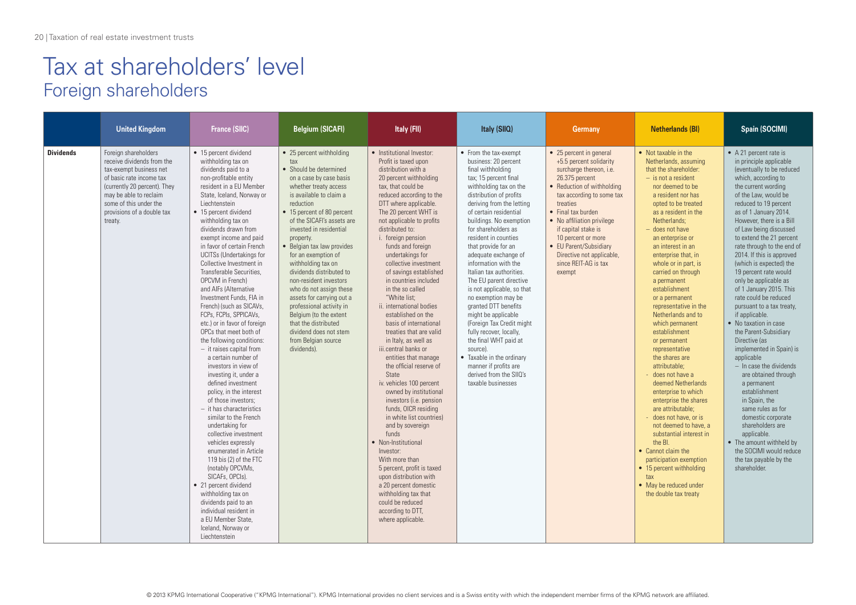### Tax at shareholders' level Foreign shareholders

|                  | <b>United Kingdom</b>                                                                                                                                                                                                                  | <b>France (SIIC)</b>                                                                                                                                                                                                                                                                                                                                                                                                                                                                                                                                                                                                                                                                                                                                                                                                                                                                                                                                                                                                                                                                                                                                                                  | <b>Belgium (SICAFI)</b>                                                                                                                                                                                                                                                                                                                                                                                                                                                                                                                                                                          | Italy (FII)                                                                                                                                                                                                                                                                                                                                                                                                                                                                                                                                                                                                                                                                                                                                                                                                                                                                                                                                                                                                                                                    | Italy (SIIQ)                                                                                                                                                                                                                                                                                                                                                                                                                                                                                                                                                                                                                                                                                                             | <b>Germany</b>                                                                                                                                                                                                                                                                                                                                                   | <b>Netherlands (BI)</b>                                                                                                                                                                                                                                                                                                                                                                                                                                                                                                                                                                                                                                                                                                                                                                                                                                                                             | Spain (SOCIMI)                                                                                                                                                                                                                                                                                                                                                                                                                                                                                                                                                                                                                                                                                                                                                                                                                                                                                                                        |
|------------------|----------------------------------------------------------------------------------------------------------------------------------------------------------------------------------------------------------------------------------------|---------------------------------------------------------------------------------------------------------------------------------------------------------------------------------------------------------------------------------------------------------------------------------------------------------------------------------------------------------------------------------------------------------------------------------------------------------------------------------------------------------------------------------------------------------------------------------------------------------------------------------------------------------------------------------------------------------------------------------------------------------------------------------------------------------------------------------------------------------------------------------------------------------------------------------------------------------------------------------------------------------------------------------------------------------------------------------------------------------------------------------------------------------------------------------------|--------------------------------------------------------------------------------------------------------------------------------------------------------------------------------------------------------------------------------------------------------------------------------------------------------------------------------------------------------------------------------------------------------------------------------------------------------------------------------------------------------------------------------------------------------------------------------------------------|----------------------------------------------------------------------------------------------------------------------------------------------------------------------------------------------------------------------------------------------------------------------------------------------------------------------------------------------------------------------------------------------------------------------------------------------------------------------------------------------------------------------------------------------------------------------------------------------------------------------------------------------------------------------------------------------------------------------------------------------------------------------------------------------------------------------------------------------------------------------------------------------------------------------------------------------------------------------------------------------------------------------------------------------------------------|--------------------------------------------------------------------------------------------------------------------------------------------------------------------------------------------------------------------------------------------------------------------------------------------------------------------------------------------------------------------------------------------------------------------------------------------------------------------------------------------------------------------------------------------------------------------------------------------------------------------------------------------------------------------------------------------------------------------------|------------------------------------------------------------------------------------------------------------------------------------------------------------------------------------------------------------------------------------------------------------------------------------------------------------------------------------------------------------------|-----------------------------------------------------------------------------------------------------------------------------------------------------------------------------------------------------------------------------------------------------------------------------------------------------------------------------------------------------------------------------------------------------------------------------------------------------------------------------------------------------------------------------------------------------------------------------------------------------------------------------------------------------------------------------------------------------------------------------------------------------------------------------------------------------------------------------------------------------------------------------------------------------|---------------------------------------------------------------------------------------------------------------------------------------------------------------------------------------------------------------------------------------------------------------------------------------------------------------------------------------------------------------------------------------------------------------------------------------------------------------------------------------------------------------------------------------------------------------------------------------------------------------------------------------------------------------------------------------------------------------------------------------------------------------------------------------------------------------------------------------------------------------------------------------------------------------------------------------|
| <b>Dividends</b> | Foreign shareholders<br>receive dividends from the<br>tax-exempt business net<br>of basic rate income tax<br>(currently 20 percent). They<br>may be able to reclaim<br>some of this under the<br>provisions of a double tax<br>treatv. | • 15 percent dividend<br>withholding tax on<br>dividends paid to a<br>non-profitable entity<br>resident in a EU Member<br>State, Iceland, Norway or<br>l iechtenstein<br>• 15 percent dividend<br>withholding tax on<br>dividends drawn from<br>exempt income and paid<br>in favor of certain French<br><b>UCITSs (Undertakings for</b><br>Collective Investment in<br>Transferable Securities.<br>OPCVM in French)<br>and AIFs (Alternative<br>Investment Funds. FIA in<br>French) (such as SICAVs,<br>FCPs, FCPIs, SPPICAVs,<br>etc.) or in favor of foreign<br>OPCs that meet both of<br>the following conditions:<br>$-$ it raises capital from<br>a certain number of<br>investors in view of<br>investing it, under a<br>defined investment<br>policy, in the interest<br>of those investors:<br>$-$ it has characteristics<br>similar to the French<br>undertaking for<br>collective investment<br>vehicles expressly<br>enumerated in Article<br>119 bis (2) of the FTC<br>(notably OPCVMs,<br>SICAFs, OPCIs).<br>• 21 percent dividend<br>withholding tax on<br>dividends paid to an<br>individual resident in<br>a EU Member State.<br>Iceland, Norway or<br>l iechtenstein | • 25 percent withholding<br>tax<br>• Should be determined<br>on a case by case basis<br>whether treaty access<br>is available to claim a<br>reduction<br>• 15 percent of 80 percent<br>of the SICAFI's assets are<br>invested in residential<br>property.<br>• Belgian tax law provides<br>for an exemption of<br>withholding tax on<br>dividends distributed to<br>non-resident investors<br>who do not assign these<br>assets for carrying out a<br>professional activity in<br>Belgium (to the extent<br>that the distributed<br>dividend does not stem<br>from Belgian source<br>dividends). | • Institutional Investor:<br>Profit is taxed upon<br>distribution with a<br>20 percent withholding<br>tax, that could be<br>reduced according to the<br>DTT where applicable.<br>The 20 percent WHT is<br>not applicable to profits<br>distributed to:<br>i. foreign pension<br>funds and foreign<br>undertakings for<br>collective investment<br>of savings established<br>in countries included<br>in the so called<br>"White list:<br>ii. international bodies<br>established on the<br>basis of international<br>treaties that are valid<br>in Italy, as well as<br>iii.central banks or<br>entities that manage<br>the official reserve of<br><b>State</b><br>iv. vehicles 100 percent<br>owned by institutional<br>investors (i.e. pension<br>funds, OICR residing<br>in white list countries)<br>and by sovereign<br>funds<br>• Non-Institutional<br>Investor:<br>With more than<br>5 percent, profit is taxed<br>upon distribution with<br>a 20 percent domestic<br>withholding tax that<br>could be reduced<br>according to DTT,<br>where applicable. | • From the tax-exempt<br>business: 20 percent<br>final withholding<br>tax; 15 percent final<br>withholding tax on the<br>distribution of profits<br>deriving from the letting<br>of certain residential<br>buildings. No exemption<br>for shareholders as<br>resident in counties<br>that provide for an<br>adequate exchange of<br>information with the<br>Italian tax authorities.<br>The EU parent directive<br>is not applicable, so that<br>no exemption may be<br>granted DTT benefits<br>might be applicable<br>(Foreign Tax Credit might)<br>fully recover, locally,<br>the final WHT paid at<br>source).<br>• Taxable in the ordinary<br>manner if profits are<br>derived from the SIIO's<br>taxable businesses | • 25 percent in general<br>+5.5 percent solidarity<br>surcharge thereon, i.e.<br>26.375 percent<br>• Reduction of withholding<br>tax according to some tax<br>treaties<br>• Final tax burden<br>• No affiliation privilege<br>if capital stake is<br>10 percent or more<br>• EU Parent/Subsidiary<br>Directive not applicable,<br>since REIT-AG is tax<br>exempt | • Not taxable in the<br>Netherlands, assuming<br>that the shareholder:<br>$-$ is not a resident<br>nor deemed to be<br>a resident nor has<br>opted to be treated<br>as a resident in the<br>Netherlands:<br>- does not have<br>an enterprise or<br>an interest in an<br>enterprise that, in<br>whole or in part, is<br>carried on through<br>a permanent<br>establishment<br>or a permanent<br>representative in the<br>Netherlands and to<br>which permanent<br>establishment<br>or permanent<br>representative<br>the shares are<br>attributable:<br>- does not have a<br>deemed Netherlands<br>enterprise to which<br>enterprise the shares<br>are attributable:<br>- does not have, or is<br>not deemed to have, a<br>substantial interest in<br>the BI.<br>• Cannot claim the<br>participation exemption<br>• 15 percent withholding<br>tax<br>• May be reduced under<br>the double tax treaty | • A 21 percent rate is<br>in principle applicable<br>(eventually to be reduced<br>which, according to<br>the current wording<br>of the Law, would be<br>reduced to 19 percent<br>as of 1 January 2014.<br>However, there is a Bill<br>of Law being discussed<br>to extend the 21 percent<br>rate through to the end of<br>2014. If this is approved<br>(which is expected) the<br>19 percent rate would<br>only be applicable as<br>of 1 January 2015. This<br>rate could be reduced<br>pursuant to a tax treaty,<br>if applicable.<br>• No taxation in case<br>the Parent-Subsidiary<br>Directive las<br>implemented in Spain) is<br>applicable<br>$-$ In case the dividends<br>are obtained through<br>a permanent<br>establishment<br>in Spain, the<br>same rules as for<br>domestic corporate<br>shareholders are<br>applicable.<br>• The amount withheld by<br>the SOCIMI would reduce<br>the tax payable by the<br>shareholder. |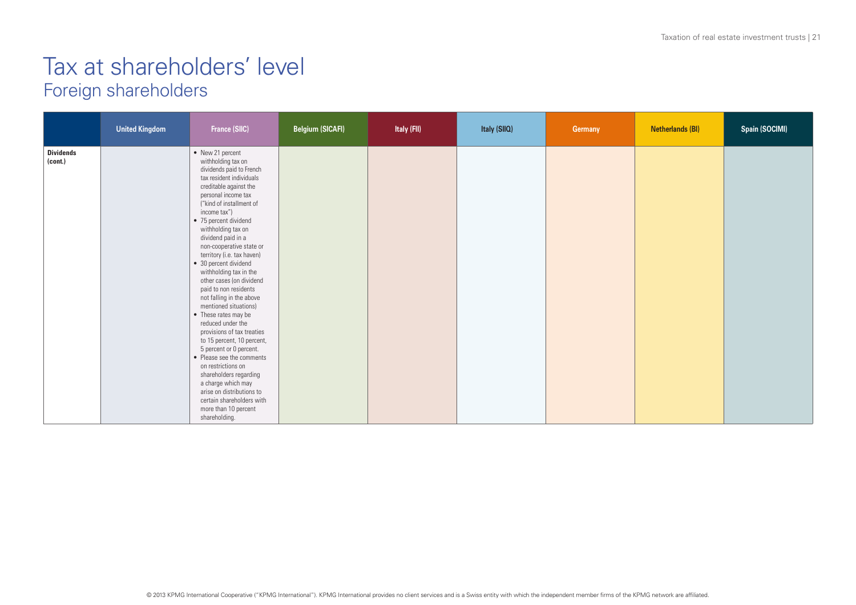### Tax at shareholders' level Foreign shareholders

|                             | <b>United Kingdom</b> | France (SIIC)                                                                                                                                                                                                                                                                                                                                                                                                                                                                                                                                                                                                                                                                                                                                                                                                                     | <b>Belgium (SICAFI)</b> | Italy (FII) | Italy (SIIQ) | Germany | <b>Netherlands (BI)</b> | Spain (SOCIMI) |
|-----------------------------|-----------------------|-----------------------------------------------------------------------------------------------------------------------------------------------------------------------------------------------------------------------------------------------------------------------------------------------------------------------------------------------------------------------------------------------------------------------------------------------------------------------------------------------------------------------------------------------------------------------------------------------------------------------------------------------------------------------------------------------------------------------------------------------------------------------------------------------------------------------------------|-------------------------|-------------|--------------|---------|-------------------------|----------------|
| <b>Dividends</b><br>(cont.) |                       | • New 21 percent<br>withholding tax on<br>dividends paid to French<br>tax resident individuals<br>creditable against the<br>personal income tax<br>("kind of installment of<br>income tax")<br>• 75 percent dividend<br>withholding tax on<br>dividend paid in a<br>non-cooperative state or<br>territory (i.e. tax haven)<br>• 30 percent dividend<br>withholding tax in the<br>other cases (on dividend<br>paid to non residents<br>not falling in the above<br>mentioned situations)<br>• These rates may be<br>reduced under the<br>provisions of tax treaties<br>to 15 percent, 10 percent,<br>5 percent or 0 percent.<br>• Please see the comments<br>on restrictions on<br>shareholders regarding<br>a charge which may<br>arise on distributions to<br>certain shareholders with<br>more than 10 percent<br>shareholding. |                         |             |              |         |                         |                |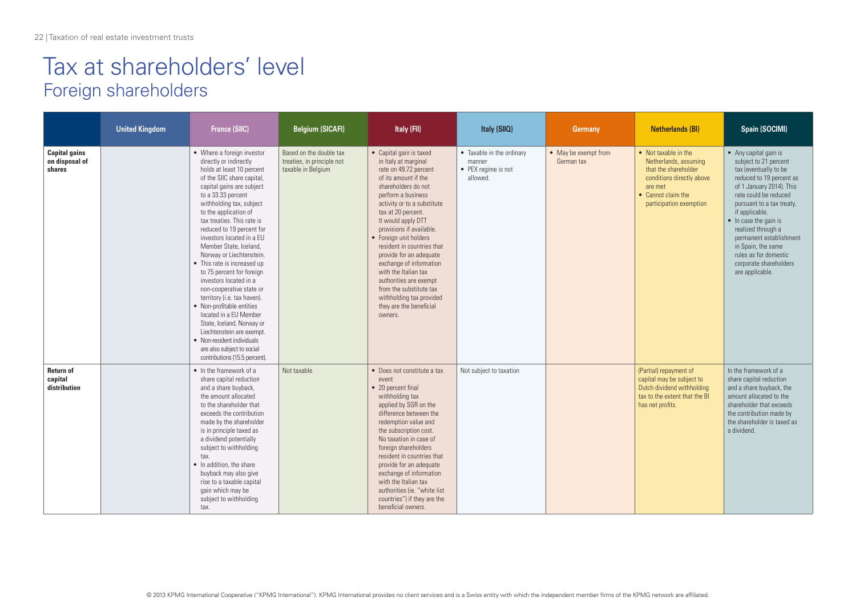### Tax at shareholders' level Foreign shareholders

|                                                  | <b>United Kingdom</b> | <b>France (SIIC)</b>                                                                                                                                                                                                                                                                                                                                                                                                                                                                                                                                                                                                                                                                                                                 | <b>Belgium (SICAFI)</b>                                                     | Italy (FII)                                                                                                                                                                                                                                                                                                                                                                                                                                                                                                       | Italy (SIIQ)                                                           | <b>Germany</b>                     | <b>Netherlands (BI)</b>                                                                                                                                        | Spain (SOCIMI)                                                                                                                                                                                                                                                                                                                                                                        |
|--------------------------------------------------|-----------------------|--------------------------------------------------------------------------------------------------------------------------------------------------------------------------------------------------------------------------------------------------------------------------------------------------------------------------------------------------------------------------------------------------------------------------------------------------------------------------------------------------------------------------------------------------------------------------------------------------------------------------------------------------------------------------------------------------------------------------------------|-----------------------------------------------------------------------------|-------------------------------------------------------------------------------------------------------------------------------------------------------------------------------------------------------------------------------------------------------------------------------------------------------------------------------------------------------------------------------------------------------------------------------------------------------------------------------------------------------------------|------------------------------------------------------------------------|------------------------------------|----------------------------------------------------------------------------------------------------------------------------------------------------------------|---------------------------------------------------------------------------------------------------------------------------------------------------------------------------------------------------------------------------------------------------------------------------------------------------------------------------------------------------------------------------------------|
| <b>Capital gains</b><br>on disposal of<br>shares |                       | • Where a foreign investor<br>directly or indirectly<br>holds at least 10 percent<br>of the SIIC share capital,<br>capital gains are subject<br>to a 33.33 percent<br>withholding tax, subject<br>to the application of<br>tax treaties. This rate is<br>reduced to 19 percent for<br>investors located in a EU<br>Member State, Iceland.<br>Norway or Liechtenstein.<br>• This rate is increased up<br>to 75 percent for foreign<br>investors located in a<br>non-cooperative state or<br>territory (i.e. tax haven).<br>• Non-profitable entities<br>located in a EU Member<br>State, Iceland, Norway or<br>Liechtenstein are exempt.<br>• Non-resident individuals<br>are also subject to social<br>contributions (15.5 percent). | Based on the double tax<br>treaties, in principle not<br>taxable in Belgium | • Capital gain is taxed<br>in Italy at marginal<br>rate on 49.72 percent<br>of its amount if the<br>shareholders do not<br>perform a business<br>activity or to a substitute<br>tax at 20 percent.<br>It would apply DTT<br>provisions if available.<br>• Foreign unit holders<br>resident in countries that<br>provide for an adequate<br>exchange of information<br>with the Italian tax<br>authorities are exempt<br>from the substitute tax<br>withholding tax provided<br>they are the beneficial<br>owners. | • Taxable in the ordinary<br>manner<br>• PEX regime is not<br>allowed. | • May be exempt from<br>German tax | • Not taxable in the<br>Netherlands, assuming<br>that the shareholder<br>conditions directly above<br>are met<br>• Cannot claim the<br>participation exemption | • Any capital gain is<br>subject to 21 percent<br>tax (eventually to be<br>reduced to 19 percent as<br>of 1 January 2014). This<br>rate could be reduced<br>pursuant to a tax treaty,<br>if applicable.<br>$\bullet$ In case the gain is<br>realized through a<br>permanent establishment<br>in Spain, the same<br>rules as for domestic<br>corporate shareholders<br>are applicable. |
| <b>Return of</b><br>capital<br>distribution      |                       | • In the framework of a<br>share capital reduction<br>and a share buyback,<br>the amount allocated<br>to the shareholder that<br>exceeds the contribution<br>made by the shareholder<br>is in principle taxed as<br>a dividend potentially<br>subject to withholding<br>tax.<br>• In addition, the share<br>buyback may also give<br>rise to a taxable capital<br>gain which may be<br>subject to withholding<br>tax.                                                                                                                                                                                                                                                                                                                | Not taxable                                                                 | • Does not constitute a tax<br>event<br>• 20 percent final<br>withholding tax<br>applied by SGR on the<br>difference between the<br>redemption value and<br>the subscription cost.<br>No taxation in case of<br>foreign shareholders<br>resident in countries that<br>provide for an adequate<br>exchange of information<br>with the Italian tax<br>authorities (ie. "white list<br>countries") if they are the<br>beneficial owners.                                                                             | Not subject to taxation                                                |                                    | (Partial) repayment of<br>capital may be subject to<br>Dutch dividend withholding<br>tax to the extent that the BI<br>has net profits.                         | In the framework of a<br>share capital reduction<br>and a share buyback, the<br>amount allocated to the<br>shareholder that exceeds<br>the contribution made by<br>the shareholder is taxed as<br>a dividend.                                                                                                                                                                         |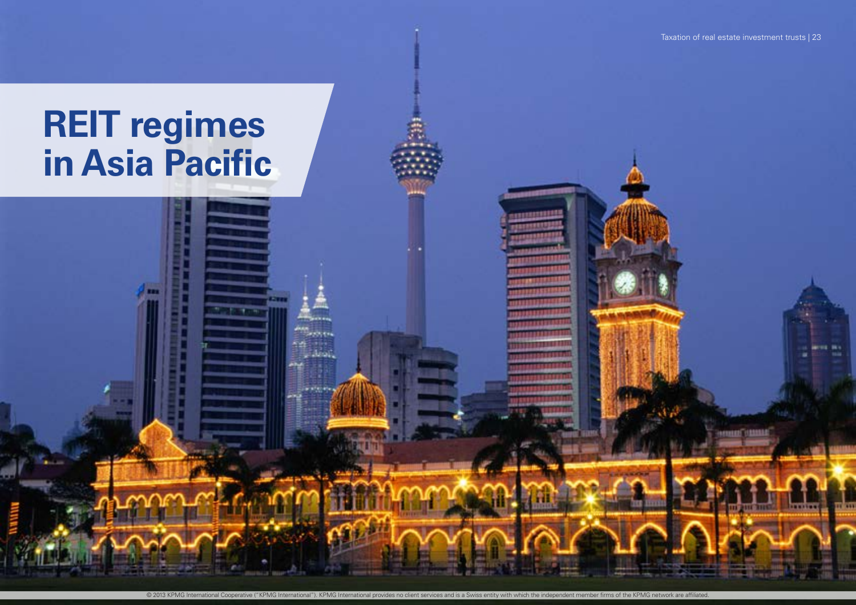**Change** 

**KRIEK** 

© 2013 KPMG International Cooperative ("KPMG International"). KPMG International provides no client services and is a Swiss entity with which the independent member firms of the KPMG network are affiliated.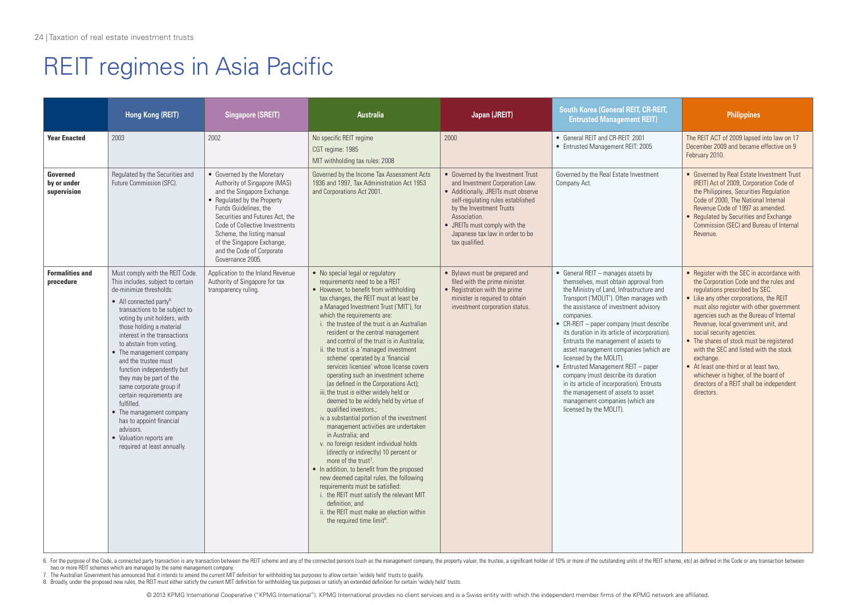|                                        | Hong Kong (REIT)                                                                                                                                                                                                                                                                                                                                                                                                                                                                                                                                                                                               | <b>Singapore (SREIT)</b>                                                                                                                                                                                                                                                                                                            | <b>Australia</b>                                                                                                                                                                                                                                                                                                                                                                                                                                                                                                                                                                                                                                                                                                                                                                                                                                                                                                                                                                                                                                                                                                                                                                                                   | Japan (JREIT)                                                                                                                                                                                                                                                                       | South Korea (General REIT, CR-REIT,<br><b>Entrusted Management REIT)</b>                                                                                                                                                                                                                                                                                                                                                                                                                                                                                                                                                                                           | <b>Philippines</b>                                                                                                                                                                                                                                                                                                                                                                                                                                                                                                                                                         |
|----------------------------------------|----------------------------------------------------------------------------------------------------------------------------------------------------------------------------------------------------------------------------------------------------------------------------------------------------------------------------------------------------------------------------------------------------------------------------------------------------------------------------------------------------------------------------------------------------------------------------------------------------------------|-------------------------------------------------------------------------------------------------------------------------------------------------------------------------------------------------------------------------------------------------------------------------------------------------------------------------------------|--------------------------------------------------------------------------------------------------------------------------------------------------------------------------------------------------------------------------------------------------------------------------------------------------------------------------------------------------------------------------------------------------------------------------------------------------------------------------------------------------------------------------------------------------------------------------------------------------------------------------------------------------------------------------------------------------------------------------------------------------------------------------------------------------------------------------------------------------------------------------------------------------------------------------------------------------------------------------------------------------------------------------------------------------------------------------------------------------------------------------------------------------------------------------------------------------------------------|-------------------------------------------------------------------------------------------------------------------------------------------------------------------------------------------------------------------------------------------------------------------------------------|--------------------------------------------------------------------------------------------------------------------------------------------------------------------------------------------------------------------------------------------------------------------------------------------------------------------------------------------------------------------------------------------------------------------------------------------------------------------------------------------------------------------------------------------------------------------------------------------------------------------------------------------------------------------|----------------------------------------------------------------------------------------------------------------------------------------------------------------------------------------------------------------------------------------------------------------------------------------------------------------------------------------------------------------------------------------------------------------------------------------------------------------------------------------------------------------------------------------------------------------------------|
| <b>Year Enacted</b>                    | 2003                                                                                                                                                                                                                                                                                                                                                                                                                                                                                                                                                                                                           | 2002                                                                                                                                                                                                                                                                                                                                | No specific REIT regime<br>CGT regime: 1985<br>MIT withholding tax rules: 2008                                                                                                                                                                                                                                                                                                                                                                                                                                                                                                                                                                                                                                                                                                                                                                                                                                                                                                                                                                                                                                                                                                                                     | 2000                                                                                                                                                                                                                                                                                | • General REIT and CR-REIT: 2001<br>• Entrusted Management REIT: 2005                                                                                                                                                                                                                                                                                                                                                                                                                                                                                                                                                                                              | The REIT ACT of 2009 lapsed into law on 17<br>December 2009 and became effective on 9<br>February 2010.                                                                                                                                                                                                                                                                                                                                                                                                                                                                    |
| Governed<br>by or under<br>supervision | Regulated by the Securities and<br>Future Commission (SFC).                                                                                                                                                                                                                                                                                                                                                                                                                                                                                                                                                    | • Governed by the Monetary<br>Authority of Singapore (MAS)<br>and the Singapore Exchange.<br>• Regulated by the Property<br>Funds Guidelines, the<br>Securities and Futures Act, the<br>Code of Collective Investments<br>Scheme, the listing manual<br>of the Singapore Exchange,<br>and the Code of Corporate<br>Governance 2005. | Governed by the Income Tax Assessment Acts<br>1936 and 1997, Tax Administration Act 1953<br>and Corporations Act 2001.                                                                                                                                                                                                                                                                                                                                                                                                                                                                                                                                                                                                                                                                                                                                                                                                                                                                                                                                                                                                                                                                                             | • Governed by the Investment Trust<br>and Investment Corporation Law.<br>• Additionally, JREITs must observe<br>self-regulating rules established<br>by the Investment Trusts<br>Association.<br>• JREITs must comply with the<br>Japanese tax law in order to be<br>tax qualified. | Governed by the Real Estate Investment<br>Company Act.                                                                                                                                                                                                                                                                                                                                                                                                                                                                                                                                                                                                             | • Governed by Real Estate Investment Trust<br>(REIT) Act of 2009, Corporation Code of<br>the Philippines, Securities Regulation<br>Code of 2000. The National Internal<br>Revenue Code of 1997 as amended.<br>• Regulated by Securities and Exchange<br>Commission (SEC) and Bureau of Internal<br>Revenue                                                                                                                                                                                                                                                                 |
| <b>Formalities and</b><br>procedure    | Must comply with the REIT Code.<br>This includes, subject to certain<br>de-minimize thresholds:<br>• All connected party <sup>6</sup><br>transactions to be subject to<br>voting by unit holders, with<br>those holding a material<br>interest in the transactions<br>to abstain from voting.<br>• The management company<br>and the trustee must<br>function independently but<br>they may be part of the<br>same corporate group if<br>certain requirements are<br>fulfilled.<br>• The management company<br>has to appoint financial<br>advisors.<br>• Valuation reports are<br>required at least annually. | Application to the Inland Revenue<br>Authority of Singapore for tax<br>transparency ruling.                                                                                                                                                                                                                                         | • No special legal or regulatory<br>requirements need to be a REIT<br>• However, to benefit from withholding<br>tax changes, the REIT must at least be<br>a Managed Investment Trust ('MIT'), for<br>which the requirements are:<br>i. the trustee of the trust is an Australian<br>resident or the central management<br>and control of the trust is in Australia:<br>ii. the trust is a 'managed investment<br>scheme' operated by a 'financial<br>services licensee' whose license covers<br>operating such an investment scheme<br>(as defined in the Corporations Act);<br>iii. the trust is either widely held or<br>deemed to be widely held by virtue of<br>qualified investors.;<br>iv. a substantial portion of the investment<br>management activities are undertaken<br>in Australia: and<br>v. no foreign resident individual holds<br>(directly or indirectly) 10 percent or<br>more of the trust <sup>7</sup> .<br>• In addition, to benefit from the proposed<br>new deemed capital rules, the following<br>requirements must be satisfied:<br>i. the REIT must satisfy the relevant MIT<br>definition: and<br>ii. the REIT must make an election within<br>the required time limit <sup>8</sup> . | • Bylaws must be prepared and<br>filed with the prime minister.<br>• Registration with the prime<br>minister is required to obtain<br>investment corporation status.                                                                                                                | • General REIT - manages assets by<br>themselves, must obtain approval from<br>the Ministry of Land, Infrastructure and<br>Transport ('MOLIT'). Often manages with<br>the assistance of investment advisory<br>companies.<br>• CR-REIT - paper company (must describe<br>its duration in its article of incorporation).<br>Entrusts the management of assets to<br>asset management companies (which are<br>licensed by the MOLIT).<br>• Entrusted Management REIT - paper<br>company (must describe its duration<br>in its article of incorporation). Entrusts<br>the management of assets to asset<br>management companies (which are<br>licensed by the MOLIT). | • Register with the SEC in accordance with<br>the Corporation Code and the rules and<br>regulations prescribed by SEC.<br>• Like any other corporations, the REIT<br>must also register with other government<br>agencies such as the Bureau of Internal<br>Revenue, local government unit, and<br>social security agencies.<br>• The shares of stock must be registered<br>with the SEC and listed with the stock<br>exchange.<br>• At least one-third or at least two,<br>whichever is higher, of the board of<br>directors of a REIT shall be independent<br>directors. |

6. For the purpose of the Code, a connected party transaction is any transaction between the REIT scheme and any of the connected persons (such as the management company, the property valuer, the trustee, a significant hol two or more REIT schemes which are managed by the same management company.

7. The Australian Government has announced that it intends to amend the current MIT definition for withholding tax purposes to allow certain 'widely held' trusts to qualify.

8. Broadly, under the proposed new rules, the REIT must either satisfy the current MIT definition for withholding tax purposes or satisfy an extended definition for certain 'widely held' trusts.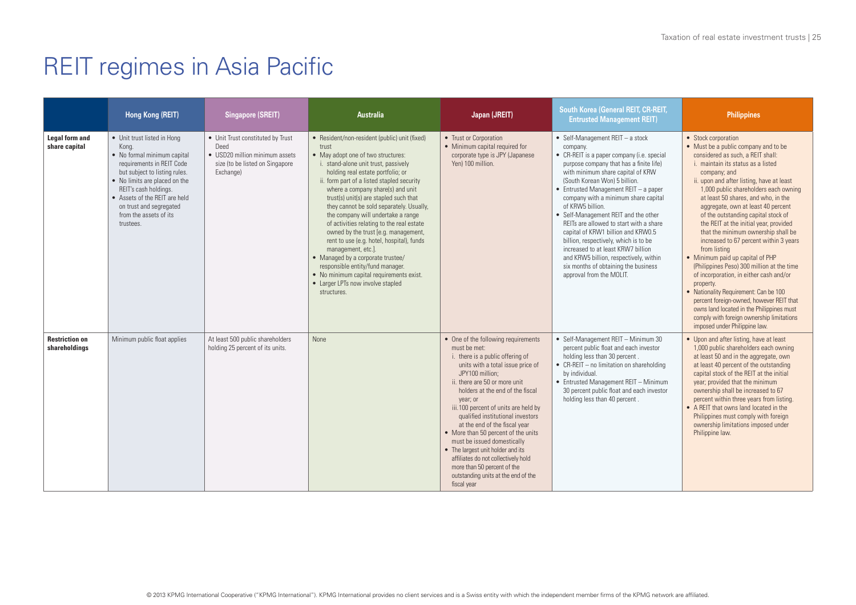|                                        | Hong Kong (REIT)                                                                                                                                                                                                                                                                               | <b>Singapore (SREIT)</b>                                                                                                    | <b>Australia</b>                                                                                                                                                                                                                                                                                                                                                                                                                                                                                                                                                                                                                                                                                                          | Japan (JREIT)                                                                                                                                                                                                                                                                                                                                                                                                                                                                                                                                                                          | <b>South Korea (General REIT, CR-REIT,</b><br><b>Entrusted Management REIT)</b>                                                                                                                                                                                                                                                                                                                                                                                                                                                                                                                                                                  | <b>Philippines</b>                                                                                                                                                                                                                                                                                                                                                                                                                                                                                                                                                                                                                                                                                                                                                                                                                                                    |
|----------------------------------------|------------------------------------------------------------------------------------------------------------------------------------------------------------------------------------------------------------------------------------------------------------------------------------------------|-----------------------------------------------------------------------------------------------------------------------------|---------------------------------------------------------------------------------------------------------------------------------------------------------------------------------------------------------------------------------------------------------------------------------------------------------------------------------------------------------------------------------------------------------------------------------------------------------------------------------------------------------------------------------------------------------------------------------------------------------------------------------------------------------------------------------------------------------------------------|----------------------------------------------------------------------------------------------------------------------------------------------------------------------------------------------------------------------------------------------------------------------------------------------------------------------------------------------------------------------------------------------------------------------------------------------------------------------------------------------------------------------------------------------------------------------------------------|--------------------------------------------------------------------------------------------------------------------------------------------------------------------------------------------------------------------------------------------------------------------------------------------------------------------------------------------------------------------------------------------------------------------------------------------------------------------------------------------------------------------------------------------------------------------------------------------------------------------------------------------------|-----------------------------------------------------------------------------------------------------------------------------------------------------------------------------------------------------------------------------------------------------------------------------------------------------------------------------------------------------------------------------------------------------------------------------------------------------------------------------------------------------------------------------------------------------------------------------------------------------------------------------------------------------------------------------------------------------------------------------------------------------------------------------------------------------------------------------------------------------------------------|
| <b>Legal form and</b><br>share capital | • Unit trust listed in Hong<br>Kong.<br>• No formal minimum capital<br>requirements in REIT Code<br>but subject to listing rules.<br>• No limits are placed on the<br>REIT's cash holdings.<br>• Assets of the REIT are held<br>on trust and segregated<br>from the assets of its<br>trustees. | • Unit Trust constituted by Trust<br>Deed<br>• USD20 million minimum assets<br>size (to be listed on Singapore<br>Exchange) | • Resident/non-resident (public) unit (fixed)<br>trust<br>• May adopt one of two structures:<br>i. stand-alone unit trust, passively<br>holding real estate portfolio; or<br>ii. form part of a listed stapled security<br>where a company share(s) and unit<br>trust(s) unit(s) are stapled such that<br>they cannot be sold separately. Usually,<br>the company will undertake a range<br>of activities relating to the real estate<br>owned by the trust [e.g. management,<br>rent to use (e.g. hotel, hospital), funds<br>management, etc.].<br>• Managed by a corporate trustee/<br>responsible entity/fund manager.<br>• No minimum capital requirements exist.<br>• Larger LPTs now involve stapled<br>structures. | • Trust or Corporation<br>• Minimum capital required for<br>corporate type is JPY (Japanese<br>Yen) 100 million.                                                                                                                                                                                                                                                                                                                                                                                                                                                                       | • Self-Management $REIT - a stock$<br>company.<br>• CR-REIT is a paper company (i.e. special<br>purpose company that has a finite life)<br>with minimum share capital of KRW<br>(South Korean Won) 5 billion.<br>$\bullet$ Entrusted Management REIT - a paper<br>company with a minimum share capital<br>of KRW5 billion.<br>• Self-Management REIT and the other<br>REITs are allowed to start with a share<br>capital of KRW1 billion and KRW0.5<br>billion, respectively, which is to be<br>increased to at least KRW7 billion<br>and KRW5 billion, respectively, within<br>six months of obtaining the business<br>approval from the MOLIT. | • Stock corporation<br>• Must be a public company and to be<br>considered as such, a REIT shall:<br>i. maintain its status as a listed<br>company; and<br>ii. upon and after listing, have at least<br>1,000 public shareholders each owning<br>at least 50 shares, and who, in the<br>aggregate, own at least 40 percent<br>of the outstanding capital stock of<br>the REIT at the initial year, provided<br>that the minimum ownership shall be<br>increased to 67 percent within 3 years<br>from listing<br>• Minimum paid up capital of PHP<br>(Philippines Peso) 300 million at the time<br>of incorporation, in either cash and/or<br>property.<br>• Nationality Requirement: Can be 100<br>percent foreign-owned, however REIT that<br>owns land located in the Philippines must<br>comply with foreign ownership limitations<br>imposed under Philippine law. |
| <b>Restriction on</b><br>shareholdings | Minimum public float applies                                                                                                                                                                                                                                                                   | At least 500 public shareholders<br>holding 25 percent of its units.                                                        | <b>None</b>                                                                                                                                                                                                                                                                                                                                                                                                                                                                                                                                                                                                                                                                                                               | • One of the following requirements<br>must be met:<br>i. there is a public offering of<br>units with a total issue price of<br>JPY100 million:<br>ii, there are 50 or more unit<br>holders at the end of the fiscal<br>year; or<br>iii. 100 percent of units are held by<br>qualified institutional investors<br>at the end of the fiscal year<br>• More than 50 percent of the units<br>must be issued domestically<br>• The largest unit holder and its<br>affiliates do not collectively hold<br>more than 50 percent of the<br>outstanding units at the end of the<br>fiscal year | • Self-Management REIT - Minimum 30<br>percent public float and each investor<br>holding less than 30 percent.<br>• CR-REIT - no limitation on shareholding<br>by individual.<br>• Entrusted Management REIT - Minimum<br>30 percent public float and each investor<br>holding less than 40 percent.                                                                                                                                                                                                                                                                                                                                             | • Upon and after listing, have at least<br>1,000 public shareholders each owning<br>at least 50 and in the aggregate, own<br>at least 40 percent of the outstanding<br>capital stock of the REIT at the initial<br>year; provided that the minimum<br>ownership shall be increased to 67<br>percent within three years from listing.<br>• A REIT that owns land located in the<br>Philippines must comply with foreign<br>ownership limitations imposed under<br>Philippine law.                                                                                                                                                                                                                                                                                                                                                                                      |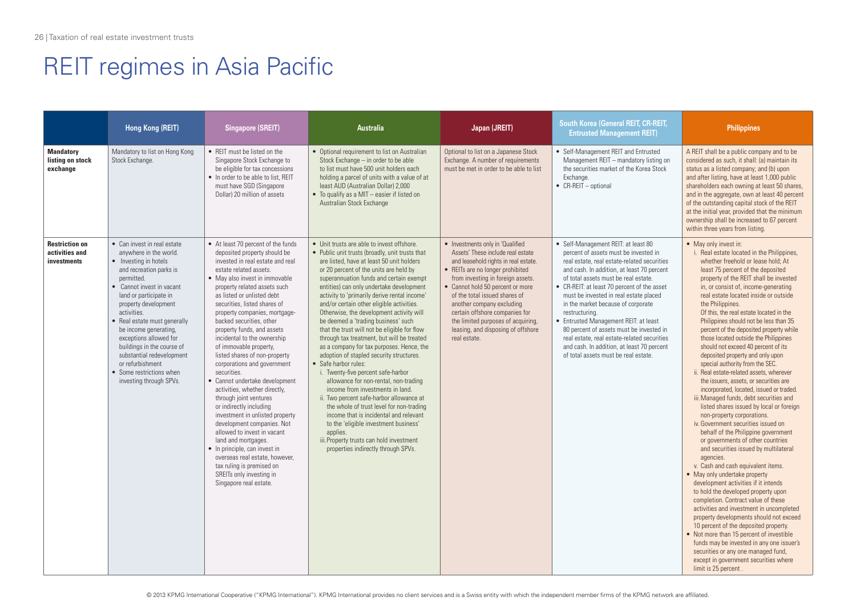|                                                        | Hong Kong (REIT)                                                                                                                                                                                                                                                                                                                                                                                                                               | <b>Singapore (SREIT)</b>                                                                                                                                                                                                                                                                                                                                                                                                                                                                                                                                                                                                                                                                                                                                                                                                                                                                                 | <b>Australia</b>                                                                                                                                                                                                                                                                                                                                                                                                                                                                                                                                                                                                                                                                                                                                                                                                                                                                                                                                                                                                                                                        | Japan (JREIT)                                                                                                                                                                                                                                                                                                                                                                                                          | South Korea (General REIT, CR-REIT,<br><b>Entrusted Management REIT)</b>                                                                                                                                                                                                                                                                                                                                                                                                                                                                                                                     | <b>Philippines</b>                                                                                                                                                                                                                                                                                                                                                                                                                                                                                                                                                                                                                                                                                                                                                                                                                                                                                                                                                                                                                                                                                                                                                                                                                                                                                                                                                                                                                                                                                                                                |
|--------------------------------------------------------|------------------------------------------------------------------------------------------------------------------------------------------------------------------------------------------------------------------------------------------------------------------------------------------------------------------------------------------------------------------------------------------------------------------------------------------------|----------------------------------------------------------------------------------------------------------------------------------------------------------------------------------------------------------------------------------------------------------------------------------------------------------------------------------------------------------------------------------------------------------------------------------------------------------------------------------------------------------------------------------------------------------------------------------------------------------------------------------------------------------------------------------------------------------------------------------------------------------------------------------------------------------------------------------------------------------------------------------------------------------|-------------------------------------------------------------------------------------------------------------------------------------------------------------------------------------------------------------------------------------------------------------------------------------------------------------------------------------------------------------------------------------------------------------------------------------------------------------------------------------------------------------------------------------------------------------------------------------------------------------------------------------------------------------------------------------------------------------------------------------------------------------------------------------------------------------------------------------------------------------------------------------------------------------------------------------------------------------------------------------------------------------------------------------------------------------------------|------------------------------------------------------------------------------------------------------------------------------------------------------------------------------------------------------------------------------------------------------------------------------------------------------------------------------------------------------------------------------------------------------------------------|----------------------------------------------------------------------------------------------------------------------------------------------------------------------------------------------------------------------------------------------------------------------------------------------------------------------------------------------------------------------------------------------------------------------------------------------------------------------------------------------------------------------------------------------------------------------------------------------|---------------------------------------------------------------------------------------------------------------------------------------------------------------------------------------------------------------------------------------------------------------------------------------------------------------------------------------------------------------------------------------------------------------------------------------------------------------------------------------------------------------------------------------------------------------------------------------------------------------------------------------------------------------------------------------------------------------------------------------------------------------------------------------------------------------------------------------------------------------------------------------------------------------------------------------------------------------------------------------------------------------------------------------------------------------------------------------------------------------------------------------------------------------------------------------------------------------------------------------------------------------------------------------------------------------------------------------------------------------------------------------------------------------------------------------------------------------------------------------------------------------------------------------------------|
| <b>Mandatory</b><br>listing on stock<br>exchange       | Mandatory to list on Hong Kong<br>Stock Exchange.                                                                                                                                                                                                                                                                                                                                                                                              | • REIT must be listed on the<br>Singapore Stock Exchange to<br>be eligible for tax concessions<br>• In order to be able to list. REIT<br>must have SGD (Singapore<br>Dollar) 20 million of assets                                                                                                                                                                                                                                                                                                                                                                                                                                                                                                                                                                                                                                                                                                        | • Optional requirement to list on Australian<br>Stock Exchange - in order to be able<br>to list must have 500 unit holders each<br>holding a parcel of units with a value of at<br>least AUD (Australian Dollar) 2,000<br>• To qualify as a MIT - easier if listed on<br>Australian Stock Exchange                                                                                                                                                                                                                                                                                                                                                                                                                                                                                                                                                                                                                                                                                                                                                                      | Optional to list on a Japanese Stock<br>Exchange. A number of requirements<br>must be met in order to be able to list                                                                                                                                                                                                                                                                                                  | • Self-Management REIT and Entrusted<br>Management REIT - mandatory listing on<br>the securities market of the Korea Stock<br>Fxchange.<br>$\bullet$ CR-REIT - optional                                                                                                                                                                                                                                                                                                                                                                                                                      | A REIT shall be a public company and to be<br>considered as such, it shall: (a) maintain its<br>status as a listed company; and (b) upon<br>and after listing, have at least 1,000 public<br>shareholders each owning at least 50 shares,<br>and in the aggregate, own at least 40 percent<br>of the outstanding capital stock of the REIT<br>at the initial year, provided that the minimum<br>ownership shall be increased to 67 percent<br>within three years from listing.                                                                                                                                                                                                                                                                                                                                                                                                                                                                                                                                                                                                                                                                                                                                                                                                                                                                                                                                                                                                                                                                    |
| <b>Restriction on</b><br>activities and<br>investments | • Can invest in real estate<br>anywhere in the world.<br>• Investing in hotels<br>and recreation parks is<br>permitted.<br>• Cannot invest in vacant<br>land or participate in<br>property development<br>activities.<br>• Real estate must generally<br>be income generating,<br>exceptions allowed for<br>buildings in the course of<br>substantial redevelopment<br>or refurbishment<br>• Some restrictions when<br>investing through SPVs. | • At least 70 percent of the funds<br>deposited property should be<br>invested in real estate and real<br>estate related assets.<br>• May also invest in immovable<br>property related assets such<br>as listed or unlisted debt<br>securities, listed shares of<br>property companies, mortgage-<br>backed securities, other<br>property funds, and assets<br>incidental to the ownership<br>of immovable property,<br>listed shares of non-property<br>corporations and government<br>securities.<br>• Cannot undertake development<br>activities, whether directly,<br>through joint ventures<br>or indirectly including<br>investment in unlisted property<br>development companies. Not<br>allowed to invest in vacant<br>land and mortgages.<br>• In principle, can invest in<br>overseas real estate, however,<br>tax ruling is premised on<br>SREITs only investing in<br>Singapore real estate. | • Unit trusts are able to invest offshore.<br>• Public unit trusts (broadly, unit trusts that<br>are listed, have at least 50 unit holders<br>or 20 percent of the units are held by<br>superannuation funds and certain exempt<br>entities) can only undertake development<br>activity to 'primarily derive rental income'<br>and/or certain other eligible activities.<br>Otherwise, the development activity will<br>be deemed a 'trading business' such<br>that the trust will not be eligible for flow<br>through tax treatment, but will be treated<br>as a company for tax purposes. Hence, the<br>adoption of stapled security structures.<br>• Safe harbor rules:<br>i. Twenty-five percent safe-harbor<br>allowance for non-rental, non-trading<br>income from investments in land.<br>ii. Two percent safe-harbor allowance at<br>the whole of trust level for non-trading<br>income that is incidental and relevant<br>to the 'eligible investment business'<br>applies.<br>iii. Property trusts can hold investment<br>properties indirectly through SPVs. | • Investments only in 'Qualified<br>Assets' These include real estate<br>and leasehold rights in real estate.<br>• REITs are no longer prohibited<br>from investing in foreign assets.<br>• Cannot hold 50 percent or more<br>of the total issued shares of<br>another company excluding<br>certain offshore companies for<br>the limited purposes of acquiring,<br>leasing, and disposing of offshore<br>real estate. | • Self-Management REIT: at least 80<br>percent of assets must be invested in<br>real estate, real estate-related securities<br>and cash. In addition, at least 70 percent<br>of total assets must be real estate.<br>• CR-REIT: at least 70 percent of the asset<br>must be invested in real estate placed<br>in the market because of corporate<br>restructuring.<br>• Entrusted Management REIT: at least<br>80 percent of assets must be invested in<br>real estate, real estate-related securities<br>and cash. In addition, at least 70 percent<br>of total assets must be real estate. | • May only invest in:<br>i. Real estate located in the Philippines,<br>whether freehold or lease hold: At<br>least 75 percent of the deposited<br>property of the REIT shall be invested<br>in, or consist of, income-generating<br>real estate located inside or outside<br>the Philippines.<br>Of this, the real estate located in the<br>Philippines should not be less than 35<br>percent of the deposited property while<br>those located outside the Philippines<br>should not exceed 40 percent of its<br>deposited property and only upon<br>special authority from the SEC.<br>ii. Real estate-related assets, wherever<br>the issuers, assets, or securities are<br>incorporated, located, issued or traded.<br>iii. Managed funds, debt securities and<br>listed shares issued by local or foreign<br>non-property corporations.<br>iv. Government securities issued on<br>behalf of the Philippine government<br>or governments of other countries<br>and securities issued by multilateral<br>agencies.<br>v. Cash and cash equivalent items.<br>• May only undertake property<br>development activities if it intends<br>to hold the developed property upon<br>completion. Contract value of these<br>activities and investment in uncompleted<br>property developments should not exceed<br>10 percent of the deposited property.<br>• Not more than 15 percent of investible<br>funds may be invested in any one issuer's<br>securities or any one managed fund,<br>except in government securities where<br>limit is 25 percent |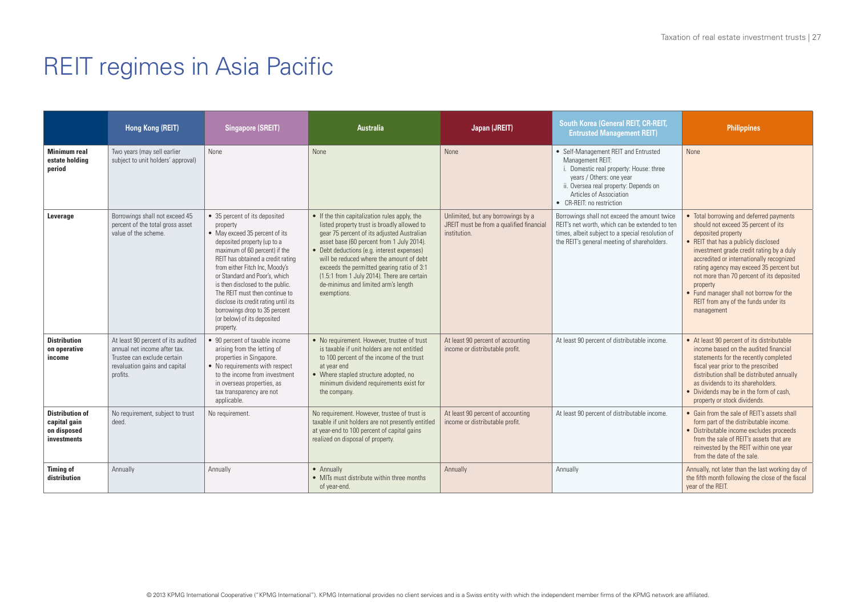|                                                                      | Hong Kong (REIT)                                                                                                                               | <b>Singapore (SREIT)</b>                                                                                                                                                                                                                                                                                                                                                                                                                       | <b>Australia</b>                                                                                                                                                                                                                                                                                                                                                                                                                     | Japan (JREIT)                                                                                  | South Korea (General REIT, CR-REIT,<br><b>Entrusted Management REIT)</b>                                                                                                                                                         | <b>Philippines</b>                                                                                                                                                                                                                                                                                                                                                                                                                        |
|----------------------------------------------------------------------|------------------------------------------------------------------------------------------------------------------------------------------------|------------------------------------------------------------------------------------------------------------------------------------------------------------------------------------------------------------------------------------------------------------------------------------------------------------------------------------------------------------------------------------------------------------------------------------------------|--------------------------------------------------------------------------------------------------------------------------------------------------------------------------------------------------------------------------------------------------------------------------------------------------------------------------------------------------------------------------------------------------------------------------------------|------------------------------------------------------------------------------------------------|----------------------------------------------------------------------------------------------------------------------------------------------------------------------------------------------------------------------------------|-------------------------------------------------------------------------------------------------------------------------------------------------------------------------------------------------------------------------------------------------------------------------------------------------------------------------------------------------------------------------------------------------------------------------------------------|
| <b>Minimum real</b><br>estate holding<br>period                      | Two years (may sell earlier<br>subject to unit holders' approval)                                                                              | None                                                                                                                                                                                                                                                                                                                                                                                                                                           | <b>None</b>                                                                                                                                                                                                                                                                                                                                                                                                                          | <b>None</b>                                                                                    | • Self-Management REIT and Entrusted<br>Management REIT:<br>i. Domestic real property: House: three<br>years / Others: one year<br>ii. Oversea real property: Depends on<br>Articles of Association<br>• CR-RFIT: no restriction | <b>None</b>                                                                                                                                                                                                                                                                                                                                                                                                                               |
| Leverage                                                             | Borrowings shall not exceed 45<br>percent of the total gross asset<br>value of the scheme.                                                     | • 35 percent of its deposited<br>property<br>• May exceed 35 percent of its<br>deposited property (up to a<br>maximum of 60 percent) if the<br>REIT has obtained a credit rating<br>from either Fitch Inc, Moody's<br>or Standard and Poor's, which<br>is then disclosed to the public.<br>The RFIT must then continue to<br>disclose its credit rating until its<br>borrowings drop to 35 percent<br>(or below) of its deposited<br>property. | • If the thin capitalization rules apply, the<br>listed property trust is broadly allowed to<br>gear 75 percent of its adjusted Australian<br>asset base (60 percent from 1 July 2014).<br>• Debt deductions (e.g. interest expenses)<br>will be reduced where the amount of debt<br>exceeds the permitted gearing ratio of 3:1<br>(1.5:1 from 1 July 2014). There are certain<br>de-minimus and limited arm's length<br>exemptions. | Unlimited, but any borrowings by a<br>JREIT must be from a qualified financial<br>institution. | Borrowings shall not exceed the amount twice<br>REIT's net worth, which can be extended to ten<br>times, albeit subject to a special resolution of<br>the REIT's general meeting of shareholders.                                | • Total borrowing and deferred payments<br>should not exceed 35 percent of its<br>deposited property<br>• REIT that has a publicly disclosed<br>investment grade credit rating by a duly<br>accredited or internationally recognized<br>rating agency may exceed 35 percent but<br>not more than 70 percent of its deposited<br>property<br>• Fund manager shall not borrow for the<br>REIT from any of the funds under its<br>management |
| <b>Distribution</b><br>on operative<br>income                        | At least 90 percent of its audited<br>annual net income after tax.<br>Trustee can exclude certain<br>revaluation gains and capital<br>profits. | • 90 percent of taxable income<br>arising from the letting of<br>properties in Singapore.<br>• No requirements with respect<br>to the income from investment<br>in overseas properties, as<br>tax transparency are not<br>applicable.                                                                                                                                                                                                          | • No requirement. However, trustee of trust<br>is taxable if unit holders are not entitled<br>to 100 percent of the income of the trust<br>at year end<br>• Where stapled structure adopted, no<br>minimum dividend requirements exist for<br>the company.                                                                                                                                                                           | At least 90 percent of accounting<br>income or distributable profit.                           | At least 90 percent of distributable income.                                                                                                                                                                                     | • At least 90 percent of its distributable<br>income based on the audited financial<br>statements for the recently completed<br>fiscal year prior to the prescribed<br>distribution shall be distributed annually<br>as dividends to its shareholders.<br>• Dividends may be in the form of cash,<br>property or stock dividends.                                                                                                         |
| <b>Distribution of</b><br>capital gain<br>on disposed<br>investments | No requirement, subject to trust<br>deed.                                                                                                      | No requirement.                                                                                                                                                                                                                                                                                                                                                                                                                                | No requirement. However, trustee of trust is<br>taxable if unit holders are not presently entitled<br>at year-end to 100 percent of capital gains<br>realized on disposal of property.                                                                                                                                                                                                                                               | At least 90 percent of accounting<br>income or distributable profit.                           | At least 90 percent of distributable income.                                                                                                                                                                                     | • Gain from the sale of REIT's assets shall<br>form part of the distributable income.<br>• Distributable income excludes proceeds<br>from the sale of REIT's assets that are<br>reinvested by the REIT within one year<br>from the date of the sale.                                                                                                                                                                                      |
| <b>Timing of</b><br>distribution                                     | Annually                                                                                                                                       | Annually                                                                                                                                                                                                                                                                                                                                                                                                                                       | • Annually<br>• MITs must distribute within three months<br>of year-end.                                                                                                                                                                                                                                                                                                                                                             | Annually                                                                                       | Annually                                                                                                                                                                                                                         | Annually, not later than the last working day of<br>the fifth month following the close of the fiscal<br>year of the REIT.                                                                                                                                                                                                                                                                                                                |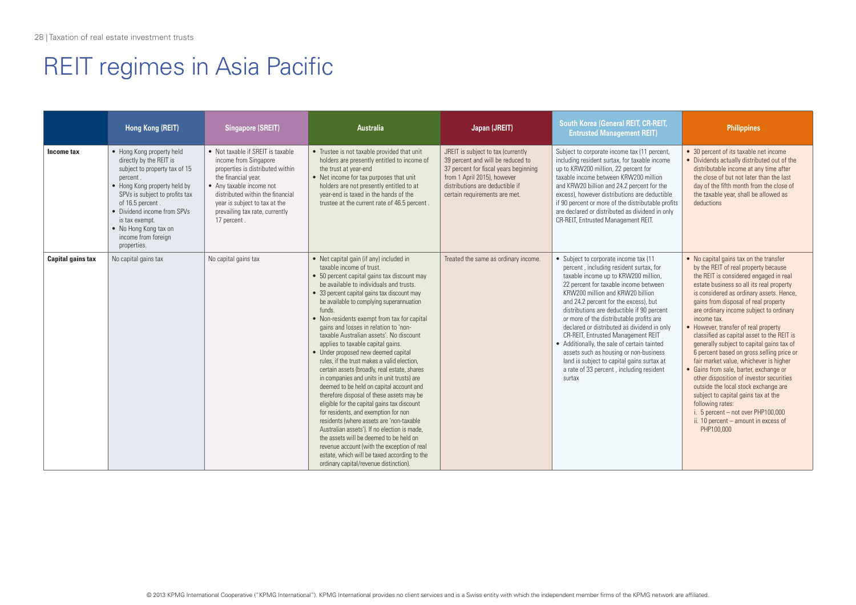|                          | Hong Kong (REIT)                                                                                                                                                                                                                                                                                        | <b>Singapore (SREIT)</b>                                                                                                                                                                                                                                                | <b>Australia</b>                                                                                                                                                                                                                                                                                                                                                                                                                                                                                                                                                                                                                                                                                                                                                                                                                                                                                                                                                                                                                                                                               | Japan (JREIT)                                                                                                                                                                                                       | <b>South Korea (General REIT, CR-REIT,</b><br><b>Entrusted Management REIT)</b>                                                                                                                                                                                                                                                                                                                                                                                                                                                                                                                                            | <b>Philippines</b>                                                                                                                                                                                                                                                                                                                                                                                                                                                                                                                                                                                                                                                                                                                                                                                                                |
|--------------------------|---------------------------------------------------------------------------------------------------------------------------------------------------------------------------------------------------------------------------------------------------------------------------------------------------------|-------------------------------------------------------------------------------------------------------------------------------------------------------------------------------------------------------------------------------------------------------------------------|------------------------------------------------------------------------------------------------------------------------------------------------------------------------------------------------------------------------------------------------------------------------------------------------------------------------------------------------------------------------------------------------------------------------------------------------------------------------------------------------------------------------------------------------------------------------------------------------------------------------------------------------------------------------------------------------------------------------------------------------------------------------------------------------------------------------------------------------------------------------------------------------------------------------------------------------------------------------------------------------------------------------------------------------------------------------------------------------|---------------------------------------------------------------------------------------------------------------------------------------------------------------------------------------------------------------------|----------------------------------------------------------------------------------------------------------------------------------------------------------------------------------------------------------------------------------------------------------------------------------------------------------------------------------------------------------------------------------------------------------------------------------------------------------------------------------------------------------------------------------------------------------------------------------------------------------------------------|-----------------------------------------------------------------------------------------------------------------------------------------------------------------------------------------------------------------------------------------------------------------------------------------------------------------------------------------------------------------------------------------------------------------------------------------------------------------------------------------------------------------------------------------------------------------------------------------------------------------------------------------------------------------------------------------------------------------------------------------------------------------------------------------------------------------------------------|
| Income tax               | • Hong Kong property held<br>directly by the REIT is<br>subject to property tax of 15<br>percent.<br>• Hong Kong property held by<br>SPVs is subject to profits tax<br>of 16.5 percent.<br>• Dividend income from SPVs<br>is tax exempt.<br>• No Hong Kong tax on<br>income from foreign<br>properties. | • Not taxable if SRFIT is taxable<br>income from Singapore<br>properties is distributed within<br>the financial year.<br>• Any taxable income not<br>distributed within the financial<br>year is subject to tax at the<br>prevailing tax rate, currently<br>17 percent. | • Trustee is not taxable provided that unit<br>holders are presently entitled to income of<br>the trust at year-end<br>• Net income for tax purposes that unit<br>holders are not presently entitled to at<br>vear-end is taxed in the hands of the<br>trustee at the current rate of 46.5 percent.                                                                                                                                                                                                                                                                                                                                                                                                                                                                                                                                                                                                                                                                                                                                                                                            | JREIT is subject to tax (currently<br>39 percent and will be reduced to<br>37 percent for fiscal years beginning<br>from 1 April 2015), however<br>distributions are deductible if<br>certain requirements are met. | Subject to corporate income tax (11 percent,<br>including resident surtax, for taxable income<br>up to KRW200 million, 22 percent for<br>taxable income between KRW200 million<br>and KRW20 billion and 24.2 percent for the<br>excess), however distributions are deductible<br>if 90 percent or more of the distributable profits<br>are declared or distributed as dividend in only<br>CR-REIT, Entrusted Management REIT.                                                                                                                                                                                              | • 30 percent of its taxable net income<br>• Dividends actually distributed out of the<br>distributable income at any time after<br>the close of but not later than the last<br>day of the fifth month from the close of<br>the taxable year, shall be allowed as<br>deductions                                                                                                                                                                                                                                                                                                                                                                                                                                                                                                                                                    |
| <b>Capital gains tax</b> | No capital gains tax                                                                                                                                                                                                                                                                                    | No capital gains tax                                                                                                                                                                                                                                                    | • Net capital gain (if any) included in<br>taxable income of trust.<br>• 50 percent capital gains tax discount may<br>be available to individuals and trusts.<br>• 33 percent capital gains tax discount may<br>be available to complying superannuation<br>funds.<br>• Non-residents exempt from tax for capital<br>aains and losses in relation to 'non-<br>taxable Australian assets'. No discount<br>applies to taxable capital gains.<br>• Under proposed new deemed capital<br>rules, if the trust makes a valid election.<br>certain assets (broadly, real estate, shares<br>in companies and units in unit trusts) are<br>deemed to be held on capital account and<br>therefore disposal of these assets may be<br>eligible for the capital gains tax discount<br>for residents, and exemption for non<br>residents (where assets are 'non-taxable<br>Australian assets'). If no election is made.<br>the assets will be deemed to be held on<br>revenue account (with the exception of real<br>estate, which will be taxed according to the<br>ordinary capital/revenue distinction). | Treated the same as ordinary income.                                                                                                                                                                                | • Subject to corporate income tax (11<br>percent, including resident surtax, for<br>taxable income up to KRW200 million,<br>22 percent for taxable income between<br>KRW200 million and KRW20 billion<br>and 24.2 percent for the excess), but<br>distributions are deductible if 90 percent<br>or more of the distributable profits are<br>declared or distributed as dividend in only<br>CR-REIT, Entrusted Management REIT<br>• Additionally, the sale of certain tainted<br>assets such as housing or non-business<br>land is subject to capital gains surtax at<br>a rate of 33 percent, including resident<br>surtax | • No capital gains tax on the transfer<br>by the REIT of real property because<br>the REIT is considered engaged in real<br>estate business so all its real property<br>is considered as ordinary assets. Hence,<br>gains from disposal of real property<br>are ordinary income subject to ordinary<br>income tax.<br>• However, transfer of real property<br>classified as capital asset to the REIT is<br>generally subject to capital gains tax of<br>6 percent based on gross selling price or<br>fair market value, whichever is higher<br>• Gains from sale, barter, exchange or<br>other disposition of investor securities<br>outside the local stock exchange are<br>subject to capital gains tax at the<br>following rates:<br>i. 5 percent - not over PHP100,000<br>ii. 10 percent - amount in excess of<br>PHP100.000 |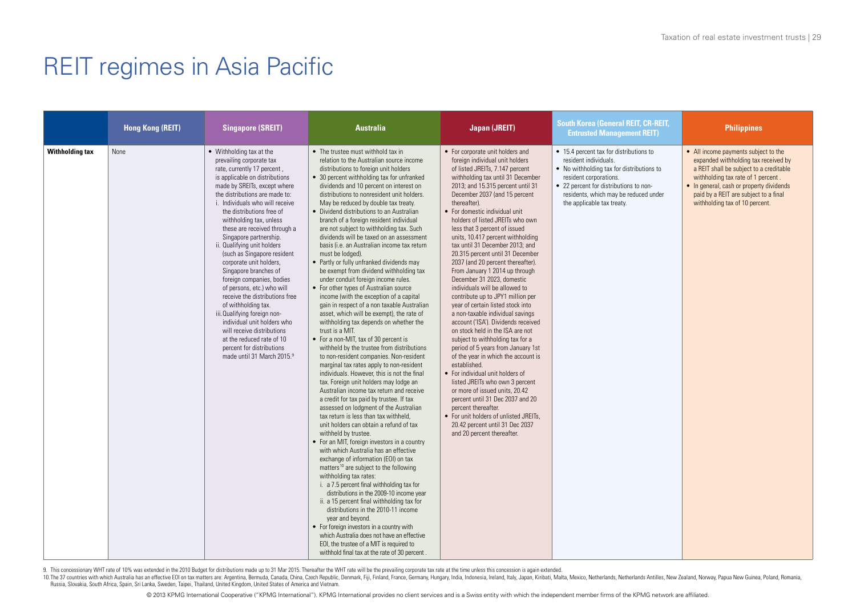|                        | <b>Hong Kong (REIT)</b> | <b>Singapore (SREIT)</b>                                                                                                                                                                                                                                                                                                                                                                                                                                                                                                                                                                                                                                                                                                                                                | <b>Australia</b>                                                                                                                                                                                                                                                                                                                                                                                                                                                                                                                                                                                                                                                                                                                                                                                                                                                                                                                                                                                                                                                                                                                                                                                                                                                                                                                                                                                                                                                                                                                                                                                                                                                                                                                                                                                                                                                                                                                                                                                                                                                        | <b>Japan (JREIT)</b>                                                                                                                                                                                                                                                                                                                                                                                                                                                                                                                                                                                                                                                                                                                                                                                                                                                                                                                                                                                                                                                                                                                                                                                 | <b>South Korea (General REIT, CR-REIT,</b><br><b>Entrusted Management REIT)</b>                                                                                                                                                                          | <b>Philippines</b>                                                                                                                                                                                                                                                                   |
|------------------------|-------------------------|-------------------------------------------------------------------------------------------------------------------------------------------------------------------------------------------------------------------------------------------------------------------------------------------------------------------------------------------------------------------------------------------------------------------------------------------------------------------------------------------------------------------------------------------------------------------------------------------------------------------------------------------------------------------------------------------------------------------------------------------------------------------------|-------------------------------------------------------------------------------------------------------------------------------------------------------------------------------------------------------------------------------------------------------------------------------------------------------------------------------------------------------------------------------------------------------------------------------------------------------------------------------------------------------------------------------------------------------------------------------------------------------------------------------------------------------------------------------------------------------------------------------------------------------------------------------------------------------------------------------------------------------------------------------------------------------------------------------------------------------------------------------------------------------------------------------------------------------------------------------------------------------------------------------------------------------------------------------------------------------------------------------------------------------------------------------------------------------------------------------------------------------------------------------------------------------------------------------------------------------------------------------------------------------------------------------------------------------------------------------------------------------------------------------------------------------------------------------------------------------------------------------------------------------------------------------------------------------------------------------------------------------------------------------------------------------------------------------------------------------------------------------------------------------------------------------------------------------------------------|------------------------------------------------------------------------------------------------------------------------------------------------------------------------------------------------------------------------------------------------------------------------------------------------------------------------------------------------------------------------------------------------------------------------------------------------------------------------------------------------------------------------------------------------------------------------------------------------------------------------------------------------------------------------------------------------------------------------------------------------------------------------------------------------------------------------------------------------------------------------------------------------------------------------------------------------------------------------------------------------------------------------------------------------------------------------------------------------------------------------------------------------------------------------------------------------------|----------------------------------------------------------------------------------------------------------------------------------------------------------------------------------------------------------------------------------------------------------|--------------------------------------------------------------------------------------------------------------------------------------------------------------------------------------------------------------------------------------------------------------------------------------|
| <b>Withholding tax</b> | None                    | • Withholding tax at the<br>prevailing corporate tax<br>rate, currently 17 percent,<br>is applicable on distributions<br>made by SREITs, except where<br>the distributions are made to:<br>i. Individuals who will receive<br>the distributions free of<br>withholding tax, unless<br>these are received through a<br>Singapore partnership.<br>ii. Qualifying unit holders<br>(such as Singapore resident<br>corporate unit holders,<br>Singapore branches of<br>foreign companies, bodies<br>of persons, etc.) who will<br>receive the distributions free<br>of withholding tax.<br>iii. Qualifying foreign non-<br>individual unit holders who<br>will receive distributions<br>at the reduced rate of 10<br>percent for distributions<br>made until 31 March 2015.9 | • The trustee must withhold tax in<br>relation to the Australian source income<br>distributions to foreign unit holders<br>• 30 percent withholding tax for unfranked<br>dividends and 10 percent on interest on<br>distributions to nonresident unit holders.<br>May be reduced by double tax treaty.<br>• Dividend distributions to an Australian<br>branch of a foreign resident individual<br>are not subject to withholding tax. Such<br>dividends will be taxed on an assessment<br>basis (i.e. an Australian income tax return<br>must be lodged).<br>• Partly or fully unfranked dividends may<br>be exempt from dividend withholding tax<br>under conduit foreign income rules.<br>• For other types of Australian source<br>income (with the exception of a capital<br>gain in respect of a non taxable Australian<br>asset, which will be exempt), the rate of<br>withholding tax depends on whether the<br>trust is a MIT.<br>• For a non-MIT, tax of 30 percent is<br>withheld by the trustee from distributions<br>to non-resident companies. Non-resident<br>marginal tax rates apply to non-resident<br>individuals. However, this is not the final<br>tax. Foreign unit holders may lodge an<br>Australian income tax return and receive<br>a credit for tax paid by trustee. If tax<br>assessed on lodgment of the Australian<br>tax return is less than tax withheld,<br>unit holders can obtain a refund of tax<br>withheld by trustee.<br>• For an MIT, foreign investors in a country<br>with which Australia has an effective<br>exchange of information (EOI) on tax<br>matters <sup>10</sup> are subject to the following<br>withholding tax rates:<br>i. a 7.5 percent final withholding tax for<br>distributions in the 2009-10 income year<br>ii. a 15 percent final withholding tax for<br>distributions in the 2010-11 income<br>year and beyond.<br>• For foreign investors in a country with<br>which Australia does not have an effective<br>EOI, the trustee of a MIT is required to<br>withhold final tax at the rate of 30 percent. | • For corporate unit holders and<br>foreign individual unit holders<br>of listed JREITs, 7.147 percent<br>withholding tax until 31 December<br>2013; and 15.315 percent until 31<br>December 2037 (and 15 percent<br>thereafter).<br>• For domestic individual unit<br>holders of listed JRFITs who own<br>less that 3 percent of issued<br>units, 10.417 percent withholding<br>tax until 31 December 2013; and<br>20.315 percent until 31 December<br>2037 (and 20 percent thereafter).<br>From January 1 2014 up through<br>December 31 2023, domestic<br>individuals will be allowed to<br>contribute up to JPY1 million per<br>year of certain listed stock into<br>a non-taxable individual savings<br>account ('ISA'). Dividends received<br>on stock held in the ISA are not<br>subject to withholding tax for a<br>period of 5 years from January 1st<br>of the year in which the account is<br>established.<br>• For individual unit holders of<br>listed JREITs who own 3 percent<br>or more of issued units, 20.42<br>percent until 31 Dec 2037 and 20<br>percent thereafter.<br>• For unit holders of unlisted JREITs,<br>20.42 percent until 31 Dec 2037<br>and 20 percent thereafter. | • 15.4 percent tax for distributions to<br>resident individuals.<br>• No withholding tax for distributions to<br>resident corporations.<br>• 22 percent for distributions to non-<br>residents, which may be reduced under<br>the applicable tax treaty. | • All income payments subject to the<br>expanded withholding tax received by<br>a REIT shall be subject to a creditable<br>withholding tax rate of 1 percent.<br>• In general, cash or property dividends<br>paid by a REIT are subject to a final<br>withholding tax of 10 percent. |

9. This concessionary WHT rate of 10% was extended in the 2010 Budget for distributions made up to 31 Mar 2015. Thereafter the WHT rate will be the prevailing corporate tax rate at the time unless this concession is again

10. The 37 countries with which Australia has an effective EDI on tax matters are: Argentina, Bermuda, Canada, China, Czech Republic, Denmark, Fiji, Finland, France, Germany, Hungary, India, Indonesia, Ireland, Italy, Japa Russia, Slovakia, South Africa, Spain, Sri Lanka, Sweden, Taipei, Thailand, United Kingdom, United States of America and Vietnam.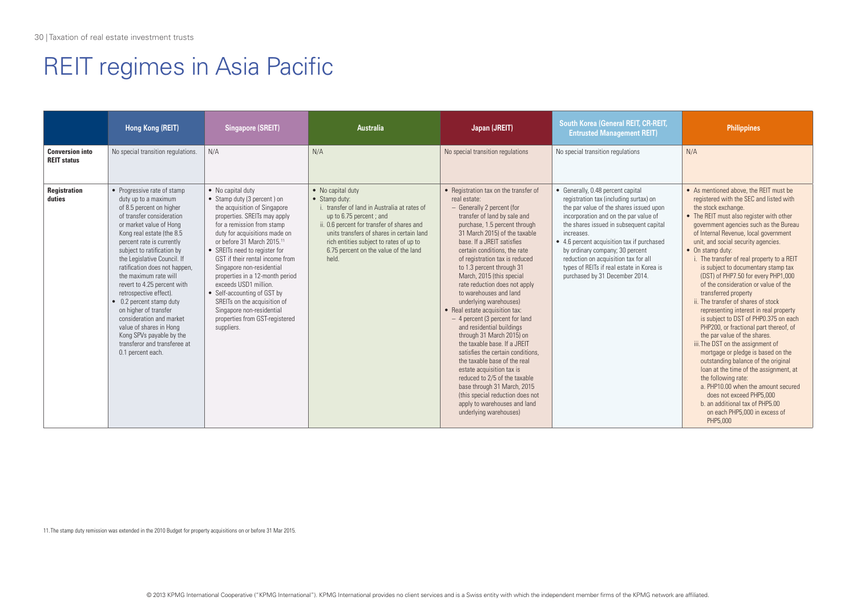|                                              | Hong Kong (REIT)                                                                                                                                                                                                                                                                                                                                                                                                                                                                                                                                                               | <b>Singapore (SREIT)</b>                                                                                                                                                                                                                                                                                                                                                                                                                                                                                                           | <b>Australia</b>                                                                                                                                                                                                                                                                                      | Japan (JREIT)                                                                                                                                                                                                                                                                                                                                                                                                                                                                                                                                                                                                                                                                                                                                                                                                                                                       | <b>South Korea (General REIT, CR-REIT,</b><br><b>Entrusted Management REIT)</b>                                                                                                                                                                                                                                                                                                                                                  | <b>Philippines</b>                                                                                                                                                                                                                                                                                                                                                                                                                                                                                                                                                                                                                                                                                                                                                                                                                                                                                                                                                                                                                       |
|----------------------------------------------|--------------------------------------------------------------------------------------------------------------------------------------------------------------------------------------------------------------------------------------------------------------------------------------------------------------------------------------------------------------------------------------------------------------------------------------------------------------------------------------------------------------------------------------------------------------------------------|------------------------------------------------------------------------------------------------------------------------------------------------------------------------------------------------------------------------------------------------------------------------------------------------------------------------------------------------------------------------------------------------------------------------------------------------------------------------------------------------------------------------------------|-------------------------------------------------------------------------------------------------------------------------------------------------------------------------------------------------------------------------------------------------------------------------------------------------------|---------------------------------------------------------------------------------------------------------------------------------------------------------------------------------------------------------------------------------------------------------------------------------------------------------------------------------------------------------------------------------------------------------------------------------------------------------------------------------------------------------------------------------------------------------------------------------------------------------------------------------------------------------------------------------------------------------------------------------------------------------------------------------------------------------------------------------------------------------------------|----------------------------------------------------------------------------------------------------------------------------------------------------------------------------------------------------------------------------------------------------------------------------------------------------------------------------------------------------------------------------------------------------------------------------------|------------------------------------------------------------------------------------------------------------------------------------------------------------------------------------------------------------------------------------------------------------------------------------------------------------------------------------------------------------------------------------------------------------------------------------------------------------------------------------------------------------------------------------------------------------------------------------------------------------------------------------------------------------------------------------------------------------------------------------------------------------------------------------------------------------------------------------------------------------------------------------------------------------------------------------------------------------------------------------------------------------------------------------------|
| <b>Conversion into</b><br><b>REIT status</b> | No special transition regulations.                                                                                                                                                                                                                                                                                                                                                                                                                                                                                                                                             | N/A                                                                                                                                                                                                                                                                                                                                                                                                                                                                                                                                | N/A                                                                                                                                                                                                                                                                                                   | No special transition regulations                                                                                                                                                                                                                                                                                                                                                                                                                                                                                                                                                                                                                                                                                                                                                                                                                                   | No special transition regulations                                                                                                                                                                                                                                                                                                                                                                                                | N/A                                                                                                                                                                                                                                                                                                                                                                                                                                                                                                                                                                                                                                                                                                                                                                                                                                                                                                                                                                                                                                      |
| <b>Registration</b><br>duties                | • Progressive rate of stamp<br>duty up to a maximum<br>of 8.5 percent on higher<br>of transfer consideration<br>or market value of Hong<br>Kong real estate (the 8.5<br>percent rate is currently<br>subject to ratification by<br>the Legislative Council. If<br>ratification does not happen,<br>the maximum rate will<br>revert to 4.25 percent with<br>retrospective effect).<br>• 0.2 percent stamp duty<br>on higher of transfer<br>consideration and market<br>value of shares in Hong<br>Kong SPVs payable by the<br>transferor and transferee at<br>0.1 percent each. | • No capital duty<br>• Stamp duty (3 percent) on<br>the acquisition of Singapore<br>properties. SREITs may apply<br>for a remission from stamp<br>duty for acquisitions made on<br>or before 31 March 2015. <sup>11</sup><br>• SREITs need to register for<br>GST if their rental income from<br>Singapore non-residential<br>properties in a 12-month period<br>exceeds USD1 million.<br>• Self-accounting of GST by<br>SREITs on the acquisition of<br>Singapore non-residential<br>properties from GST-registered<br>suppliers. | • No capital duty<br>• Stamp duty:<br>i. transfer of land in Australia at rates of<br>up to 6.75 percent; and<br>ii. 0.6 percent for transfer of shares and<br>units transfers of shares in certain land<br>rich entities subject to rates of up to<br>6.75 percent on the value of the land<br>held. | • Registration tax on the transfer of<br>real estate:<br>- Generally 2 percent (for<br>transfer of land by sale and<br>purchase, 1.5 percent through<br>31 March 2015) of the taxable<br>base. If a JRFIT satisfies<br>certain conditions, the rate<br>of registration tax is reduced<br>to 1.3 percent through 31<br>March, 2015 (this special<br>rate reduction does not apply<br>to warehouses and land<br>underlying warehouses)<br>• Real estate acquisition tax:<br>- 4 percent (3 percent for land<br>and residential buildings<br>through 31 March 2015) on<br>the taxable base. If a JREIT<br>satisfies the certain conditions.<br>the taxable base of the real<br>estate acquisition tax is<br>reduced to 2/5 of the taxable<br>base through 31 March, 2015<br>(this special reduction does not<br>apply to warehouses and land<br>underlying warehouses) | • Generally, 0.48 percent capital<br>registration tax (including surtax) on<br>the par value of the shares issued upon<br>incorporation and on the par value of<br>the shares issued in subsequent capital<br>increases.<br>• 4.6 percent acquisition tax if purchased<br>by ordinary company; 30 percent<br>reduction on acquisition tax for all<br>types of REITs if real estate in Korea is<br>purchased by 31 December 2014. | • As mentioned above, the REIT must be<br>registered with the SEC and listed with<br>the stock exchange.<br>• The REIT must also register with other<br>government agencies such as the Bureau<br>of Internal Revenue, local government<br>unit, and social security agencies.<br>• On stamp duty:<br>i. The transfer of real property to a REIT<br>is subject to documentary stamp tax<br>(DST) of PHP7.50 for every PHP1,000<br>of the consideration or value of the<br>transferred property<br>ii. The transfer of shares of stock<br>representing interest in real property<br>is subject to DST of PHP0.375 on each<br>PHP200, or fractional part thereof, of<br>the par value of the shares.<br>iii. The DST on the assignment of<br>mortgage or pledge is based on the<br>outstanding balance of the original<br>loan at the time of the assignment, at<br>the following rate:<br>a. PHP10.00 when the amount secured<br>does not exceed PHP5.000<br>b. an additional tax of PHP5.00<br>on each PHP5,000 in excess of<br>PHP5,000 |

11. The stamp duty remission was extended in the 2010 Budget for property acquisitions on or before 31 Mar 2015.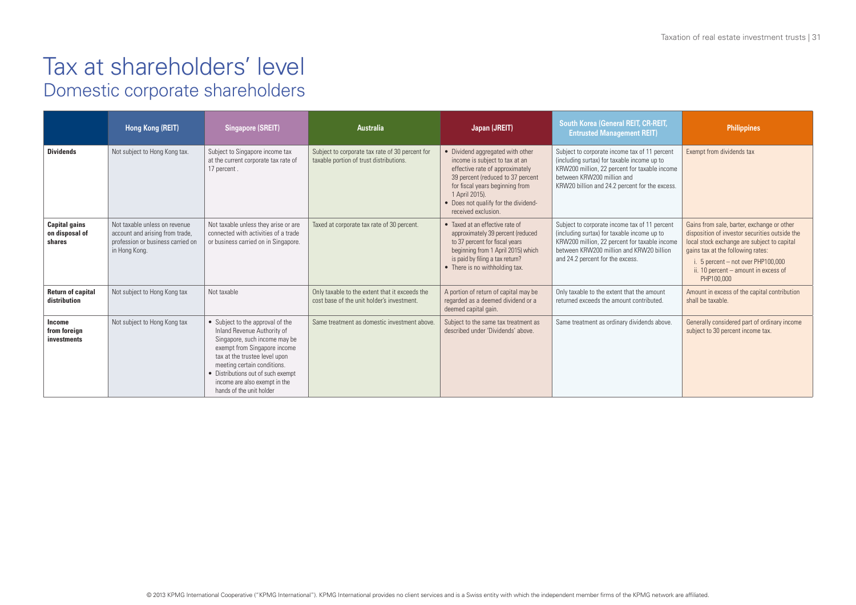|                                                  | Hong Kong (REIT)                                                                                                       | <b>Singapore (SREIT)</b>                                                                                                                                                                                                                                                                            | <b>Australia</b>                                                                             | Japan (JREIT)                                                                                                                                                                                                                                                  | South Korea (General REIT, CR-REIT,<br><b>Entrusted Management REIT)</b>                                                                                                                                                      | <b>Philippines</b>                                                                                                                                                                                                                                                             |
|--------------------------------------------------|------------------------------------------------------------------------------------------------------------------------|-----------------------------------------------------------------------------------------------------------------------------------------------------------------------------------------------------------------------------------------------------------------------------------------------------|----------------------------------------------------------------------------------------------|----------------------------------------------------------------------------------------------------------------------------------------------------------------------------------------------------------------------------------------------------------------|-------------------------------------------------------------------------------------------------------------------------------------------------------------------------------------------------------------------------------|--------------------------------------------------------------------------------------------------------------------------------------------------------------------------------------------------------------------------------------------------------------------------------|
| <b>Dividends</b>                                 | Not subject to Hong Kong tax.                                                                                          | Subject to Singapore income tax<br>at the current corporate tax rate of<br>17 percent.                                                                                                                                                                                                              | Subject to corporate tax rate of 30 percent for<br>taxable portion of trust distributions.   | • Dividend aggregated with other<br>income is subject to tax at an<br>effective rate of approximately<br>39 percent (reduced to 37 percent<br>for fiscal years beginning from<br>1 April 2015).<br>• Does not qualify for the dividend-<br>received exclusion. | Subject to corporate income tax of 11 percent<br>(including surtax) for taxable income up to<br>KRW200 million, 22 percent for taxable income<br>between KRW200 million and<br>KRW20 billion and 24.2 percent for the excess. | Exempt from dividends tax                                                                                                                                                                                                                                                      |
| <b>Capital gains</b><br>on disposal of<br>shares | Not taxable unless on revenue<br>account and arising from trade,<br>profession or business carried on<br>in Hong Kong. | Not taxable unless they arise or are<br>connected with activities of a trade<br>or business carried on in Singapore.                                                                                                                                                                                | Taxed at corporate tax rate of 30 percent.                                                   | • Taxed at an effective rate of<br>approximately 39 percent (reduced<br>to 37 percent for fiscal years<br>beginning from 1 April 2015) which<br>is paid by filing a tax return?<br>• There is no withholding tax.                                              | Subject to corporate income tax of 11 percent<br>(including surtax) for taxable income up to<br>KRW200 million, 22 percent for taxable income<br>between KRW200 million and KRW20 billion<br>and 24.2 percent for the excess. | Gains from sale, barter, exchange or other<br>disposition of investor securities outside the<br>local stock exchange are subject to capital<br>gains tax at the following rates:<br>i. 5 percent $-$ not over PHP100,000<br>ii. 10 percent - amount in excess of<br>PHP100,000 |
| <b>Return of capital</b><br>distribution         | Not subject to Hong Kong tax                                                                                           | Not taxable                                                                                                                                                                                                                                                                                         | Only taxable to the extent that it exceeds the<br>cost base of the unit holder's investment. | A portion of return of capital may be<br>regarded as a deemed dividend or a<br>deemed capital gain.                                                                                                                                                            | Only taxable to the extent that the amount<br>returned exceeds the amount contributed.                                                                                                                                        | Amount in excess of the capital contribution<br>shall be taxable.                                                                                                                                                                                                              |
| Income<br>from foreign<br>investments            | Not subject to Hong Kong tax                                                                                           | • Subject to the approval of the<br>Inland Revenue Authority of<br>Singapore, such income may be<br>exempt from Singapore income<br>tax at the trustee level upon<br>meeting certain conditions.<br>• Distributions out of such exempt<br>income are also exempt in the<br>hands of the unit holder | Same treatment as domestic investment above.                                                 | Subject to the same tax treatment as<br>described under 'Dividends' above.                                                                                                                                                                                     | Same treatment as ordinary dividends above                                                                                                                                                                                    | Generally considered part of ordinary income<br>subject to 30 percent income tax.                                                                                                                                                                                              |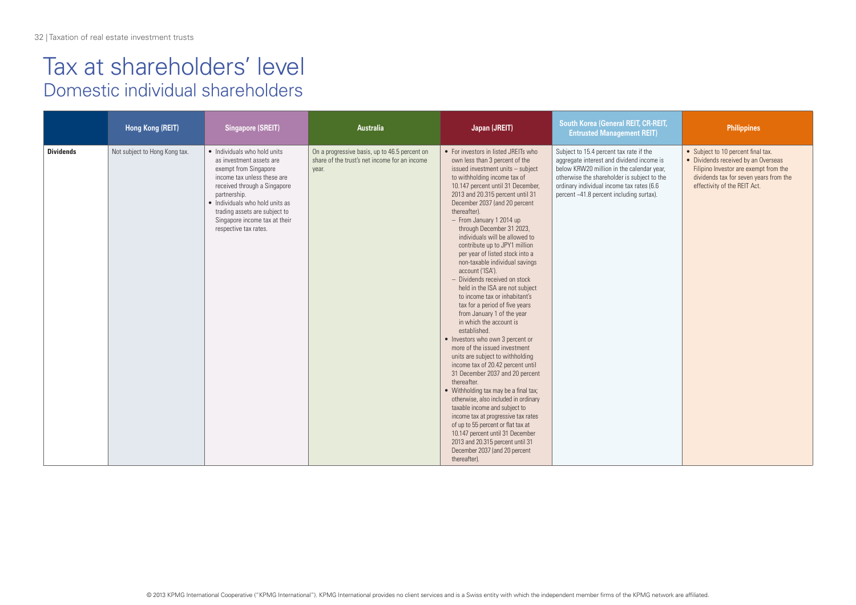### Tax at shareholders' level Domestic individual shareholders

|                  | Hong Kong (REIT)              | <b>Singapore (SREIT)</b>                                                                                                                                                                                                                                                                       | Australia                                                                                               | Japan (JREIT)                                                                                                                                                                                                                                                                                                                                                                                                                                                                                                                                                                                                                                                                                                                                                                                                                                                                                                                                                                                                                                                                                                                                                                                                                      | South Korea (General REIT, CR-REIT,<br><b>Entrusted Management REIT)</b>                                                                                                                                                                                                  | <b>Philippines</b>                                                                                                                                                                           |
|------------------|-------------------------------|------------------------------------------------------------------------------------------------------------------------------------------------------------------------------------------------------------------------------------------------------------------------------------------------|---------------------------------------------------------------------------------------------------------|------------------------------------------------------------------------------------------------------------------------------------------------------------------------------------------------------------------------------------------------------------------------------------------------------------------------------------------------------------------------------------------------------------------------------------------------------------------------------------------------------------------------------------------------------------------------------------------------------------------------------------------------------------------------------------------------------------------------------------------------------------------------------------------------------------------------------------------------------------------------------------------------------------------------------------------------------------------------------------------------------------------------------------------------------------------------------------------------------------------------------------------------------------------------------------------------------------------------------------|---------------------------------------------------------------------------------------------------------------------------------------------------------------------------------------------------------------------------------------------------------------------------|----------------------------------------------------------------------------------------------------------------------------------------------------------------------------------------------|
| <b>Dividends</b> | Not subject to Hong Kong tax. | · Individuals who hold units<br>as investment assets are<br>exempt from Singapore<br>income tax unless these are<br>received through a Singapore<br>partnership.<br>• Individuals who hold units as<br>trading assets are subject to<br>Singapore income tax at their<br>respective tax rates. | On a progressive basis, up to 46.5 percent on<br>share of the trust's net income for an income<br>year. | • For investors in listed JREITs who<br>own less than 3 percent of the<br>issued investment units - subject<br>to withholding income tax of<br>10.147 percent until 31 December,<br>2013 and 20.315 percent until 31<br>December 2037 (and 20 percent<br>thereafter).<br>- From January 1 2014 up<br>through December 31 2023,<br>individuals will be allowed to<br>contribute up to JPY1 million<br>per year of listed stock into a<br>non-taxable individual savings<br>account ('ISA').<br>- Dividends received on stock<br>held in the ISA are not subject<br>to income tax or inhabitant's<br>tax for a period of five years<br>from January 1 of the year<br>in which the account is<br>established.<br>• Investors who own 3 percent or<br>more of the issued investment<br>units are subject to withholding<br>income tax of 20.42 percent until<br>31 December 2037 and 20 percent<br>thereafter.<br>• Withholding tax may be a final tax;<br>otherwise, also included in ordinary<br>taxable income and subject to<br>income tax at progressive tax rates<br>of up to 55 percent or flat tax at<br>10.147 percent until 31 December<br>2013 and 20.315 percent until 31<br>December 2037 (and 20 percent<br>thereafter). | Subject to 15.4 percent tax rate if the<br>aggregate interest and dividend income is<br>below KRW20 million in the calendar year,<br>otherwise the shareholder is subject to the<br>ordinary individual income tax rates (6.6<br>percent ~41.8 percent including surtax). | • Subject to 10 percent final tax.<br>• Dividends received by an Overseas<br>Filipino Investor are exempt from the<br>dividends tax for seven years from the<br>effectivity of the REIT Act. |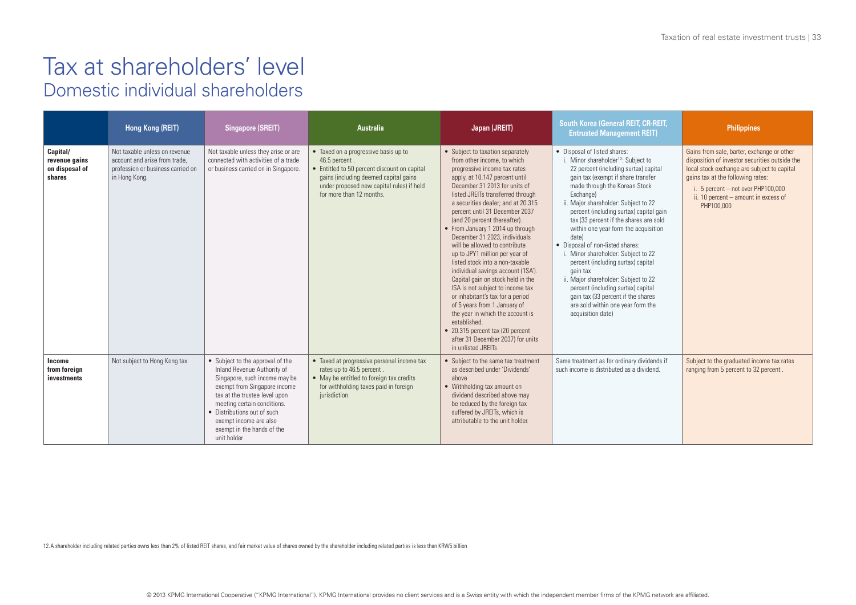#### Tax at shareholders' level Domestic individual shareholders

|                                                       | Hong Kong (REIT)                                                                                                     | <b>Singapore (SREIT)</b>                                                                                                                                                                                                                                                                               | <b>Australia</b>                                                                                                                                                                                                        | Japan (JREIT)                                                                                                                                                                                                                                                                                                                                                                                                                                                                                                                                                                                                                                                                                                                                                                                                                     | South Korea (General REIT, CR-REIT,<br><b>Entrusted Management REIT)</b>                                                                                                                                                                                                                                                                                                                                                                                                                                                                                                                                                                                                                              | <b>Philippines</b>                                                                                                                                                                                                                                                             |
|-------------------------------------------------------|----------------------------------------------------------------------------------------------------------------------|--------------------------------------------------------------------------------------------------------------------------------------------------------------------------------------------------------------------------------------------------------------------------------------------------------|-------------------------------------------------------------------------------------------------------------------------------------------------------------------------------------------------------------------------|-----------------------------------------------------------------------------------------------------------------------------------------------------------------------------------------------------------------------------------------------------------------------------------------------------------------------------------------------------------------------------------------------------------------------------------------------------------------------------------------------------------------------------------------------------------------------------------------------------------------------------------------------------------------------------------------------------------------------------------------------------------------------------------------------------------------------------------|-------------------------------------------------------------------------------------------------------------------------------------------------------------------------------------------------------------------------------------------------------------------------------------------------------------------------------------------------------------------------------------------------------------------------------------------------------------------------------------------------------------------------------------------------------------------------------------------------------------------------------------------------------------------------------------------------------|--------------------------------------------------------------------------------------------------------------------------------------------------------------------------------------------------------------------------------------------------------------------------------|
| Capital/<br>revenue gains<br>on disposal of<br>shares | Not taxable unless on revenue<br>account and arise from trade.<br>profession or business carried on<br>in Hong Kong. | Not taxable unless they arise or are<br>connected with activities of a trade<br>or business carried on in Singapore.                                                                                                                                                                                   | • Taxed on a progressive basis up to<br>46.5 percent.<br>• Entitled to 50 percent discount on capital<br>gains (including deemed capital gains<br>under proposed new capital rules) if held<br>for more than 12 months. | • Subject to taxation separately<br>from other income, to which<br>progressive income tax rates<br>apply, at 10.147 percent until<br>December 31 2013 for units of<br>listed JREITs transferred through<br>a securities dealer: and at 20.315<br>percent until 31 December 2037<br>(and 20 percent thereafter).<br>• From January 1 2014 up through<br>December 31 2023, individuals<br>will be allowed to contribute<br>up to JPY1 million per year of<br>listed stock into a non-taxable<br>individual savings account ('ISA').<br>Capital gain on stock held in the<br>ISA is not subject to income tax<br>or inhabitant's tax for a period<br>of 5 years from 1 January of<br>the year in which the account is<br>established.<br>• 20.315 percent tax (20 percent<br>after 31 December 2037) for units<br>in unlisted JRFITs | • Disposal of listed shares:<br>i. Minor shareholder <sup>12</sup> : Subject to<br>22 percent (including surtax) capital<br>gain tax (exempt if share transfer<br>made through the Korean Stock<br>Exchange)<br>ii. Major shareholder: Subject to 22<br>percent (including surtax) capital gain<br>tax (33 percent if the shares are sold<br>within one year form the acquisition<br>date)<br>• Disposal of non-listed shares:<br>i. Minor shareholder: Subject to 22<br>percent (including surtax) capital<br>gain tax<br>ii. Major shareholder: Subject to 22<br>percent (including surtax) capital<br>gain tax (33 percent if the shares<br>are sold within one year form the<br>acquisition date) | Gains from sale, barter, exchange or other<br>disposition of investor securities outside the<br>local stock exchange are subject to capital<br>gains tax at the following rates:<br>i. 5 percent $-$ not over PHP100,000<br>ii. 10 percent - amount in excess of<br>PHP100,000 |
| Income<br>from foreign<br>investments                 | Not subject to Hong Kong tax                                                                                         | • Subject to the approval of the<br>Inland Revenue Authority of<br>Singapore, such income may be<br>exempt from Singapore income<br>tax at the trustee level upon<br>meeting certain conditions.<br>• Distributions out of such<br>exempt income are also<br>exempt in the hands of the<br>unit holder | • Taxed at progressive personal income tax<br>rates up to 46.5 percent.<br>• May be entitled to foreign tax credits<br>for withholding taxes paid in foreign<br>jurisdiction.                                           | • Subject to the same tax treatment<br>as described under 'Dividends'<br>above<br>• Withholding tax amount on<br>dividend described above may<br>be reduced by the foreign tax<br>suffered by JREITs, which is<br>attributable to the unit holder.                                                                                                                                                                                                                                                                                                                                                                                                                                                                                                                                                                                | Same treatment as for ordinary dividends if<br>such income is distributed as a dividend.                                                                                                                                                                                                                                                                                                                                                                                                                                                                                                                                                                                                              | Subject to the graduated income tax rates<br>ranging from 5 percent to 32 percent.                                                                                                                                                                                             |

12.A shareholder including related parties owns less than 2% of listed REIT shares, and fair market value of shares owned by the shareholder including related parties is less than KRW5 billion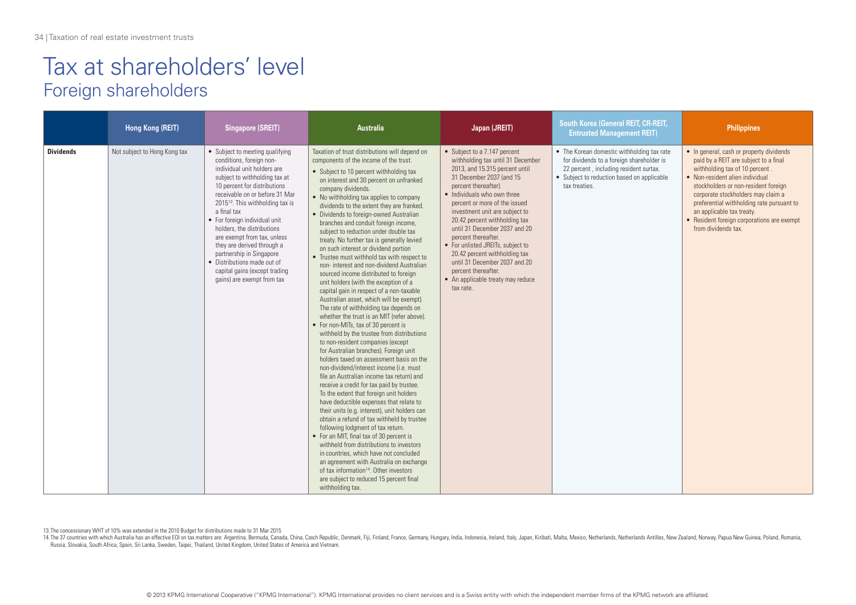### Tax at shareholders' level Foreign shareholders

|                  | Hong Kong (REIT)             | <b>Singapore (SREIT)</b>                                                                                                                                                                                                                                                                                                                                                                                                                                                                                           | <b>Australia</b>                                                                                                                                                                                                                                                                                                                                                                                                                                                                                                                                                                                                                                                                                                                                                                                                                                                                                                                                                                                                                                                                                                                                                                                                                                                                                                                                                                                                                                                                                                                                                                                                                                                                                                                                              | Japan (JREIT)                                                                                                                                                                                                                                                                                                                                                                                                                                                                                                                      | <b>South Korea (General REIT, CR-REIT,</b><br><b>Entrusted Management REIT)</b>                                                                                                                  | <b>Philippines</b>                                                                                                                                                                                                                                                                                                                                                                  |
|------------------|------------------------------|--------------------------------------------------------------------------------------------------------------------------------------------------------------------------------------------------------------------------------------------------------------------------------------------------------------------------------------------------------------------------------------------------------------------------------------------------------------------------------------------------------------------|---------------------------------------------------------------------------------------------------------------------------------------------------------------------------------------------------------------------------------------------------------------------------------------------------------------------------------------------------------------------------------------------------------------------------------------------------------------------------------------------------------------------------------------------------------------------------------------------------------------------------------------------------------------------------------------------------------------------------------------------------------------------------------------------------------------------------------------------------------------------------------------------------------------------------------------------------------------------------------------------------------------------------------------------------------------------------------------------------------------------------------------------------------------------------------------------------------------------------------------------------------------------------------------------------------------------------------------------------------------------------------------------------------------------------------------------------------------------------------------------------------------------------------------------------------------------------------------------------------------------------------------------------------------------------------------------------------------------------------------------------------------|------------------------------------------------------------------------------------------------------------------------------------------------------------------------------------------------------------------------------------------------------------------------------------------------------------------------------------------------------------------------------------------------------------------------------------------------------------------------------------------------------------------------------------|--------------------------------------------------------------------------------------------------------------------------------------------------------------------------------------------------|-------------------------------------------------------------------------------------------------------------------------------------------------------------------------------------------------------------------------------------------------------------------------------------------------------------------------------------------------------------------------------------|
| <b>Dividends</b> | Not subject to Hong Kong tax | • Subject to meeting qualifying<br>conditions, foreign non-<br>individual unit holders are<br>subject to withholding tax at<br>10 percent for distributions<br>receivable on or before 31 Mar<br>2015 <sup>13</sup> . This withholding tax is<br>a final tax<br>• For foreign individual unit<br>holders, the distributions<br>are exempt from tax, unless<br>they are derived through a<br>partnership in Singapore<br>• Distributions made out of<br>capital gains (except trading<br>gains) are exempt from tax | Taxation of trust distributions will depend on<br>components of the income of the trust.<br>• Subject to 10 percent withholding tax<br>on interest and 30 percent on unfranked<br>company dividends.<br>• No withholding tax applies to company<br>dividends to the extent they are franked.<br>• Dividends to foreign-owned Australian<br>branches and conduit foreign income,<br>subject to reduction under double tax<br>treaty. No further tax is generally levied<br>on such interest or dividend portion<br>• Trustee must withhold tax with respect to<br>non-interest and non-dividend Australian<br>sourced income distributed to foreign<br>unit holders (with the exception of a<br>capital gain in respect of a non-taxable<br>Australian asset, which will be exempt).<br>The rate of withholding tax depends on<br>whether the trust is an MIT (refer above).<br>• For non-MITs, tax of 30 percent is<br>withheld by the trustee from distributions<br>to non-resident companies (except<br>for Australian branches). Foreign unit<br>holders taxed on assessment basis on the<br>non-dividend/interest income (i.e. must<br>file an Australian income tax return) and<br>receive a credit for tax paid by trustee.<br>To the extent that foreign unit holders<br>have deductible expenses that relate to<br>their units (e.g. interest), unit holders can<br>obtain a refund of tax withheld by trustee<br>following lodgment of tax return.<br>• For an MIT, final tax of 30 percent is<br>withheld from distributions to investors<br>in countries, which have not concluded<br>an agreement with Australia on exchange<br>of tax information <sup>14</sup> . Other investors<br>are subject to reduced 15 percent final<br>withholding tax. | • Subject to a 7.147 percent<br>withholding tax until 31 December<br>2013, and 15.315 percent until<br>31 December 2037 (and 15<br>percent thereafter).<br>• Individuals who own three<br>percent or more of the issued<br>investment unit are subject to<br>20.42 percent withholding tax<br>until 31 December 2037 and 20<br>percent thereafter.<br>• For unlisted JREITs, subject to<br>20.42 percent withholding tax<br>until 31 December 2037 and 20<br>nercent thereafter.<br>• An applicable treaty may reduce<br>tax rate. | • The Korean domestic withholding tax rate<br>for dividends to a foreign shareholder is<br>22 percent, including resident surtax.<br>• Subject to reduction based on applicable<br>tax treaties. | • In general, cash or property dividends<br>paid by a REIT are subject to a final<br>withholding tax of 10 percent.<br>• Non-resident alien individual<br>stockholders or non-resident foreign<br>corporate stockholders may claim a<br>preferential withholding rate pursuant to<br>an applicable tax treaty.<br>• Resident foreign corporations are exempt<br>from dividends tax. |

13.The concessionary WHT of 10% was extended in the 2010 Budget for distributions made to 31 Mar 2015

14. The 37 countries with which Australia has an effective EOI on tax matters are: Argentina, Bermuda, Canada, China, Czech Republic, Denmark, Fiji, Finland, France, Germany, Hungary, India, Indonesia, Ireland, Italy, Japa Russia, Slovakia, South Africa, Spain, Sri Lanka, Sweden, Taipei, Thailand, United Kingdom, United States of America and Vietnam.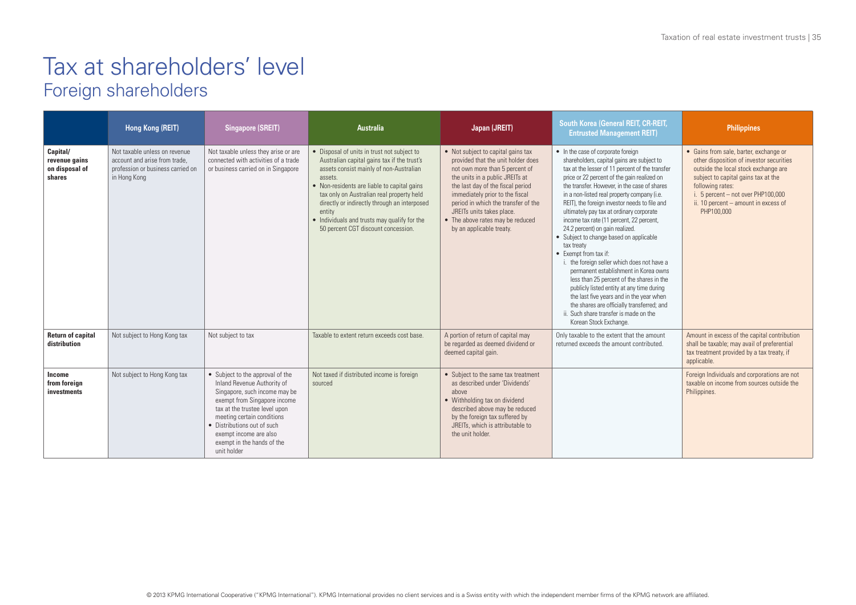### Tax at shareholders' level Foreign shareholders

|                                                       | Hong Kong (REIT)                                                                                                    | <b>Singapore (SREIT)</b>                                                                                                                                                                                                                                                                              | <b>Australia</b>                                                                                                                                                                                                                                                                                                                                                                              | Japan (JREIT)                                                                                                                                                                                                                                                                                                                                             | South Korea (General REIT, CR-REIT,<br><b>Entrusted Management REIT)</b>                                                                                                                                                                                                                                                                                                                                                                                                                                                                                                                                                                                                                                                                                                                                                                                                                        | <b>Philippines</b>                                                                                                                                                                                                                                                                  |
|-------------------------------------------------------|---------------------------------------------------------------------------------------------------------------------|-------------------------------------------------------------------------------------------------------------------------------------------------------------------------------------------------------------------------------------------------------------------------------------------------------|-----------------------------------------------------------------------------------------------------------------------------------------------------------------------------------------------------------------------------------------------------------------------------------------------------------------------------------------------------------------------------------------------|-----------------------------------------------------------------------------------------------------------------------------------------------------------------------------------------------------------------------------------------------------------------------------------------------------------------------------------------------------------|-------------------------------------------------------------------------------------------------------------------------------------------------------------------------------------------------------------------------------------------------------------------------------------------------------------------------------------------------------------------------------------------------------------------------------------------------------------------------------------------------------------------------------------------------------------------------------------------------------------------------------------------------------------------------------------------------------------------------------------------------------------------------------------------------------------------------------------------------------------------------------------------------|-------------------------------------------------------------------------------------------------------------------------------------------------------------------------------------------------------------------------------------------------------------------------------------|
| Capital/<br>revenue gains<br>on disposal of<br>shares | Not taxable unless on revenue<br>account and arise from trade.<br>profession or business carried on<br>in Hong Kong | Not taxable unless they arise or are<br>connected with activities of a trade<br>or business carried on in Singapore                                                                                                                                                                                   | • Disposal of units in trust not subject to<br>Australian capital gains tax if the trust's<br>assets consist mainly of non-Australian<br>assets.<br>• Non-residents are liable to capital gains<br>tax only on Australian real property held<br>directly or indirectly through an interposed<br>entity<br>• Individuals and trusts may qualify for the<br>50 percent CGT discount concession. | • Not subject to capital gains tax<br>provided that the unit holder does<br>not own more than 5 percent of<br>the units in a public JREITs at<br>the last day of the fiscal period<br>immediately prior to the fiscal<br>period in which the transfer of the<br>JREITs units takes place.<br>• The above rates may be reduced<br>by an applicable treaty. | • In the case of corporate foreign<br>shareholders, capital gains are subject to<br>tax at the lesser of 11 percent of the transfer<br>price or 22 percent of the gain realized on<br>the transfer. However, in the case of shares<br>in a non-listed real property company (i.e.<br>REIT), the foreign investor needs to file and<br>ultimately pay tax at ordinary corporate<br>income tax rate (11 percent, 22 percent,<br>24.2 percent) on gain realized.<br>• Subject to change based on applicable<br>tax treaty<br>• Exempt from tax if:<br>i. the foreign seller which does not have a<br>permanent establishment in Korea owns<br>less than 25 percent of the shares in the<br>publicly listed entity at any time during<br>the last five years and in the year when<br>the shares are officially transferred; and<br>ii. Such share transfer is made on the<br>Korean Stock Exchange. | • Gains from sale, barter, exchange or<br>other disposition of investor securities<br>outside the local stock exchange are<br>subject to capital gains tax at the<br>following rates:<br>i. 5 percent $-$ not over PHP100,000<br>ii. 10 percent - amount in excess of<br>PHP100,000 |
| <b>Return of capital</b><br>distribution              | Not subject to Hong Kong tax                                                                                        | Not subject to tax                                                                                                                                                                                                                                                                                    | Taxable to extent return exceeds cost base.                                                                                                                                                                                                                                                                                                                                                   | A portion of return of capital may<br>be regarded as deemed dividend or<br>deemed capital gain.                                                                                                                                                                                                                                                           | Only taxable to the extent that the amount<br>returned exceeds the amount contributed.                                                                                                                                                                                                                                                                                                                                                                                                                                                                                                                                                                                                                                                                                                                                                                                                          | Amount in excess of the capital contribution<br>shall be taxable; may avail of preferential<br>tax treatment provided by a tax treaty, if<br>applicable.                                                                                                                            |
| Income<br>from foreign<br>investments                 | Not subject to Hong Kong tax                                                                                        | • Subject to the approval of the<br>Inland Revenue Authority of<br>Singapore, such income may be<br>exempt from Singapore income<br>tax at the trustee level upon<br>meeting certain conditions<br>• Distributions out of such<br>exempt income are also<br>exempt in the hands of the<br>unit holder | Not taxed if distributed income is foreign<br>sourced                                                                                                                                                                                                                                                                                                                                         | • Subject to the same tax treatment<br>as described under 'Dividends'<br>above<br>• Withholding tax on dividend<br>described above may be reduced<br>by the foreign tax suffered by<br>JREITs, which is attributable to<br>the unit holder.                                                                                                               |                                                                                                                                                                                                                                                                                                                                                                                                                                                                                                                                                                                                                                                                                                                                                                                                                                                                                                 | Foreign Individuals and corporations are not<br>taxable on income from sources outside the<br>Philippines.                                                                                                                                                                          |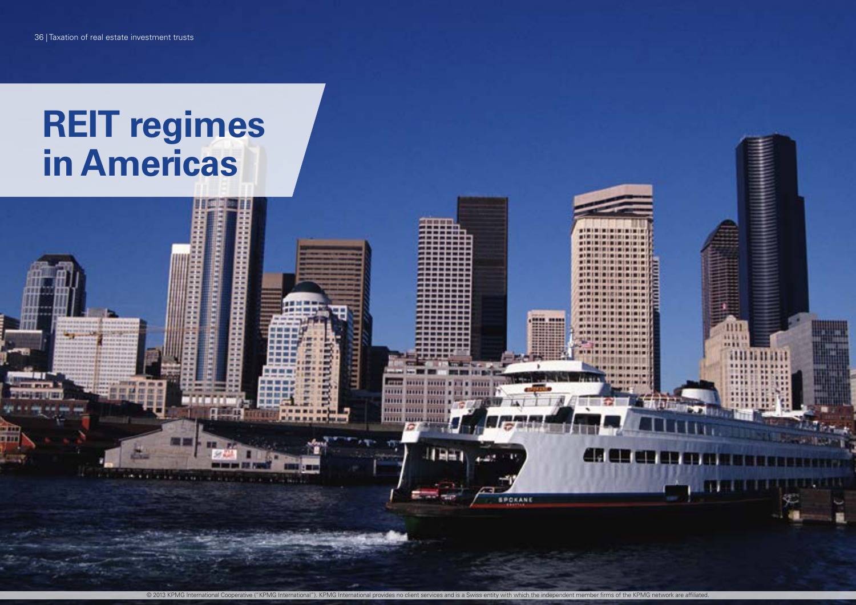© 2013 KPMG International Cooperative ("KPMG International"). KPMG International provides no client services and is a Swiss entity with which the independent member firms of the KPMG network are affiliated.

**THE** 

mm 141416

**HELL** 

**BUILD BUILD** 

20101 10111 **HIIII BIBLE HIIII HILL AND HULL** 

 $H = 1$ 

**FELENHALL** 

**AN UN WE W** 

*<u><b><i>ALCOHOL: 00 10 00 10 00 10 10 10 10*</u>

----

SPOKANE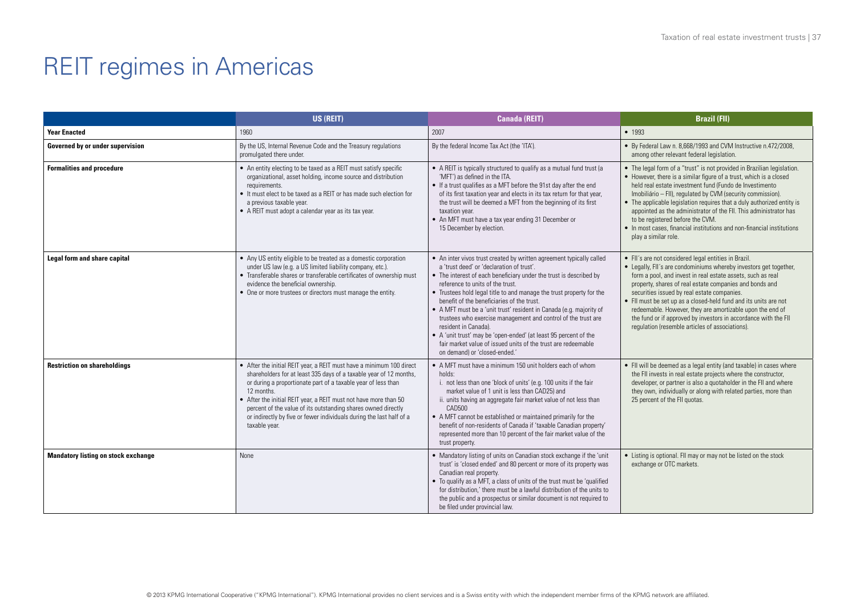|                                            | US (REIT)                                                                                                                                                                                                                                                                                                                                                                                                                                               | <b>Canada (REIT)</b>                                                                                                                                                                                                                                                                                                                                                                                                                                                                                                                                                                                                                                                                    | <b>Brazil (FII)</b>                                                                                                                                                                                                                                                                                                                                                                                                                                                                                                                                          |
|--------------------------------------------|---------------------------------------------------------------------------------------------------------------------------------------------------------------------------------------------------------------------------------------------------------------------------------------------------------------------------------------------------------------------------------------------------------------------------------------------------------|-----------------------------------------------------------------------------------------------------------------------------------------------------------------------------------------------------------------------------------------------------------------------------------------------------------------------------------------------------------------------------------------------------------------------------------------------------------------------------------------------------------------------------------------------------------------------------------------------------------------------------------------------------------------------------------------|--------------------------------------------------------------------------------------------------------------------------------------------------------------------------------------------------------------------------------------------------------------------------------------------------------------------------------------------------------------------------------------------------------------------------------------------------------------------------------------------------------------------------------------------------------------|
| <b>Year Enacted</b>                        | 1960                                                                                                                                                                                                                                                                                                                                                                                                                                                    | 2007                                                                                                                                                                                                                                                                                                                                                                                                                                                                                                                                                                                                                                                                                    | • 1993                                                                                                                                                                                                                                                                                                                                                                                                                                                                                                                                                       |
| Governed by or under supervision           | By the US, Internal Revenue Code and the Treasury regulations<br>promulgated there under.                                                                                                                                                                                                                                                                                                                                                               | By the federal Income Tax Act (the 'ITA').                                                                                                                                                                                                                                                                                                                                                                                                                                                                                                                                                                                                                                              | • By Federal Law n. 8,668/1993 and CVM Instructive n.472/2008,<br>among other relevant federal legislation.                                                                                                                                                                                                                                                                                                                                                                                                                                                  |
| <b>Formalities and procedure</b>           | • An entity electing to be taxed as a REIT must satisfy specific<br>organizational, asset holding, income source and distribution<br>requirements.<br>• It must elect to be taxed as a REIT or has made such election for<br>a previous taxable year.<br>• A REIT must adopt a calendar year as its tax year.                                                                                                                                           | • A REIT is typically structured to qualify as a mutual fund trust (a<br>'MFT') as defined in the ITA.<br>• If a trust qualifies as a MFT before the 91st day after the end<br>of its first taxation year and elects in its tax return for that year,<br>the trust will be deemed a MFT from the beginning of its first<br>taxation year.<br>• An MFT must have a tax year ending 31 December or<br>15 December by election.                                                                                                                                                                                                                                                            | • The legal form of a "trust" is not provided in Brazilian legislation.<br>• However, there is a similar figure of a trust, which is a closed<br>held real estate investment fund (Fundo de Investimento<br>Imobiliário - FII), regulated by CVM (security commission).<br>• The applicable legislation requires that a duly authorized entity is<br>appointed as the administrator of the FII. This administrator has<br>to be registered before the CVM.<br>• In most cases, financial institutions and non-financial institutions<br>play a similar role. |
| <b>Legal form and share capital</b>        | • Any US entity eligible to be treated as a domestic corporation<br>under US law (e.g. a US limited liability company, etc.).<br>• Transferable shares or transferable certificates of ownership must<br>evidence the beneficial ownership.<br>• One or more trustees or directors must manage the entity.                                                                                                                                              | • An inter vivos trust created by written agreement typically called<br>a 'trust deed' or 'declaration of trust'.<br>• The interest of each beneficiary under the trust is described by<br>reference to units of the trust.<br>• Trustees hold legal title to and manage the trust property for the<br>benefit of the beneficiaries of the trust.<br>• A MFT must be a 'unit trust' resident in Canada (e.g. majority of<br>trustees who exercise management and control of the trust are<br>resident in Canada).<br>• A 'unit trust' may be 'open-ended' (at least 95 percent of the<br>fair market value of issued units of the trust are redeemable<br>on demand) or 'closed-ended.' | • FII's are not considered legal entities in Brazil.<br>• Legally, FII's are condominiums whereby investors get together,<br>form a pool, and invest in real estate assets, such as real<br>property, shares of real estate companies and bonds and<br>securities issued by real estate companies.<br>• Fil must be set up as a closed-held fund and its units are not<br>redeemable. However, they are amortizable upon the end of<br>the fund or if approved by investors in accordance with the FII<br>regulation (resemble articles of associations).    |
| <b>Restriction on shareholdings</b>        | • After the initial REIT year, a REIT must have a minimum 100 direct<br>shareholders for at least 335 days of a taxable year of 12 months,<br>or during a proportionate part of a taxable year of less than<br>12 months.<br>• After the initial REIT year, a REIT must not have more than 50<br>percent of the value of its outstanding shares owned directly<br>or indirectly by five or fewer individuals during the last half of a<br>taxable year. | • A MFT must have a minimum 150 unit holders each of whom<br>holds:<br>i. not less than one 'block of units' (e.g. 100 units if the fair<br>market value of 1 unit is less than CAD25) and<br>ii. units having an aggregate fair market value of not less than<br>CAD500<br>• A MFT cannot be established or maintained primarily for the<br>benefit of non-residents of Canada if 'taxable Canadian property'<br>represented more than 10 percent of the fair market value of the<br>trust property.                                                                                                                                                                                   | • Fil will be deemed as a legal entity (and taxable) in cases where<br>the FII invests in real estate projects where the constructor,<br>developer, or partner is also a quotaholder in the FII and where<br>they own, individually or along with related parties, more than<br>25 percent of the FII quotas.                                                                                                                                                                                                                                                |
| <b>Mandatory listing on stock exchange</b> | None                                                                                                                                                                                                                                                                                                                                                                                                                                                    | • Mandatory listing of units on Canadian stock exchange if the 'unit<br>trust' is 'closed ended' and 80 percent or more of its property was<br>Canadian real property.<br>• To qualify as a MFT, a class of units of the trust must be 'qualified<br>for distribution,' there must be a lawful distribution of the units to<br>the public and a prospectus or similar document is not required to<br>be filed under provincial law.                                                                                                                                                                                                                                                     | • Listing is optional. FII may or may not be listed on the stock<br>exchange or OTC markets.                                                                                                                                                                                                                                                                                                                                                                                                                                                                 |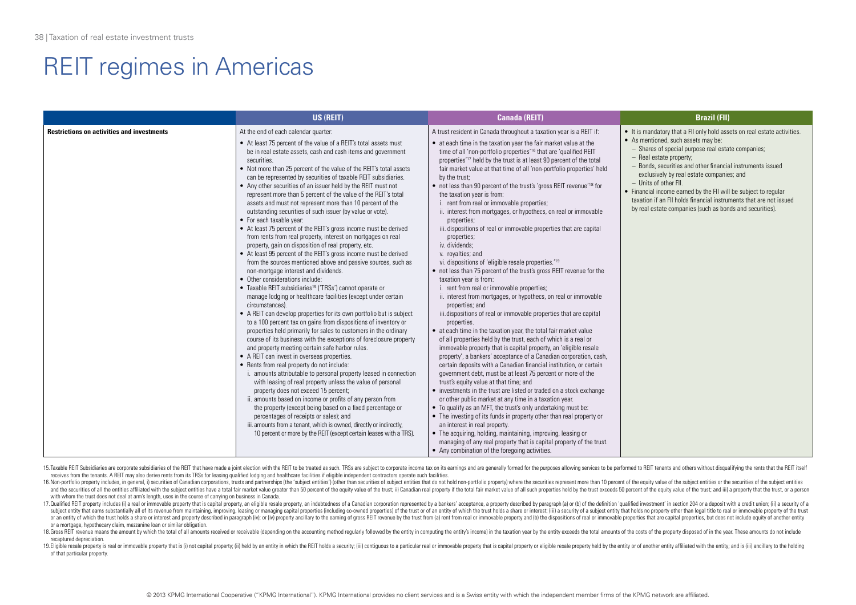|                                                   | US (REIT)                                                                                                                                                                                                                                                                                                                                                                                                                                                                                                                                                                                                                                                                                                                                                                                                                                                                                                                                                                                                                                                                                                                                                                                                                                                                                                                                                                                                                                                                                                                                                                                                                                                                                                                                                                                                                                                                                                                                                                                                                                                                                                                         | <b>Canada (REIT)</b>                                                                                                                                                                                                                                                                                                                                                                                                                                                                                                                                                                                                                                                                                                                                                                                                                                                                                                                                                                                                                                                                                                                                                                                                                                                                                                                                                                                                                                                                                                                                                                                                                                                                                                                                                                                                                                                                                                                                                                                                                                                                                                                              | <b>Brazil (FII)</b>                                                                                                                                                                                                                                                                                                                                                                                                                                                                                                                       |
|---------------------------------------------------|-----------------------------------------------------------------------------------------------------------------------------------------------------------------------------------------------------------------------------------------------------------------------------------------------------------------------------------------------------------------------------------------------------------------------------------------------------------------------------------------------------------------------------------------------------------------------------------------------------------------------------------------------------------------------------------------------------------------------------------------------------------------------------------------------------------------------------------------------------------------------------------------------------------------------------------------------------------------------------------------------------------------------------------------------------------------------------------------------------------------------------------------------------------------------------------------------------------------------------------------------------------------------------------------------------------------------------------------------------------------------------------------------------------------------------------------------------------------------------------------------------------------------------------------------------------------------------------------------------------------------------------------------------------------------------------------------------------------------------------------------------------------------------------------------------------------------------------------------------------------------------------------------------------------------------------------------------------------------------------------------------------------------------------------------------------------------------------------------------------------------------------|---------------------------------------------------------------------------------------------------------------------------------------------------------------------------------------------------------------------------------------------------------------------------------------------------------------------------------------------------------------------------------------------------------------------------------------------------------------------------------------------------------------------------------------------------------------------------------------------------------------------------------------------------------------------------------------------------------------------------------------------------------------------------------------------------------------------------------------------------------------------------------------------------------------------------------------------------------------------------------------------------------------------------------------------------------------------------------------------------------------------------------------------------------------------------------------------------------------------------------------------------------------------------------------------------------------------------------------------------------------------------------------------------------------------------------------------------------------------------------------------------------------------------------------------------------------------------------------------------------------------------------------------------------------------------------------------------------------------------------------------------------------------------------------------------------------------------------------------------------------------------------------------------------------------------------------------------------------------------------------------------------------------------------------------------------------------------------------------------------------------------------------------------|-------------------------------------------------------------------------------------------------------------------------------------------------------------------------------------------------------------------------------------------------------------------------------------------------------------------------------------------------------------------------------------------------------------------------------------------------------------------------------------------------------------------------------------------|
| <b>Restrictions on activities and investments</b> | At the end of each calendar quarter:<br>• At least 75 percent of the value of a REIT's total assets must<br>be in real estate assets, cash and cash items and government<br>securities.<br>• Not more than 25 percent of the value of the REIT's total assets<br>can be represented by securities of taxable REIT subsidiaries.<br>• Any other securities of an issuer held by the REIT must not<br>represent more than 5 percent of the value of the REIT's total<br>assets and must not represent more than 10 percent of the<br>outstanding securities of such issuer (by value or vote).<br>• For each taxable year:<br>• At least 75 percent of the REIT's gross income must be derived<br>from rents from real property, interest on mortgages on real<br>property, gain on disposition of real property, etc.<br>• At least 95 percent of the REIT's gross income must be derived<br>from the sources mentioned above and passive sources, such as<br>non-mortgage interest and dividends.<br>• Other considerations include:<br>• Taxable REIT subsidiaries <sup>15</sup> ('TRSs') cannot operate or<br>manage lodging or healthcare facilities (except under certain<br>circumstances).<br>• A REIT can develop properties for its own portfolio but is subject<br>to a 100 percent tax on gains from dispositions of inventory or<br>properties held primarily for sales to customers in the ordinary<br>course of its business with the exceptions of foreclosure property<br>and property meeting certain safe harbor rules.<br>• A REIT can invest in overseas properties.<br>• Rents from real property do not include:<br>i. amounts attributable to personal property leased in connection<br>with leasing of real property unless the value of personal<br>property does not exceed 15 percent;<br>ii. amounts based on income or profits of any person from<br>the property (except being based on a fixed percentage or<br>percentages of receipts or sales); and<br>iii. amounts from a tenant, which is owned, directly or indirectly,<br>10 percent or more by the REIT (except certain leases with a TRS). | A trust resident in Canada throughout a taxation year is a REIT if:<br>• at each time in the taxation year the fair market value at the<br>time of all 'non-portfolio properties' <sup>16</sup> that are 'qualified REIT<br>properties' <sup>17</sup> held by the trust is at least 90 percent of the total<br>fair market value at that time of all 'non-portfolio properties' held<br>by the trust;<br>• not less than 90 percent of the trust's 'gross REIT revenue' <sup>18</sup> for<br>the taxation year is from:<br>rent from real or immovable properties;<br>ii. interest from mortgages, or hypothecs, on real or immovable<br>properties;<br>iii. dispositions of real or immovable properties that are capital<br>properties;<br>iv. dividends:<br>v. rovalties; and<br>vi. dispositions of 'eligible resale properties.' <sup>19</sup><br>• not less than 75 percent of the trust's gross REIT revenue for the<br>taxation year is from:<br>i. rent from real or immovable properties;<br>ii. interest from mortgages, or hypothecs, on real or immovable<br>properties; and<br>iii.dispositions of real or immovable properties that are capital<br>properties.<br>• at each time in the taxation year, the total fair market value<br>of all properties held by the trust, each of which is a real or<br>immovable property that is capital property, an 'eligible resale<br>property', a bankers' acceptance of a Canadian corporation, cash,<br>certain deposits with a Canadian financial institution, or certain<br>government debt, must be at least 75 percent or more of the<br>trust's equity value at that time; and<br>• investments in the trust are listed or traded on a stock exchange<br>or other public market at any time in a taxation year.<br>• To qualify as an MFT, the trust's only undertaking must be:<br>• The investing of its funds in property other than real property or<br>an interest in real property.<br>• The acquiring, holding, maintaining, improving, leasing or<br>managing of any real property that is capital property of the trust.<br>• Any combination of the foregoing activities. | • It is mandatory that a FII only hold assets on real estate activities.<br>• As mentioned, such assets may be:<br>- Shares of special purpose real estate companies;<br>- Real estate property;<br>- Bonds, securities and other financial instruments issued<br>exclusively by real estate companies; and<br>- Units of other FII.<br>• Financial income earned by the FII will be subject to regular<br>taxation if an FII holds financial instruments that are not issued<br>by real estate companies (such as bonds and securities). |

15. Taxable RFIT Subsidiaries are corporate subsidiaries of the RFIT that have made a joint election with the RFIT to be treated as such. TRSs are subject to corporate income tax on its earnings and are generally formed fo receives from the tenants. A REIT may also derive rents from its TRSs for leasing qualified lodging and healthcare facilities if eligible independent contractors operate such facilities.

16. Non-portfolio property includes, in general, i) securities of Canadian corporations, trusts and partnerships (the 'subject entities') (other than securities of subject entities in algority entities of subject entities and the securities of all the entities affiliated with the subject entities have a total fair market value greater than 50 percent of the equity value of the trust; ii) Canadian real property if the total fair market value with whom the trust does not deal at arm's length, uses in the course of carrying on business in Canada.

17. Qualified REIT property includes (i) a real or immovable property that is capital property, an eligible resale property, an indebtedness of a Canadian corporation represented by a bankers' acceptance, a property descri subject entity that earns substantially all of its revenue from maintaining, improving, leasing or managing capital properties (including co-owned properties) of the trust or of an entity of which the trust holds a share o or an entity of which the trust holds a share or interest and property described in paragraph (iv); or (iv) property ancillary to the earning of gross REIT revenue by the trust from (a) rent from real or immovable property or a mortgage, hypothecary claim, mezzanine loan or similar obligation.

18. Gross REIT revenue means the amount by which the total of all amounts received or receivable (depending on the accounting method reaularly followed by the entity in computing the entity's income) in the taxation year b recaptured depreciation.

19. Eligible resale property is real or immovable property that is (i) not capital property; (ii) held by an entity in which the REIT holds a security; (iii) contiquous to a particular real or immovable property that is ca of that particular property.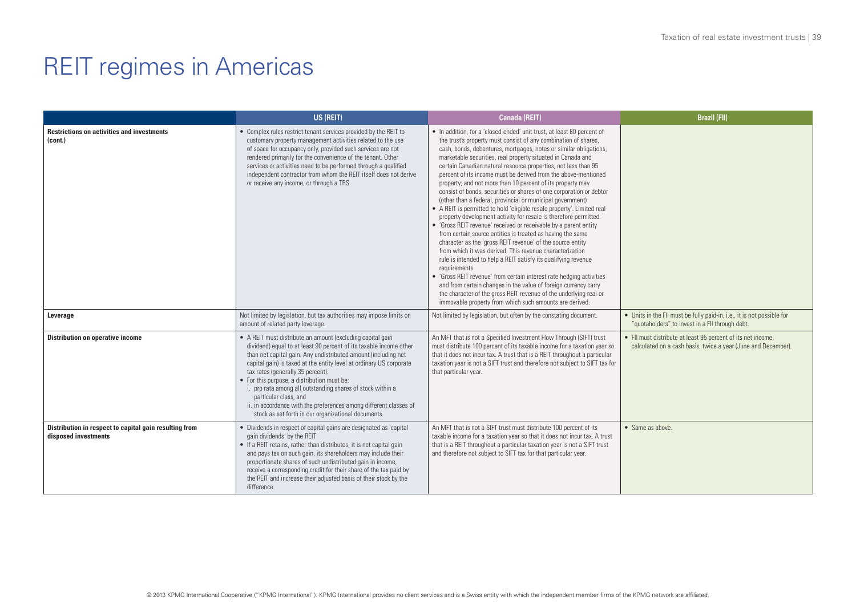|                                                                                | US (REIT)                                                                                                                                                                                                                                                                                                                                                                                                                                                                                                                                                                        | Canada (REIT)                                                                                                                                                                                                                                                                                                                                                                                                                                                                                                                                                                                                                                                                                                                                                                                                                                                                                                                                                                                                                                                                                                                                                                                                                                                                                                                                                                                | <b>Brazil (FII)</b>                                                                                                           |
|--------------------------------------------------------------------------------|----------------------------------------------------------------------------------------------------------------------------------------------------------------------------------------------------------------------------------------------------------------------------------------------------------------------------------------------------------------------------------------------------------------------------------------------------------------------------------------------------------------------------------------------------------------------------------|----------------------------------------------------------------------------------------------------------------------------------------------------------------------------------------------------------------------------------------------------------------------------------------------------------------------------------------------------------------------------------------------------------------------------------------------------------------------------------------------------------------------------------------------------------------------------------------------------------------------------------------------------------------------------------------------------------------------------------------------------------------------------------------------------------------------------------------------------------------------------------------------------------------------------------------------------------------------------------------------------------------------------------------------------------------------------------------------------------------------------------------------------------------------------------------------------------------------------------------------------------------------------------------------------------------------------------------------------------------------------------------------|-------------------------------------------------------------------------------------------------------------------------------|
| <b>Restrictions on activities and investments</b><br>(cont.)                   | • Complex rules restrict tenant services provided by the REIT to<br>customary property management activities related to the use<br>of space for occupancy only, provided such services are not<br>rendered primarily for the convenience of the tenant. Other<br>services or activities need to be performed through a qualified<br>independent contractor from whom the REIT itself does not derive<br>or receive any income, or through a TRS.                                                                                                                                 | • In addition, for a 'closed-ended' unit trust, at least 80 percent of<br>the trust's property must consist of any combination of shares,<br>cash, bonds, debentures, mortgages, notes or similar obligations,<br>marketable securities, real property situated in Canada and<br>certain Canadian natural resource properties; not less than 95<br>percent of its income must be derived from the above-mentioned<br>property; and not more than 10 percent of its property may<br>consist of bonds, securities or shares of one corporation or debtor<br>(other than a federal, provincial or municipal government)<br>• A REIT is permitted to hold 'eligible resale property'. Limited real<br>property development activity for resale is therefore permitted.<br>• 'Gross REIT revenue' received or receivable by a parent entity<br>from certain source entities is treated as having the same<br>character as the 'gross REIT revenue' of the source entity<br>from which it was derived. This revenue characterization<br>rule is intended to help a REIT satisfy its qualifying revenue<br>requirements.<br>• 'Gross REIT revenue' from certain interest rate hedging activities<br>and from certain changes in the value of foreign currency carry<br>the character of the gross REIT revenue of the underlying real or<br>immovable property from which such amounts are derived. |                                                                                                                               |
| Leverage                                                                       | Not limited by legislation, but tax authorities may impose limits on<br>amount of related party leverage.                                                                                                                                                                                                                                                                                                                                                                                                                                                                        | Not limited by legislation, but often by the constating document.                                                                                                                                                                                                                                                                                                                                                                                                                                                                                                                                                                                                                                                                                                                                                                                                                                                                                                                                                                                                                                                                                                                                                                                                                                                                                                                            | • Units in the FII must be fully paid-in, i.e., it is not possible for<br>"quotaholders" to invest in a FII through debt.     |
| <b>Distribution on operative income</b>                                        | • A REIT must distribute an amount (excluding capital gain<br>dividend) equal to at least 90 percent of its taxable income other<br>than net capital gain. Any undistributed amount (including net<br>capital gain) is taxed at the entity level at ordinary US corporate<br>tax rates (generally 35 percent).<br>• For this purpose, a distribution must be:<br>i. pro rata among all outstanding shares of stock within a<br>particular class, and<br>ii. in accordance with the preferences among different classes of<br>stock as set forth in our organizational documents. | An MFT that is not a Specified Investment Flow Through (SIFT) trust<br>must distribute 100 percent of its taxable income for a taxation year so<br>that it does not incur tax. A trust that is a REIT throughout a particular<br>taxation year is not a SIFT trust and therefore not subject to SIFT tax for<br>that particular year.                                                                                                                                                                                                                                                                                                                                                                                                                                                                                                                                                                                                                                                                                                                                                                                                                                                                                                                                                                                                                                                        | • FII must distribute at least 95 percent of its net income,<br>calculated on a cash basis, twice a year (June and December). |
| Distribution in respect to capital gain resulting from<br>disposed investments | • Dividends in respect of capital gains are designated as 'capital<br>gain dividends' by the REIT<br>• If a REIT retains, rather than distributes, it is net capital gain<br>and pays tax on such gain, its shareholders may include their<br>proportionate shares of such undistributed gain in income,<br>receive a corresponding credit for their share of the tax paid by<br>the REIT and increase their adjusted basis of their stock by the<br>difference.                                                                                                                 | An MFT that is not a SIFT trust must distribute 100 percent of its<br>taxable income for a taxation year so that it does not incur tax. A trust<br>that is a REIT throughout a particular taxation year is not a SIFT trust<br>and therefore not subject to SIFT tax for that particular year.                                                                                                                                                                                                                                                                                                                                                                                                                                                                                                                                                                                                                                                                                                                                                                                                                                                                                                                                                                                                                                                                                               | $\bullet$ Same as above.                                                                                                      |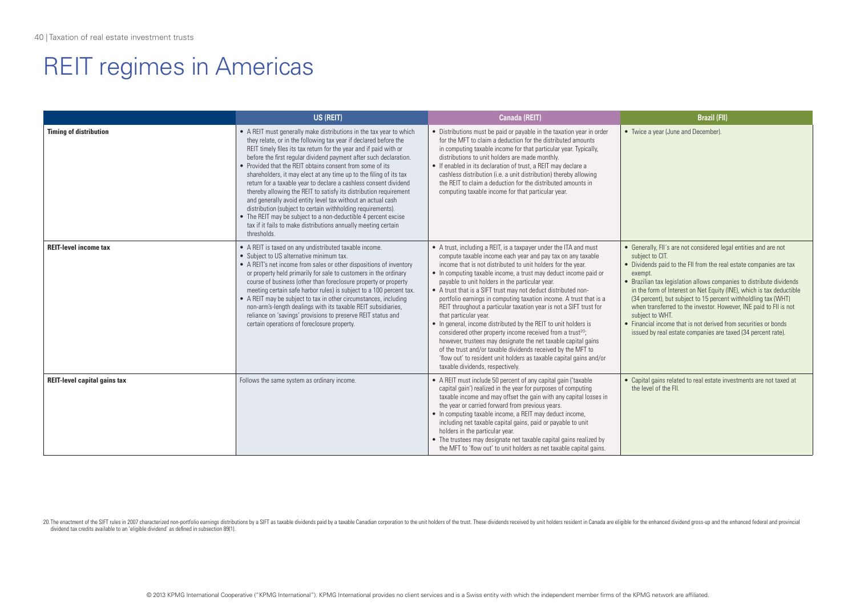|                                     | US (REIT)                                                                                                                                                                                                                                                                                                                                                                                                                                                                                                                                                                                                                                                                                                                                                                                                                                      | <b>Canada (REIT)</b>                                                                                                                                                                                                                                                                                                                                                                                                                                                                                                                                                                                                                                                                                                                                                                                                                                                                                                                                    | <b>Brazil (FII)</b>                                                                                                                                                                                                                                                                                                                                                                                                                                                                                                                                                                                               |
|-------------------------------------|------------------------------------------------------------------------------------------------------------------------------------------------------------------------------------------------------------------------------------------------------------------------------------------------------------------------------------------------------------------------------------------------------------------------------------------------------------------------------------------------------------------------------------------------------------------------------------------------------------------------------------------------------------------------------------------------------------------------------------------------------------------------------------------------------------------------------------------------|---------------------------------------------------------------------------------------------------------------------------------------------------------------------------------------------------------------------------------------------------------------------------------------------------------------------------------------------------------------------------------------------------------------------------------------------------------------------------------------------------------------------------------------------------------------------------------------------------------------------------------------------------------------------------------------------------------------------------------------------------------------------------------------------------------------------------------------------------------------------------------------------------------------------------------------------------------|-------------------------------------------------------------------------------------------------------------------------------------------------------------------------------------------------------------------------------------------------------------------------------------------------------------------------------------------------------------------------------------------------------------------------------------------------------------------------------------------------------------------------------------------------------------------------------------------------------------------|
| <b>Timing of distribution</b>       | • A REIT must generally make distributions in the tax year to which<br>they relate, or in the following tax year if declared before the<br>REIT timely files its tax return for the year and if paid with or<br>before the first regular dividend payment after such declaration.<br>• Provided that the RFIT obtains consent from some of its<br>shareholders, it may elect at any time up to the filing of its tax<br>return for a taxable year to declare a cashless consent dividend<br>thereby allowing the REIT to satisfy its distribution requirement<br>and generally avoid entity level tax without an actual cash<br>distribution (subject to certain withholding requirements).<br>• The REIT may be subject to a non-deductible 4 percent excise<br>tax if it fails to make distributions annually meeting certain<br>thresholds. | • Distributions must be paid or payable in the taxation year in order<br>for the MFT to claim a deduction for the distributed amounts<br>in computing taxable income for that particular year. Typically,<br>distributions to unit holders are made monthly.<br>• If enabled in its declaration of trust, a REIT may declare a<br>cashless distribution (i.e. a unit distribution) thereby allowing<br>the RFIT to claim a deduction for the distributed amounts in<br>computing taxable income for that particular year.                                                                                                                                                                                                                                                                                                                                                                                                                               | • Twice a year (June and December).                                                                                                                                                                                                                                                                                                                                                                                                                                                                                                                                                                               |
| <b>REIT-level income tax</b>        | • A REIT is taxed on any undistributed taxable income.<br>• Subject to US alternative minimum tax.<br>• A REIT's net income from sales or other dispositions of inventory<br>or property held primarily for sale to customers in the ordinary<br>course of business (other than foreclosure property or property<br>meeting certain safe harbor rules) is subject to a 100 percent tax.<br>• A REIT may be subject to tax in other circumstances, including<br>non-arm's-length dealings with its taxable REIT subsidiaries,<br>reliance on 'savings' provisions to preserve REIT status and<br>certain operations of foreclosure property.                                                                                                                                                                                                    | • A trust, including a REIT, is a taxpayer under the ITA and must<br>compute taxable income each year and pay tax on any taxable<br>income that is not distributed to unit holders for the year.<br>• In computing taxable income, a trust may deduct income paid or<br>payable to unit holders in the particular year.<br>• A trust that is a SIFT trust may not deduct distributed non-<br>portfolio earnings in computing taxation income. A trust that is a<br>REIT throughout a particular taxation year is not a SIFT trust for<br>that particular year.<br>• In general, income distributed by the REIT to unit holders is<br>considered other property income received from a trust <sup>20</sup> ;<br>however, trustees may designate the net taxable capital gains<br>of the trust and/or taxable dividends received by the MFT to<br>'flow out' to resident unit holders as taxable capital gains and/or<br>taxable dividends, respectively. | • Generally, FII's are not considered legal entities and are not<br>subject to CIT.<br>• Dividends paid to the FII from the real estate companies are tax<br>exempt.<br>• Brazilian tax legislation allows companies to distribute dividends<br>in the form of Interest on Net Equity (INE), which is tax deductible<br>(34 percent), but subject to 15 percent withholdling tax (WHT)<br>when transferred to the investor. However, INE paid to FII is not<br>subject to WHT.<br>• Financial income that is not derived from securities or bonds<br>issued by real estate companies are taxed (34 percent rate). |
| <b>REIT-level capital gains tax</b> | Follows the same system as ordinary income.                                                                                                                                                                                                                                                                                                                                                                                                                                                                                                                                                                                                                                                                                                                                                                                                    | • A REIT must include 50 percent of any capital gain ('taxable<br>capital gain') realized in the year for purposes of computing<br>taxable income and may offset the gain with any capital losses in<br>the year or carried forward from previous years.<br>• In computing taxable income, a REIT may deduct income,<br>including net taxable capital gains, paid or payable to unit<br>holders in the particular year.<br>• The trustees may designate net taxable capital gains realized by<br>the MFT to 'flow out' to unit holders as net taxable capital gains.                                                                                                                                                                                                                                                                                                                                                                                    | • Capital gains related to real estate investments are not taxed at<br>the level of the FII.                                                                                                                                                                                                                                                                                                                                                                                                                                                                                                                      |

20. The enactment of the SIFT rules in 2007 characterized non-portfolio earnings distributions by a SIFT as taxable dividends paid by a taxable Canadian corporation to the unit holders of the trust. These dividends receive dividend tax credits available to an 'eligible dividend' as defined in subsection 89(1).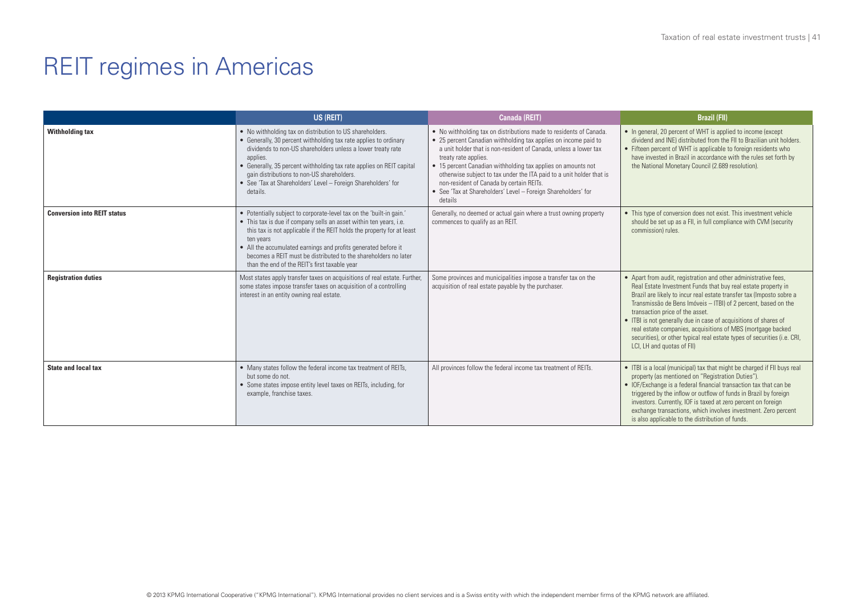|                                    | US (REIT)                                                                                                                                                                                                                                                                                                                                                                                                               | Canada (REIT)                                                                                                                                                                                                                                                                                                                                                                                                                                                                                     | <b>Brazil (FII)</b>                                                                                                                                                                                                                                                                                                                                                                                                                                                                                                                                        |
|------------------------------------|-------------------------------------------------------------------------------------------------------------------------------------------------------------------------------------------------------------------------------------------------------------------------------------------------------------------------------------------------------------------------------------------------------------------------|---------------------------------------------------------------------------------------------------------------------------------------------------------------------------------------------------------------------------------------------------------------------------------------------------------------------------------------------------------------------------------------------------------------------------------------------------------------------------------------------------|------------------------------------------------------------------------------------------------------------------------------------------------------------------------------------------------------------------------------------------------------------------------------------------------------------------------------------------------------------------------------------------------------------------------------------------------------------------------------------------------------------------------------------------------------------|
| <b>Withholding tax</b>             | • No withholding tax on distribution to US shareholders.<br>• Generally, 30 percent withholding tax rate applies to ordinary<br>dividends to non-US shareholders unless a lower treaty rate<br>applies.<br>• Generally, 35 percent withholding tax rate applies on REIT capital<br>gain distributions to non-US shareholders.<br>• See 'Tax at Shareholders' Level - Foreign Shareholders' for<br>details.              | • No withholding tax on distributions made to residents of Canada.<br>• 25 percent Canadian withholding tax applies on income paid to<br>a unit holder that is non-resident of Canada, unless a lower tax<br>treaty rate applies.<br>• 15 percent Canadian withholding tax applies on amounts not<br>otherwise subject to tax under the ITA paid to a unit holder that is<br>non-resident of Canada by certain REITs.<br>• See 'Tax at Shareholders' Level - Foreign Shareholders' for<br>details | • In general, 20 percent of WHT is applied to income (except<br>dividend and INE) distributed from the FII to Brazilian unit holders.<br>• Fifteen percent of WHT is applicable to foreign residents who<br>have invested in Brazil in accordance with the rules set forth by<br>the National Monetary Council (2.689 resolution).                                                                                                                                                                                                                         |
| <b>Conversion into REIT status</b> | • Potentially subject to corporate-level tax on the 'built-in gain.'<br>• This tax is due if company sells an asset within ten years, i.e.<br>this tax is not applicable if the REIT holds the property for at least<br>ten vears<br>• All the accumulated earnings and profits generated before it<br>becomes a REIT must be distributed to the shareholders no later<br>than the end of the REIT's first taxable year | Generally, no deemed or actual gain where a trust owning property<br>commences to qualify as an REIT.                                                                                                                                                                                                                                                                                                                                                                                             | • This type of conversion does not exist. This investment vehicle<br>should be set up as a FII, in full compliance with CVM (security<br>commission) rules.                                                                                                                                                                                                                                                                                                                                                                                                |
| <b>Registration duties</b>         | Most states apply transfer taxes on acquisitions of real estate. Further,<br>some states impose transfer taxes on acquisition of a controlling<br>interest in an entity owning real estate.                                                                                                                                                                                                                             | Some provinces and municipalities impose a transfer tax on the<br>acquisition of real estate payable by the purchaser.                                                                                                                                                                                                                                                                                                                                                                            | • Apart from audit, registration and other administrative fees,<br>Real Estate Investment Funds that buy real estate property in<br>Brazil are likely to incur real estate transfer tax (Imposto sobre a<br>Transmissão de Bens Imóveis - ITBI) of 2 percent, based on the<br>transaction price of the asset.<br>• ITBI is not generally due in case of acquisitions of shares of<br>real estate companies, acquisitions of MBS (mortgage backed<br>securities), or other typical real estate types of securities (i.e. CRI,<br>LCI, LH and quotas of FII) |
| <b>State and local tax</b>         | • Many states follow the federal income tax treatment of REITs,<br>but some do not.<br>• Some states impose entity level taxes on REITs, including, for<br>example, franchise taxes.                                                                                                                                                                                                                                    | All provinces follow the federal income tax treatment of REITs.                                                                                                                                                                                                                                                                                                                                                                                                                                   | • ITBI is a local (municipal) tax that might be charged if FII buys real<br>property (as mentioned on "Registration Duties").<br>• IOF/Exchange is a federal financial transaction tax that can be<br>triggered by the inflow or outflow of funds in Brazil by foreign<br>investors. Currently, IOF is taxed at zero percent on foreign<br>exchange transactions, which involves investment. Zero percent<br>is also applicable to the distribution of funds.                                                                                              |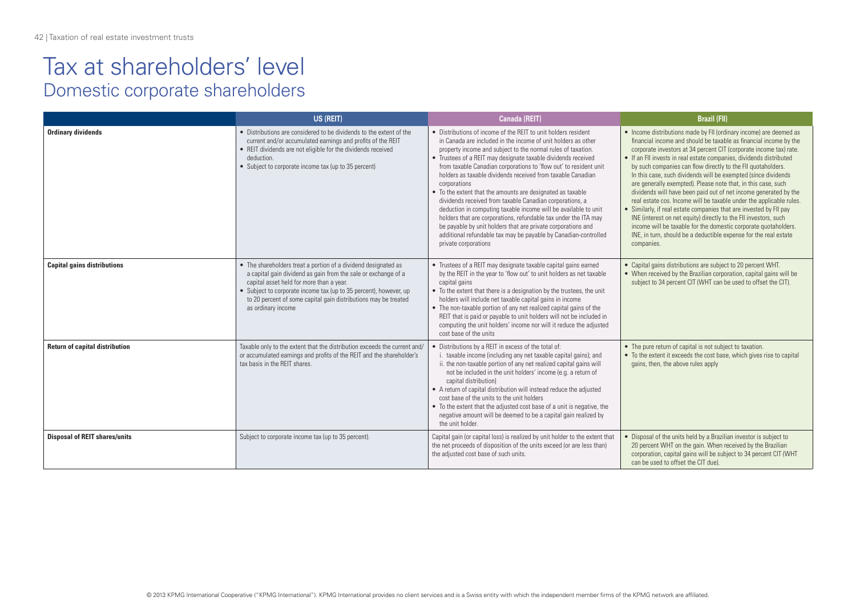|                                       | US (REIT)                                                                                                                                                                                                                                                                                                                                  | <b>Canada (REIT)</b>                                                                                                                                                                                                                                                                                                                                                                                                                                                                                                                                                                                                                                                                                                                                                                                                                            | <b>Brazil (FII)</b>                                                                                                                                                                                                                                                                                                                                                                                                                                                                                                                                                                                                                                                                                                                                                                                                                                                                                                               |
|---------------------------------------|--------------------------------------------------------------------------------------------------------------------------------------------------------------------------------------------------------------------------------------------------------------------------------------------------------------------------------------------|-------------------------------------------------------------------------------------------------------------------------------------------------------------------------------------------------------------------------------------------------------------------------------------------------------------------------------------------------------------------------------------------------------------------------------------------------------------------------------------------------------------------------------------------------------------------------------------------------------------------------------------------------------------------------------------------------------------------------------------------------------------------------------------------------------------------------------------------------|-----------------------------------------------------------------------------------------------------------------------------------------------------------------------------------------------------------------------------------------------------------------------------------------------------------------------------------------------------------------------------------------------------------------------------------------------------------------------------------------------------------------------------------------------------------------------------------------------------------------------------------------------------------------------------------------------------------------------------------------------------------------------------------------------------------------------------------------------------------------------------------------------------------------------------------|
| <b>Ordinary dividends</b>             | • Distributions are considered to be dividends to the extent of the<br>current and/or accumulated earnings and profits of the REIT<br>• REIT dividends are not eligible for the dividends received<br>deduction.<br>• Subject to corporate income tax (up to 35 percent)                                                                   | • Distributions of income of the RFIT to unit holders resident<br>in Canada are included in the income of unit holders as other<br>property income and subject to the normal rules of taxation.<br>• Trustees of a REIT may designate taxable dividends received<br>from taxable Canadian corporations to 'flow out' to resident unit<br>holders as taxable dividends received from taxable Canadian<br>corporations<br>• To the extent that the amounts are designated as taxable<br>dividends received from taxable Canadian corporations, a<br>deduction in computing taxable income will be available to unit<br>holders that are corporations, refundable tax under the ITA may<br>be payable by unit holders that are private corporations and<br>additional refundable tax may be payable by Canadian-controlled<br>private corporations | • Income distributions made by FII (ordinary income) are deemed as<br>financial income and should be taxable as financial income by the<br>corporate investors at 34 percent CIT (corporate income tax) rate.<br>• If an FII invests in real estate companies, dividends distributed<br>by such companies can flow directly to the FII quotaholders.<br>In this case, such dividends will be exempted (since dividends<br>are generally exempted). Please note that, in this case, such<br>dividends will have been paid out of net income generated by the<br>real estate cos. Income will be taxable under the applicable rules.<br>• Similarly, if real estate companies that are invested by FII pay<br>INE (interest on net equity) directly to the FII investors, such<br>income will be taxable for the domestic corporate quotaholders.<br>INE, in turn, should be a deductible expense for the real estate<br>companies. |
| <b>Capital gains distributions</b>    | • The shareholders treat a portion of a dividend designated as<br>a capital gain dividend as gain from the sale or exchange of a<br>capital asset held for more than a year.<br>• Subject to corporate income tax (up to 35 percent), however, up<br>to 20 percent of some capital gain distributions may be treated<br>as ordinary income | • Trustees of a REIT may designate taxable capital gains earned<br>by the REIT in the year to 'flow out' to unit holders as net taxable<br>capital gains<br>• To the extent that there is a designation by the trustees, the unit<br>holders will include net taxable capital gains in income<br>• The non-taxable portion of any net realized capital gains of the<br>REIT that is paid or payable to unit holders will not be included in<br>computing the unit holders' income nor will it reduce the adjusted<br>cost base of the units                                                                                                                                                                                                                                                                                                     | • Capital gains distributions are subject to 20 percent WHT.<br>• When received by the Brazilian corporation, capital gains will be<br>subject to 34 percent CIT (WHT can be used to offset the CIT).                                                                                                                                                                                                                                                                                                                                                                                                                                                                                                                                                                                                                                                                                                                             |
| <b>Return of capital distribution</b> | Taxable only to the extent that the distribution exceeds the current and/<br>or accumulated earnings and profits of the REIT and the shareholder's<br>tax basis in the REIT shares.                                                                                                                                                        | Distributions by a REIT in excess of the total of:<br>i. taxable income (including any net taxable capital gains); and<br>ii. the non-taxable portion of any net realized capital gains will<br>not be included in the unit holders' income (e.g. a return of<br>capital distribution)<br>• A return of capital distribution will instead reduce the adjusted<br>cost base of the units to the unit holders<br>• To the extent that the adjusted cost base of a unit is negative, the<br>negative amount will be deemed to be a capital gain realized by<br>the unit holder.                                                                                                                                                                                                                                                                    | • The pure return of capital is not subject to taxation.<br>• To the extent it exceeds the cost base, which gives rise to capital<br>gains, then, the above rules apply                                                                                                                                                                                                                                                                                                                                                                                                                                                                                                                                                                                                                                                                                                                                                           |
| <b>Disposal of REIT shares/units</b>  | Subject to corporate income tax (up to 35 percent).                                                                                                                                                                                                                                                                                        | Capital gain (or capital loss) is realized by unit holder to the extent that<br>the net proceeds of disposition of the units exceed (or are less than)<br>the adjusted cost base of such units.                                                                                                                                                                                                                                                                                                                                                                                                                                                                                                                                                                                                                                                 | • Disposal of the units held by a Brazilian investor is subject to<br>20 percent WHT on the gain. When received by the Brazilian<br>corporation, capital gains will be subject to 34 percent CIT (WHT<br>can be used to offset the CIT due).                                                                                                                                                                                                                                                                                                                                                                                                                                                                                                                                                                                                                                                                                      |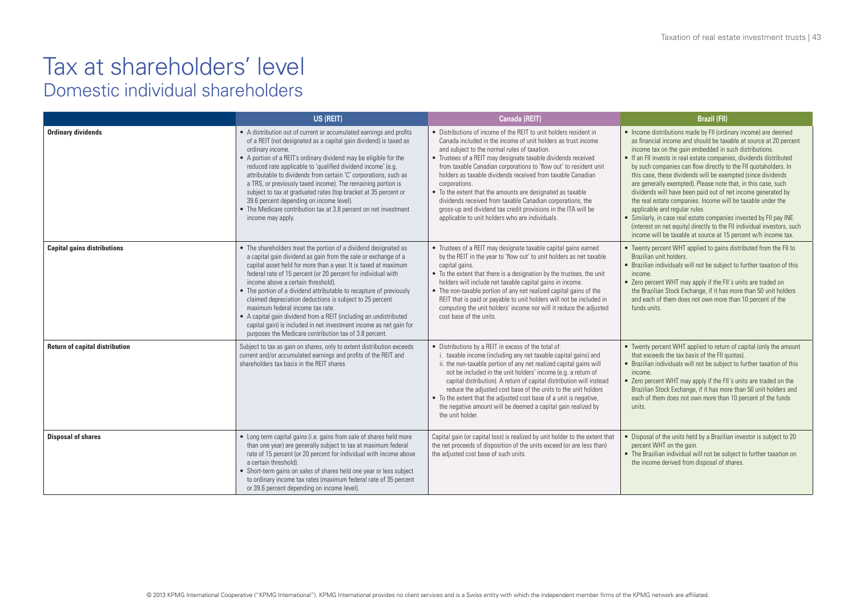### Tax at shareholders' level Domestic individual shareholders

|                                       | US (REIT)                                                                                                                                                                                                                                                                                                                                                                                                                                                                                                                                                                                                                                                                                | Canada (REIT)                                                                                                                                                                                                                                                                                                                                                                                                                                                                                                                                                                                                                                             | <b>Brazil (FII)</b>                                                                                                                                                                                                                                                                                                                                                                                                                                                                                                                                                                                                                                                                                                                                                                                                                                          |
|---------------------------------------|------------------------------------------------------------------------------------------------------------------------------------------------------------------------------------------------------------------------------------------------------------------------------------------------------------------------------------------------------------------------------------------------------------------------------------------------------------------------------------------------------------------------------------------------------------------------------------------------------------------------------------------------------------------------------------------|-----------------------------------------------------------------------------------------------------------------------------------------------------------------------------------------------------------------------------------------------------------------------------------------------------------------------------------------------------------------------------------------------------------------------------------------------------------------------------------------------------------------------------------------------------------------------------------------------------------------------------------------------------------|--------------------------------------------------------------------------------------------------------------------------------------------------------------------------------------------------------------------------------------------------------------------------------------------------------------------------------------------------------------------------------------------------------------------------------------------------------------------------------------------------------------------------------------------------------------------------------------------------------------------------------------------------------------------------------------------------------------------------------------------------------------------------------------------------------------------------------------------------------------|
| <b>Ordinary dividends</b>             | • A distribution out of current or accumulated earnings and profits<br>of a REIT (not designated as a capital gain dividend) is taxed as<br>ordinary income.<br>• A portion of a REIT's ordinary dividend may be eligible for the<br>reduced rate applicable to 'qualified dividend income' (e.g.<br>attributable to dividends from certain 'C' corporations, such as<br>a TRS, or previously taxed income). The remaining portion is<br>subject to tax at graduated rates (top bracket at 35 percent or<br>39.6 percent depending on income level).<br>• The Medicare contribution tax at 3.8 percent on net investment<br>income may apply.                                            | • Distributions of income of the REIT to unit holders resident in<br>Canada included in the income of unit holders as trust income<br>and subject to the normal rules of taxation.<br>• Trustees of a REIT may designate taxable dividends received<br>from taxable Canadian corporations to 'flow out' to resident unit<br>holders as taxable dividends received from taxable Canadian<br>corporations.<br>• To the extent that the amounts are designated as taxable<br>dividends received from taxable Canadian corporations, the<br>gross-up and dividend tax credit provisions in the ITA will be<br>applicable to unit holders who are individuals. | • Income distributions made by FII (ordinary income) are deemed<br>as financial income and should be taxable at source at 20 percent<br>income tax on the gain embedded in such distributions.<br>• If an FII invests in real estate companies, dividends distributed<br>by such companies can flow directly to the FII quotaholders. In<br>this case, these dividends will be exempted (since dividends<br>are generally exempted). Please note that, in this case, such<br>dividends will have been paid out of net income generated by<br>the real estate companies. Income will be taxable under the<br>applicable and regular rules.<br>• Similarly, in case real estate companies invested by FII pay INE<br>(interest on net equity) directly to the FII individual investors, such<br>income will be taxable at source at 15 percent w/h income tax. |
| <b>Capital gains distributions</b>    | • The shareholders treat the portion of a dividend designated as<br>a capital gain dividend as gain from the sale or exchange of a<br>capital asset held for more than a year. It is taxed at maximum<br>federal rate of 15 percent (or 20 percent for individual with<br>income above a certain threshold).<br>• The portion of a dividend attributable to recapture of previously<br>claimed depreciation deductions is subject to 25 percent<br>maximum federal income tax rate.<br>• A capital gain dividend from a REIT (including an undistributed<br>capital gain) is included in net investment income as net gain for<br>purposes the Medicare contribution tax of 3.8 percent. | • Trustees of a REIT may designate taxable capital gains earned<br>by the REIT in the year to 'flow out' to unit holders as net taxable<br>capital gains.<br>• To the extent that there is a designation by the trustees, the unit<br>holders will include net taxable capital gains in income.<br>• The non-taxable portion of any net realized capital gains of the<br>REIT that is paid or payable to unit holders will not be included in<br>computing the unit holders' income nor will it reduce the adjusted<br>cost base of the units.                                                                                                            | • Twenty percent WHT applied to gains distributed from the FII to<br>Brazilian unit holders.<br>• Brazilian individuals will not be subject to further taxation of this<br>income.<br>• Zero percent WHT may apply if the FII's units are traded on<br>the Brazilian Stock Exchange, if it has more than 50 unit holders<br>and each of them does not own more than 10 percent of the<br>funds units.                                                                                                                                                                                                                                                                                                                                                                                                                                                        |
| <b>Return of capital distribution</b> | Subject to tax as gain on shares, only to extent distribution exceeds<br>current and/or accumulated earnings and profits of the REIT and<br>shareholders tax basis in the RFIT shares                                                                                                                                                                                                                                                                                                                                                                                                                                                                                                    | • Distributions by a REIT in excess of the total of:<br>i. taxable income (including any net taxable capital gains) and<br>ii. the non-taxable portion of any net realized capital gains will<br>not be included in the unit holders' income (e.g. a return of<br>capital distribution). A return of capital distribution will instead<br>reduce the adjusted cost base of the units to the unit holders<br>• To the extent that the adjusted cost base of a unit is negative,<br>the negative amount will be deemed a capital gain realized by<br>the unit holder.                                                                                       | • Twenty percent WHT applied to return of capital (only the amount<br>that exceeds the tax basis of the FII quotas).<br>• Brazilian individuals will not be subject to further taxation of this<br>income.<br>• Zero percent WHT may apply if the FII's units are traded on the<br>Brazilian Stock Exchange, if it has more than 50 unit holders and<br>each of them does not own more than 10 percent of the funds<br>units.                                                                                                                                                                                                                                                                                                                                                                                                                                |
| <b>Disposal of shares</b>             | • Long term capital gains (i.e. gains from sale of shares held more<br>than one year) are generally subject to tax at maximum federal<br>rate of 15 percent (or 20 percent for individual with income above<br>a certain threshold).<br>• Short-term gains on sales of shares held one year or less subject<br>to ordinary income tax rates (maximum federal rate of 35 percent<br>or 39.6 percent depending on income level).                                                                                                                                                                                                                                                           | Capital gain (or capital loss) is realized by unit holder to the extent that<br>the net proceeds of disposition of the units exceed (or are less than)<br>the adjusted cost base of such units.                                                                                                                                                                                                                                                                                                                                                                                                                                                           | • Disposal of the units held by a Brazilian investor is subject to 20<br>percent WHT on the gain.<br>• The Brazilian individual will not be subject to further taxation on<br>the income derived from disposal of shares.                                                                                                                                                                                                                                                                                                                                                                                                                                                                                                                                                                                                                                    |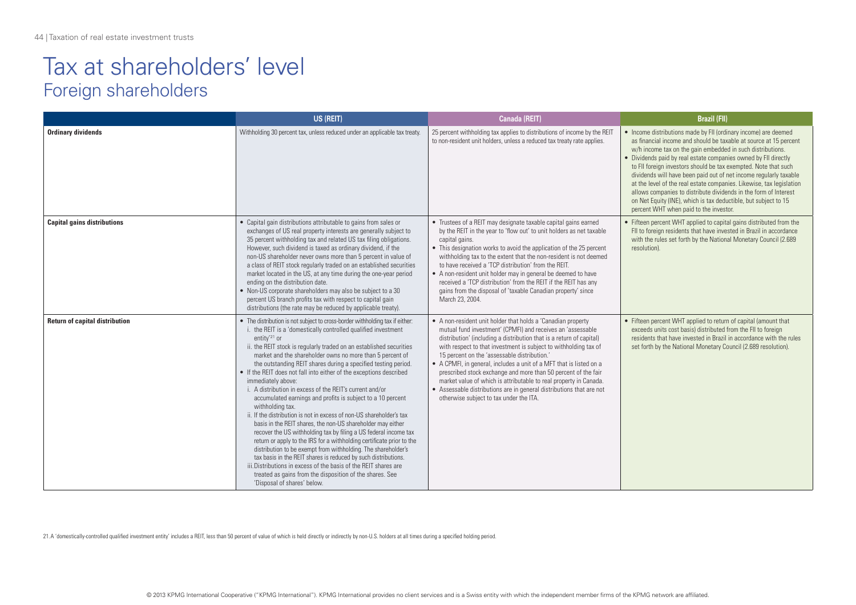### Tax at shareholders' level Foreign shareholders

|                                       | US (REIT)                                                                                                                                                                                                                                                                                                                                                                                                                                                                                                                                                                                                                                                                                                                                                                                                                                                                                                                                                                                                                                                                                                                                                                                                          | Canada (REIT)                                                                                                                                                                                                                                                                                                                                                                                                                                                                                                                                                                                                                                            | <b>Brazil (FII)</b>                                                                                                                                                                                                                                                                                                                                                                                                                                                                                                                                                                                                                                                    |
|---------------------------------------|--------------------------------------------------------------------------------------------------------------------------------------------------------------------------------------------------------------------------------------------------------------------------------------------------------------------------------------------------------------------------------------------------------------------------------------------------------------------------------------------------------------------------------------------------------------------------------------------------------------------------------------------------------------------------------------------------------------------------------------------------------------------------------------------------------------------------------------------------------------------------------------------------------------------------------------------------------------------------------------------------------------------------------------------------------------------------------------------------------------------------------------------------------------------------------------------------------------------|----------------------------------------------------------------------------------------------------------------------------------------------------------------------------------------------------------------------------------------------------------------------------------------------------------------------------------------------------------------------------------------------------------------------------------------------------------------------------------------------------------------------------------------------------------------------------------------------------------------------------------------------------------|------------------------------------------------------------------------------------------------------------------------------------------------------------------------------------------------------------------------------------------------------------------------------------------------------------------------------------------------------------------------------------------------------------------------------------------------------------------------------------------------------------------------------------------------------------------------------------------------------------------------------------------------------------------------|
| <b>Ordinary dividends</b>             | Withholding 30 percent tax, unless reduced under an applicable tax treaty.                                                                                                                                                                                                                                                                                                                                                                                                                                                                                                                                                                                                                                                                                                                                                                                                                                                                                                                                                                                                                                                                                                                                         | 25 percent withholding tax applies to distributions of income by the REIT<br>to non-resident unit holders, unless a reduced tax treaty rate applies.                                                                                                                                                                                                                                                                                                                                                                                                                                                                                                     | • Income distributions made by FII (ordinary income) are deemed<br>as financial income and should be taxable at source at 15 percent<br>w/h income tax on the gain embedded in such distributions.<br>• Dividends paid by real estate companies owned by FII directly<br>to FII foreign investors should be tax exempted. Note that such<br>dividends will have been paid out of net income regularly taxable<br>at the level of the real estate companies. Likewise, tax legislation<br>allows companies to distribute dividends in the form of Interest<br>on Net Equity (INE), which is tax deductible, but subject to 15<br>percent WHT when paid to the investor. |
| <b>Capital gains distributions</b>    | • Capital gain distributions attributable to gains from sales or<br>exchanges of US real property interests are generally subject to<br>35 percent withholding tax and related US tax filing obligations.<br>However, such dividend is taxed as ordinary dividend, if the<br>non-US shareholder never owns more than 5 percent in value of<br>a class of REIT stock reqularly traded on an established securities<br>market located in the US, at any time during the one-year period<br>ending on the distribution date.<br>• Non-US corporate shareholders may also be subject to a 30<br>percent US branch profits tax with respect to capital gain<br>distributions (the rate may be reduced by applicable treaty).                                                                                                                                                                                                                                                                                                                                                                                                                                                                                            | • Trustees of a REIT may designate taxable capital gains earned<br>by the REIT in the year to 'flow out' to unit holders as net taxable<br>capital gains.<br>• This designation works to avoid the application of the 25 percent<br>withholding tax to the extent that the non-resident is not deemed<br>to have received a 'TCP distribution' from the REIT.<br>• A non-resident unit holder may in general be deemed to have<br>received a 'TCP distribution' from the REIT if the REIT has any<br>gains from the disposal of 'taxable Canadian property' since<br>March 23, 2004.                                                                     | • Fifteen percent WHT applied to capital gains distributed from the<br>FII to foreign residents that have invested in Brazil in accordance<br>with the rules set forth by the National Monetary Council (2.689<br>resolution).                                                                                                                                                                                                                                                                                                                                                                                                                                         |
| <b>Return of capital distribution</b> | • The distribution is not subject to cross-border withholding tax if either:<br>i. the REIT is a 'domestically controlled qualified investment<br>entity <sup>'21</sup> or<br>ii. the REIT stock is regularly traded on an established securities<br>market and the shareholder owns no more than 5 percent of<br>the outstanding REIT shares during a specified testing period.<br>• If the REIT does not fall into either of the exceptions described<br>immediately above:<br>i. A distribution in excess of the REIT's current and/or<br>accumulated earnings and profits is subject to a 10 percent<br>withholding tax.<br>ii. If the distribution is not in excess of non-US shareholder's tax<br>basis in the REIT shares, the non-US shareholder may either<br>recover the US withholding tax by filing a US federal income tax<br>return or apply to the IRS for a withholding certificate prior to the<br>distribution to be exempt from withholding. The shareholder's<br>tax basis in the REIT shares is reduced by such distributions.<br>iii. Distributions in excess of the basis of the REIT shares are<br>treated as gains from the disposition of the shares. See<br>'Disposal of shares' below. | • A non-resident unit holder that holds a 'Canadian property<br>mutual fund investment' (CPMFI) and receives an 'assessable<br>distribution' (including a distribution that is a return of capital)<br>with respect to that investment is subject to withholding tax of<br>15 percent on the 'assessable distribution.'<br>• A CPMFI, in general, includes a unit of a MFT that is listed on a<br>prescribed stock exchange and more than 50 percent of the fair<br>market value of which is attributable to real property in Canada.<br>• Assessable distributions are in general distributions that are not<br>otherwise subject to tax under the ITA. | • Fifteen percent WHT applied to return of capital (amount that<br>exceeds units cost basis) distributed from the FII to foreign<br>residents that have invested in Brazil in accordance with the rules<br>set forth by the National Monetary Council (2.689 resolution).                                                                                                                                                                                                                                                                                                                                                                                              |

21. A 'domestically-controlled qualified investment entity' includes a REIT, less than 50 percent of value of which is held directly or indirectly by non-U.S. holders at all times during a specified holding period.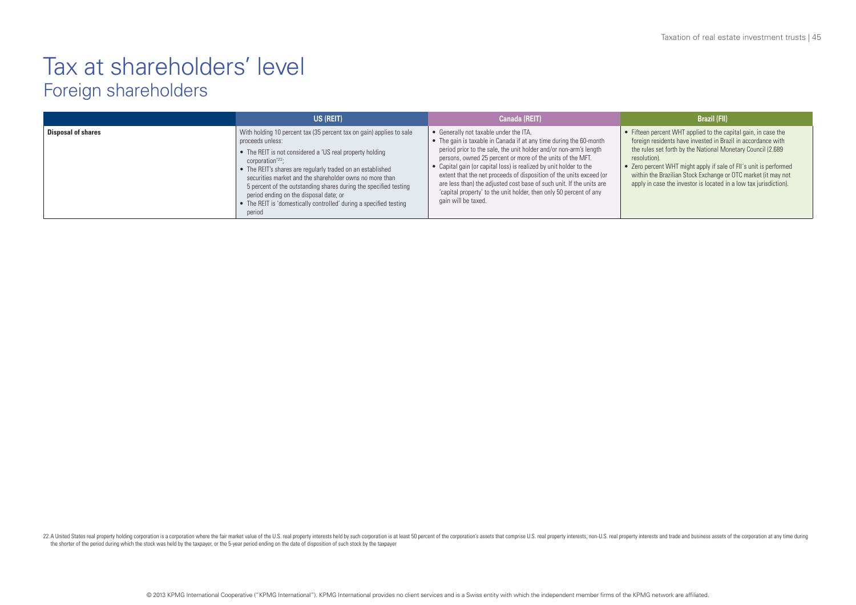### Tax at shareholders' level Foreign shareholders

|                           | US (REIT)                                                                                                                                                                                                                                                                                                                                                                                                                                                                                                   | <b>Canada (REIT)</b>                                                                                                                                                                                                                                                                                                                                                                                                                                                                                                                                              | <b>Brazil (FII)</b>                                                                                                                                                                                                                                                                                                                                                                                                      |
|---------------------------|-------------------------------------------------------------------------------------------------------------------------------------------------------------------------------------------------------------------------------------------------------------------------------------------------------------------------------------------------------------------------------------------------------------------------------------------------------------------------------------------------------------|-------------------------------------------------------------------------------------------------------------------------------------------------------------------------------------------------------------------------------------------------------------------------------------------------------------------------------------------------------------------------------------------------------------------------------------------------------------------------------------------------------------------------------------------------------------------|--------------------------------------------------------------------------------------------------------------------------------------------------------------------------------------------------------------------------------------------------------------------------------------------------------------------------------------------------------------------------------------------------------------------------|
| <b>Disposal of shares</b> | With holding 10 percent tax (35 percent tax on gain) applies to sale<br>proceeds unless:<br>• The REIT is not considered a 'US real property holding<br>corporation <sup>'22</sup> :<br>• The REIT's shares are regularly traded on an established<br>securities market and the shareholder owns no more than<br>5 percent of the outstanding shares during the specified testing<br>period ending on the disposal date; or<br>• The REIT is 'domestically controlled' during a specified testing<br>period | • Generally not taxable under the ITA.<br>• The gain is taxable in Canada if at any time during the 60-month<br>period prior to the sale, the unit holder and/or non-arm's length<br>persons, owned 25 percent or more of the units of the MFT.<br>• Capital gain (or capital loss) is realized by unit holder to the<br>extent that the net proceeds of disposition of the units exceed (or<br>are less than) the adjusted cost base of such unit. If the units are<br>'capital property' to the unit holder, then only 50 percent of any<br>gain will be taxed. | • Fifteen percent WHT applied to the capital gain, in case the<br>foreign residents have invested in Brazil in accordance with<br>the rules set forth by the National Monetary Council (2.689<br>resolution).<br>• Zero percent WHT might apply if sale of FII's unit is performed<br>within the Brazilian Stock Exchange or OTC market (it may not<br>apply in case the investor is located in a low tax jurisdiction). |

22.A United States real property holding corporation is a corporation where the fair market value of the U.S. real property interests held by such corporation is at least 50 percent of the corporation's assets that compris the shorter of the period during which the stock was held by the taxpayer, or the 5-year period ending on the date of disposition of such stock by the taxpayer